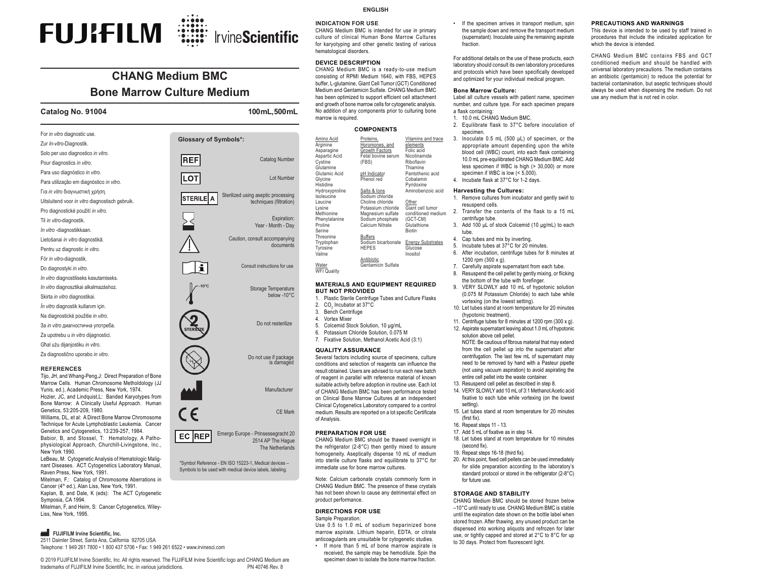# **FUJIFILM** :::::::: IrvineScientific

### **CHANG Medium BMCBone Marrow Culture Medium**

#### **Catalog No. 91004 100 mL, 500 mL**

New York 1990.

Symposia, CA 1994.

Liss, New York, 1995.

| For in vitro diagnostic use.                                                                                                                             | <b>Glossary of Symbols*:</b> |                                                                            |
|----------------------------------------------------------------------------------------------------------------------------------------------------------|------------------------------|----------------------------------------------------------------------------|
| Zur In-vitro-Diagnostik.                                                                                                                                 |                              |                                                                            |
| Solo per uso diagnostico in vitro.                                                                                                                       |                              | <b>Catalog Number</b>                                                      |
| Pour diagnostics in vitro.                                                                                                                               | <b>REF</b>                   |                                                                            |
| Para uso diagnóstico in vitro.                                                                                                                           |                              | Lot Number                                                                 |
| Para utilização em diagnóstico in vitro.                                                                                                                 | <b>ILOT</b>                  |                                                                            |
| Για in vitro διαγνωστική χρήση.                                                                                                                          |                              | Sterilized using aseptic processing                                        |
| Uitsluitend voor in vitro diagnostisch gebruik.                                                                                                          | STERILEI<br>A                | techniques (filtration)                                                    |
| Pro diagnostické použití in vitro.                                                                                                                       |                              |                                                                            |
| Til in vitro-diagnostik.                                                                                                                                 |                              | Expiration:                                                                |
| In vitro-diagnostiikkaan.                                                                                                                                |                              | Year - Month - Day                                                         |
| Lietošanai in vitro diagnostikā.                                                                                                                         |                              | Caution, consult accompanying                                              |
| Pentru uz diagnostic in vitro.                                                                                                                           |                              | documents                                                                  |
| För in vitro-diagnostik.                                                                                                                                 |                              |                                                                            |
| Do diagnostyki in vitro.                                                                                                                                 | i                            | Consult instructions for use                                               |
| In vitro diagnostiliseks kasutamiseks.                                                                                                                   |                              |                                                                            |
| In vitro diagnosztikai alkalmazáshoz.                                                                                                                    |                              | Storage Temperature                                                        |
| Skirta in vitro diagnostikai.                                                                                                                            |                              | below -10°C                                                                |
| In vitro diagnostik kullanım için.                                                                                                                       |                              |                                                                            |
| Na diagnostické použitie in vitro.                                                                                                                       |                              |                                                                            |
| За in vitro диагностична употреба.                                                                                                                       |                              | Do not resterilize                                                         |
| Za upotrebu u in vitro dijagnostici.                                                                                                                     |                              |                                                                            |
| Ghal użu dijanjostiku in vitro.                                                                                                                          |                              |                                                                            |
| Za diagnostično uporabo in vitro.                                                                                                                        |                              | Do not use if package<br>is damaged                                        |
| <b>REFERENCES</b><br>Tijo, JH, and Whang-Peng, J: Direct Preparation of Bone<br>Marrow Cells. Human Chromosome Metholdology (JJ                          |                              |                                                                            |
| Yunis, ed.), Academic Press, New York, 1974.<br>Hozier, JC, and Lindquist, L: Banded Karyotypes from<br>Bone Marrow: A Clinically Useful Approach. Human |                              | Manufacturer                                                               |
| Genetics, 53:205-209, 1980.<br>Williams, DL, et al: A Direct Bone Marrow Chromosome<br>Technique for Acute Lymphoblastic Leukemia. Cancer                | $\epsilon$                   | <b>CE Mark</b>                                                             |
| Genetics and Cytogenetics, 13:239-257, 1984.<br>Babior, B, and Stossel, T: Hematology, A Patho-<br>physiological Approach, Churchill-Livingstone, Inc.,  | EC<br><b>IREP</b>            | Emergo Europe - Prinsessegracht 20<br>2514 AP The Haque<br>The Netherlands |



The Netherlands

\*Symbol Reference - EN ISO 15223-1, Medical devices – Symbols to be used with medical device labels, labeling.

**ENGLISH**

**INDICATION FOR USE**

 CHANG Medium BMC is intended for use in primary culture of clinical Human Bone Marrow Cultures for karyotyping and other genetic testing of various hematological disorders.

#### **DEVICE DESCRIPTION**

Asparagi Aspartic **Cystine** Glutamine $Cl<sub>u</sub>$ tamic Glycine Histidine

IsoleucineLeucine Lysine Methioni

 CHANG Medium BMC is a ready-to-use medium consisting of RPMI Medium 1640, with FBS, HEPES buffer, L-glutamine, Giant Cell Tumor (GCT) Conditioned Medium and Gentamicin Sulfate. CHANG Medium BMC has been optimized to support efficient cell attachment and growth of bone marrow cells for cytogenetic analysis. No addition of any components prior to culturing bone marrow is required.

#### **COMPONENTS**

| Amino Acid<br>Arginine<br>Asparagine<br>Aspartic Acid<br>Cystine<br>Glutamine<br>Glutamic Acid<br>Glycine<br>Histidine<br>Hydroxyproline<br>Isoleucine<br>Leucine<br>Lysine<br>Methionine<br>Phenylalanine | Proteins,<br>Horomones, and<br>Growth Factors<br>Fetal bovine serum<br>(FBS)<br>pH Indicator<br>Phenol red<br>Salts & lons<br>Sodium chloride<br>Choline chloride<br>Potassium chloride<br>Magnesium sulfate<br>Sodium phosphate | Vitamins and trace<br>elements<br>Folic acid<br>Nicotinamide<br>Riboflavin<br>Thiamine<br>Pantothenic acid<br>Cobalamin<br>Pyridoxine<br>Aminobenzoic acid<br>Other<br>Giant cell tumor<br>conditioned medium<br>(GCT-CM) |
|------------------------------------------------------------------------------------------------------------------------------------------------------------------------------------------------------------|----------------------------------------------------------------------------------------------------------------------------------------------------------------------------------------------------------------------------------|---------------------------------------------------------------------------------------------------------------------------------------------------------------------------------------------------------------------------|
| Proline<br>Serine                                                                                                                                                                                          | Calcium Nitrate                                                                                                                                                                                                                  | Glutathione<br><b>Biotin</b>                                                                                                                                                                                              |
| Threonine                                                                                                                                                                                                  | <b>Buffers</b>                                                                                                                                                                                                                   |                                                                                                                                                                                                                           |
| Tryptophan<br>Tyrosine<br>Valine                                                                                                                                                                           | Sodium bicarbonate<br><b>HEPES</b>                                                                                                                                                                                               | <b>Energy Substrates</b><br>Glucose<br>Inositol                                                                                                                                                                           |
| Water<br><b>WFI Quality</b>                                                                                                                                                                                | Antibiotic<br>Gentamicin Sulfate                                                                                                                                                                                                 |                                                                                                                                                                                                                           |

#### **MATERIALS AND EQUIPMENT REQUIRED BUT NOT PROVIDED**

- 1. Plastic Sterile Centrifuge Tubes and Culture Flasks
- 2. CO<sub>2</sub> Incubator at 37°C
- 3. Bench Centrifuge
- 4. Vortex Mixer
- 5. Colcemid Stock Solution, 10 µg/mL 6. Potassium Chloride Solution, 0.075 M
- 7. Fixative Solution, Methanol:Acetic Acid (3:1)

#### **QUALITY ASSURANCE**

Several factors including source of specimens, culture conditions and selection of reagents can influence the result obtained. Users are advised to run each new batch of reagent in parallel with reference material of known suitable activity before adoption in routine use. Each lot of CHANG Medium BMC has been performance tested on Clinical Bone Marrow Cultures at an independent Clinical Cytogenetics Laboratory compared to a control medium. Results are reported on a lot specific Certificate of Analysis.

#### **PREPARATION FOR USE**

 CHANG Medium BMC should be thawed overnight in the refrigerator (2-8°C) then gently mixed to assure homogeneity. Aseptically dispense 10 mL of medium into sterile culture flasks and equilibrate to 37°C for immediate use for bone marrow cultures.

Note: Calcium carbonate crystals commonly form in CHANG Medium BMC. The presence of these crystals has not been shown to cause any detrimental effect on product performance.

#### **DIRECTIONS FOR USE** Sample Preparation:

Use 0.5 to 1.0 mL of sodium heparinized bone marrow aspirate. Lithium heparin, EDTA, or citrate anticoagulants are unsuitable for cytogenetic studies.

• If more than 5 mL of bone marrow aspirate is received, the sample may be hemodilute. Spin the specimen down to isolate the bone marrow fraction.

• If the specimen arrives in transport medium, spin the sample down and remove the transport medium (supernatant). Inoculate using the remaining aspirate fraction.

For additional details on the use of these products, each laboratory should consult its own laboratory procedures and protocols which have been specifically developed and optimized for your individual medical program.

#### **Bone Marrow Culture:**

 Label all culture vessels with patient name, specimen number, and culture type. For each specimen prepare a flask containing:

- 1. 10.0 mL CHANG Medium BMC.
- 2. Equilibrate flask to 37°C before inoculation of specimen.
- 3. Inoculate 0.5 mL (500 uL) of specimen, or the appropriate amount depending upon the white blood cell (WBC) count, into each flask containing 10.0 mL pre-equilibrated CHANG Medium BMC. Add less specimen if WBC is high (> 30,000) or more specimen if WBC is low (< 5,000).
- 4. Incubate flask at 37°C for 1-2 days.

#### **Harvesting the Cultures:**

- 1. Remove cultures from incubator and gently swirl to resuspend cells.
- 2. Transfer the contents of the flask to a 15 mL centrifuge tube.
- 3. Add 100 µL of stock Colcemid (10 µg/mL) to each tube.
- 4. Cap tubes and mix by inverting.
- 5. Incubate tubes at 37°C for 20 minutes.
- 6. After incubation, centrifuge tubes for 8 minutes at 1200 rpm (300 x g).
- 7. Carefully aspirate supernatant from each tube. 8. Resuspend the cell pellet by gently mixing, or flicking
- the bottom of the tube with forefinger. 9. VERY SLOWLY add 10 mL of hypotonic solution
- (0.075 M Potassium Chloride) to each tube while vortexing (on the lowest setting).
- 10. Let tubes stand at room temperature for 20 minutes (hypotonic treatment).
- 11. Centrifuge tubes for 8 minutes at 1200 rpm (300 x g). 12. Aspirate supernatant leaving about 1.0 mL of hypotonic
- solution above cell pellet. NOTE: Be cautious of fibrous material that may extend from the cell pellet up into the supernatant after centrifugation. The last few mL of supernatant may need to be removed by hand with a Pasteur pipette (not using vacuum aspiration) to avoid aspirating the entire cell pellet into the waste container.
- 13. Resuspend cell pellet as described in step 8.
- 14. VERY SLOWLY add 10 mL of 3:1 Methanol:Acetic acid fixative to each tube while vortexing (on the lowest setting).
- 15. Let tubes stand at room temperature for 20 minutes  $(first fix)$ .
- 16. Repeat steps 11 13
- 17. Add 5 mL of fixative as in step 14.
- 18. Let tubes stand at room temperature for 10 minutes (second fix).
- 19. Repeat steps 16-18 (third fix).
- 20. At this point, fixed cell pellets can be used immediately for slide preparation according to the laboratory's standard protocol or stored in the refrigerator (2-8°C) for future use.

#### **STORAGE AND STABILITY**

 CHANG Medium BMC should be stored frozen below –10°C until ready to use. CHANG Medium BMC is stable until the expiration date shown on the bottle label when stored frozen. After thawing, any unused product can be dispensed into working aliquots and refrozen for later use, or tightly capped and stored at 2°C to 8°C for up to 30 days. Protect from fluorescent light.

2511 Daimler Street, Santa Ana, California 92705 USA Telephone: 1 949 261 7800 • 1 800 437 5706 • Fax: 1 949 261 6522 • www.irvinesci.com

**AM** FUJIFILM Irvine Scientific, Inc.

Raven Press, New York, 1991.

LeBeau, M: Cytogenetic Analysis of Hematologic Malignant Diseases. ACT Cytogenetics Laboratory Manual,

Mitelman, F.: Catalog of Chromosome Aberrations in Cancer (4<sup>th</sup> ed.), Alan Liss, New York, 1991. Kaplan, B, and Dale, K (eds): The ACT Cytogenetic

Mitelman, F, and Heim, S: Cancer Cytogenetics, Wiley-

#### © 2019 FUJIFILM Irvine Scientific, Inc. All rights reserved. The FUJIFILM Irvine Scientific logo and CHANG Medium are trademarks of FUJIFILM Irvine Scientific, Inc. in various jurisdictions. The metal of PN 40746 Rev. 8

**PRECAUTIONS AND WARNINGS** This device is intended to be used by staff trained in

procedures that include the indicated application for which the device is intended.

CHANG Medium BMC contains FBS and GCT conditioned medium and should be handled with universal laboratory precautions. The medium contains an antibiotic (gentamicin) to reduce the potential for bacterial contamination, but aseptic techniques should always be used when dispensing the medium. Do not use any medium that is not red in color.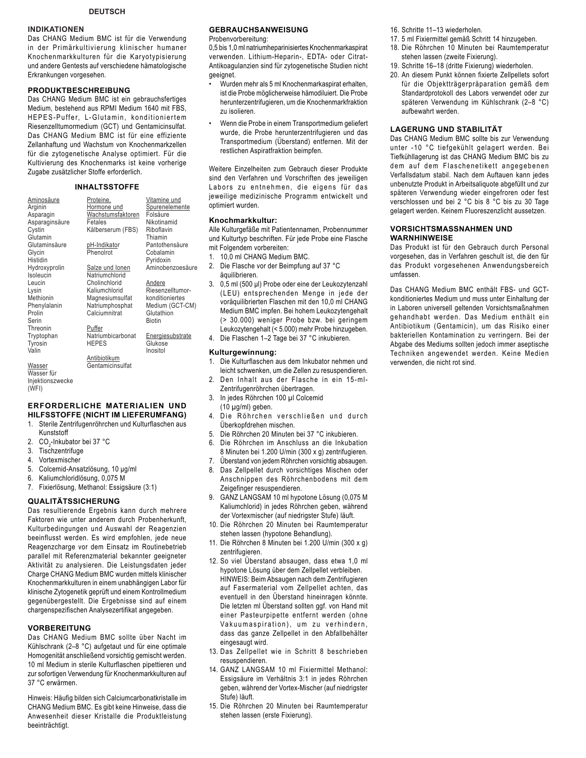### **INDIKATIONEN**

Das CHANG Medium BMC ist für die Verwendung in der Primärkultivierung klinischer humaner Knochenmarkkulturen für die Karyotypisierung und andere Gentests auf verschiedene hämatologische Erkrankungen vorgesehen.

### **PRODUKTBESCHREIBUNG**

Das CHANG Medium BMC ist ein gebrauchsfertiges Medium, bestehend aus RPMI Medium 1640 mit FBS, HEPES-Puffer, L-Glutamin, konditioniertem Riesenzelltumormedium (GCT) und Gentamicinsulfat. Das CHANG Medium BMC ist für eine effiziente Zellanhaftung und Wachstum von Knochenmarkzellen für die zytogenetische Analyse optimiert. Für die Kultivierung des Knochenmarks ist keine vorherige Zugabe zusätzlicher Stoffe erforderlich.

### **INHALTSSTOFFE**

Vitamine und **Spurenelemente** Folsäure Nikotinamid Riboflavin Thiamin Pantothensäure Cobalamin Pyridoxin Aminobenzoesäure

Andere Riesenzelltumorkonditioniertes Medium (GCT-CM) **Glutathion** Biotin

**Energiesubstrate** Glukose Inositol

Proteine, Hormone und Wachstumsfaktoren Fetales Kälberserum (FBS) pH-Indikator .<br>Phenolrot Salze und Ionen Natriumchlorid Cholinchlorid Kaliumchlorid Magnesiumsulfat Natriumphosphat Calciumnitrat **Puffer Natriumbicarbonat** HEPES Antibiotikum Gentamicinsulfat

Aminosäure Arginin Asparagin Asparaginsäure **Cystin Glutamin** Glutaminsäure Glycin **Histidin** Hydroxyprolin Isoleucin Leucin Lysin Methionin Phenylalanin Prolin Serin Threonin Tryptophan Tyrosin Valin

**Wasser** Wasser für Injektionszwecke (WFI)

#### **ERFORDERLICHE MATERIALIEN UND HILFSSTOFFE (NICHT IM LIEFERUMFANG)**

- 1. Sterile Zentrifugenröhrchen und Kulturflaschen aus Kunststoff
- 2. CO<sub>2</sub>-Inkubator bei 37 °C
- 3. Tischzentrifuge
- 4. Vortexmischer
- 5. Colcemid-Ansatzlösung, 10 µg/ml
- 6. Kaliumchloridlösung, 0,075 M
- 7. Fixierlösung, Methanol: Essigsäure (3:1)

### **QUALITÄTSSICHERUNG**

Das resultierende Ergebnis kann durch mehrere Faktoren wie unter anderem durch Probenherkunft, Kulturbedingungen und Auswahl der Reagenzien beeinflusst werden. Es wird empfohlen, jede neue Reagenzcharge vor dem Einsatz im Routinebetrieb parallel mit Referenzmaterial bekannter geeigneter Aktivität zu analysieren. Die Leistungsdaten jeder Charge CHANG Medium BMC wurden mittels klinischer Knochenmarkkulturen in einem unabhängigen Labor für klinische Zytogenetik geprüft und einem Kontrollmedium gegenübergestellt. Die Ergebnisse sind auf einem chargenspezifischen Analysezertifikat angegeben.

### **VORBEREITUNG**

Das CHANG Medium BMC sollte über Nacht im Kühlschrank (2-8 °C) aufgetaut und für eine optimale Homogenität anschließend vorsichtig gemischt werden. 10 ml Medium in sterile Kulturflaschen pipettieren und zur sofortigen Verwendung für Knochenmarkkulturen auf 37 °C erwärmen.

Hinweis: Häufig bilden sich Calciumcarbonatkristalle im CHANG Medium BMC. Es gibt keine Hinweise, dass die Anwesenheit dieser Kristalle die Produktleistung beeinträchtigt.

### **GEBRAUCHSANWEISUNG**

Probenvorbereitung:

0,5 bis 1,0 ml natriumheparinisiertes Knochenmarkaspirat verwenden. Lithium-Heparin-, EDTA- oder Citrat- Antikoagulanzien sind für zytogenetische Studien nicht geeignet.

- Wurden mehr als 5 ml Knochenmarkaspirat erhalten, ist die Probe möglicherweise hämodiluiert. Die Probe herunterzentrifugieren, um die Knochenmarkfraktion zu isolieren.
- Wenn die Probe in einem Transportmedium geliefert wurde, die Probe herunterzentrifugieren und das Transportmedium (Überstand) entfernen. Mit der restlichen Aspiratfraktion beimpfen.

Weitere Einzelheiten zum Gebrauch dieser Produkte sind den Verfahren und Vorschriften des jeweiligen Labors zu entnehmen, die eigens für das jeweilige medizinische Programm entwickelt und optimiert wurden.

### **Knochmarkkultur:**

Alle Kulturgefäße mit Patientennamen, Probennummer und Kulturtyp beschriften. Für jede Probe eine Flasche mit Folgendem vorbereiten:

- 1. 10,0 ml CHANG Medium BMC.
- 2. Die Flasche vor der Beimpfung auf 37 °C äquilibrieren.
- 3. 0,5 ml (500 µl) Probe oder eine der Leukozytenzahl (LEU) entsprechenden Menge in jede der voräquilibrierten Flaschen mit den 10,0 ml CHANG Medium BMC impfen. Bei hohem Leukozytengehalt (> 30.000) weniger Probe bzw. bei geringem Leukozytengehalt (< 5.000) mehr Probe hinzugeben.
- 4. Die Flaschen 1–2 Tage bei 37 °C inkubieren.

### **Kulturgewinnung:**

- 1. Die Kulturflaschen aus dem Inkubator nehmen und leicht schwenken, um die Zellen zu resuspendieren.
- 2. Den Inhalt aus der Flasche in ein 15-ml- Zentrifugenröhrchen übertragen.
- 3. In jedes Röhrchen 100 µl Colcemid  $(10 \mu g/ml)$  geben.
- 4. Die Röhrchen verschließen und durch Überkopfdrehen mischen.
- 5. Die Röhrchen 20 Minuten bei 37 °C inkubieren.
- 6. Die Röhrchen im Anschluss an die Inkubation 8 Minuten bei 1.200 U/min (300 x g) zentrifugieren.
- 7. Überstand von jedem Röhrchen vorsichtig absaugen.
- 8. Das Zellpellet durch vorsichtiges Mischen oder Anschnippen des Röhrchenbodens mit dem Zeigefinger resuspendieren.
- 9. GANZ LANGSAM 10 ml hypotone Lösung (0,075 M Kaliumchlorid) in jedes Röhrchen geben, während der Vortexmischer (auf niedrigster Stufe) läuft.
- 10. Die Röhrchen 20 Minuten bei Raumtemperatur stehen lassen (hypotone Behandlung).
- 11. Die Röhrchen 8 Minuten bei 1.200 U/min (300 x g) zentrifugieren.
- 12. So viel Überstand absaugen, dass etwa 1,0 ml hypotone Lösung über dem Zellpellet verbleiben. HINWEIS: Beim Absaugen nach dem Zentrifugieren auf Fasermaterial vom Zellpellet achten, das eventuell in den Überstand hineinragen könnte. Die letzten ml Überstand sollten ggf. von Hand mit einer Pasteurpipette entfernt werden (ohne Vakuumaspiration), um zu verhindern, dass das ganze Zellpellet in den Abfallbehälter eingesaugt wird.
- 13. Das Zellpellet wie in Schritt 8 beschrieben resuspendieren.
- 14. GANZ LANGSAM 10 ml Fixiermittel Methanol: Essigsäure im Verhältnis 3:1 in jedes Röhrchen geben, während der Vortex-Mischer (auf niedrigster Stufe) läuft.
- 15. Die Röhrchen 20 Minuten bei Raumtemperatur stehen lassen (erste Fixierung).
- 16. Schritte 11–13 wiederholen.
- 17. 5 ml Fixiermittel gemäß Schritt 14 hinzugeben.
- 18. Die Röhrchen 10 Minuten bei Raumtemperatur stehen lassen (zweite Fixierung).
- 19. Schritte 16–18 (dritte Fixierung) wiederholen.
- 20. An diesem Punkt können fixierte Zellpellets sofort für die Objektträgerpräparation gemäß dem Standardprotokoll des Labors verwendet oder zur späteren Verwendung im Kühlschrank (2-8 °C) aufbewahrt werden.

### **LAGERUNG UND STABILITÄT**

Das CHANG Medium BMC sollte bis zur Verwendung unter -10 °C tiefgekühlt gelagert werden. Bei Tiefkühllagerung ist das CHANG Medium BMC bis zu dem auf dem Flaschenetikett angegebenen Verfallsdatum stabil. Nach dem Auftauen kann jedes unbenutzte Produkt in Arbeitsaliquote abgefüllt und zur späteren Verwendung wieder eingefroren oder fest verschlossen und bei 2 °C bis 8 °C bis zu 30 Tage gelagert werden. Keinem Fluoreszenzlicht aussetzen.

### **VORSICHTSMASSNAHMEN UND WARNHINWEISE**

Das Produkt ist für den Gebrauch durch Personal vorgesehen, das in Verfahren geschult ist, die den für das Produkt vorgesehenen Anwendungsbereich umfassen.

Das CHANG Medium BMC enthält FBS- und GCTkonditioniertes Medium und muss unter Einhaltung der in Laboren universell geltenden Vorsichtsmaßnahmen gehandhabt werden. Das Medium enthält ein Antibiotikum (Gentamicin), um das Risiko einer bakteriellen Kontamination zu verringern. Bei der Abgabe des Mediums sollten jedoch immer aseptische Techniken angewendet werden. Keine Medien verwenden, die nicht rot sind.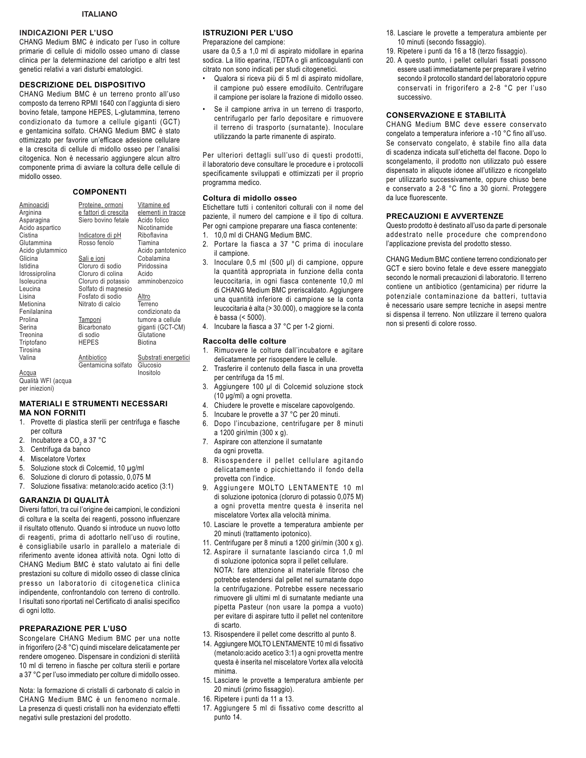### **INDICAZIONI PER L'USO**

CHANG Medium BMC è indicato per l'uso in colture primarie di cellule di midollo osseo umano di classe clinica per la determinazione del cariotipo e altri test genetici relativi a vari disturbi ematologici.

### **DESCRIZIONE DEL DISPOSITIVO**

CHANG Medium BMC è un terreno pronto all'uso composto da terreno RPMI 1640 con l'aggiunta di siero bovino fetale, tampone HEPES, L-glutammina, terreno condizionato da tumore a cellule giganti (GCT) e gentamicina solfato. CHANG Medium BMC è stato ottimizzato per favorire un'efficace adesione cellulare e la crescita di cellule di midollo osseo per l'analisi citogenica. Non è necessario aggiungere alcun altro componente prima di avviare la coltura delle cellule di midollo osseo.

### **COMPONENTI**

| Aminoacidi<br>Arginina                  | Proteine, ormoni<br>e fattori di crescita | Vitamine ed<br>elementi in tracce |
|-----------------------------------------|-------------------------------------------|-----------------------------------|
| Asparagina                              | Siero bovino fetale                       | Acido folico                      |
| Acido aspartico                         |                                           | Nicotinamide                      |
| Cistina                                 | <u>Indicatore di pH</u>                   | Riboflavina                       |
| Glutammina                              | Rosso fenolo                              | Tiamina                           |
| Acido glutammico                        |                                           | Acido pantotenico                 |
| Glicina                                 | Sali e ioni                               | Cobalamina                        |
| Istidina                                | Cloruro di sodio                          | Piridossina                       |
| Idrossiprolina                          | Cloruro di colina                         | Acido                             |
| Isoleucina                              | Cloruro di potassio                       | amminobenzoico                    |
| Leucina                                 | Solfato di magnesio                       |                                   |
| Lisina                                  | Fosfato di sodio                          | Altro                             |
| Metionina                               | Nitrato di calcio                         | Terreno                           |
| Fenilalanina                            |                                           | condizionato da                   |
| Prolina                                 | <b>Tamponi</b>                            | tumore a cellule                  |
| Serina                                  | Bicarbonato                               | giganti (GCT-CM)                  |
| Treonina                                | di sodio                                  | Glutatione                        |
| Triptofano                              | <b>HEPES</b>                              | Biotina                           |
| Tirosina                                |                                           |                                   |
| Valina                                  | Antibiotico                               | Substrati energetici              |
|                                         | Gentamicina solfato                       | Glucosio                          |
| <u>Acqua</u><br>$0.00114$ $MITL/0.0010$ |                                           | Inositolo                         |
|                                         |                                           |                                   |

Qualità WFI (acqua per iniezioni)

### **MATERIALI E STRUMENTI NECESSARI MA NON FORNITI**

- 1. Provette di plastica sterili per centrifuga e fiasche per coltura
- 2. Incubatore a CO<sub>2</sub> a 37 °C
- 3. Centrifuga da banco
- 4. Miscelatore Vortex
- 5. Soluzione stock di Colcemid, 10 µg/ml
- 6. Soluzione di cloruro di potassio, 0,075 M
- 7. Soluzione fissativa: metanolo:acido acetico (3:1)

### **GARANZIA DI QUALITÀ**

Diversi fattori, tra cui l'origine dei campioni, le condizioni di coltura e la scelta dei reagenti, possono influenzare il risultato ottenuto. Quando si introduce un nuovo lotto di reagenti, prima di adottarlo nell'uso di routine, è consigliabile usarlo in parallelo a materiale di riferimento avente idonea attività nota. Ogni lotto di CHANG Medium BMC è stato valutato ai fini delle prestazioni su colture di midollo osseo di classe clinica presso un laboratorio di citogenetica clinica indipendente, confrontandolo con terreno di controllo. I risultati sono riportati nel Certificato di analisi specifico di ogni lotto.

### **PREPARAZIONE PER L'USO**

Scongelare CHANG Medium BMC per una notte in frigorifero (2-8 °C) quindi miscelare delicatamente per rendere omogeneo. Dispensare in condizioni di sterilità 10 ml di terreno in fiasche per coltura sterili e portare a 37 °C per l'uso immediato per colture di midollo osseo.

Nota: la formazione di cristalli di carbonato di calcio in CHANG Medium BMC è un fenomeno normale. La presenza di questi cristalli non ha evidenziato effetti negativi sulle prestazioni del prodotto.

### **ISTRUZIONI PER L'USO**

Preparazione del campione:

usare da 0,5 a 1,0 ml di aspirato midollare in eparina sodica. La litio eparina, l'EDTA o gli anticoagulanti con citrato non sono indicati per studi citogenetici.

- Qualora si riceva più di 5 ml di aspirato midollare, il campione può essere emodiluito. Centrifugare il campione per isolare la frazione di midollo osseo.
- Se il campione arriva in un terreno di trasporto, centrifugarlo per farlo depositare e rimuovere il terreno di trasporto (surnatante). Inoculare utilizzando la parte rimanente di aspirato.

Per ulteriori dettagli sull'uso di questi prodotti, il laboratorio deve consultare le procedure e i protocolli specificamente sviluppati e ottimizzati per il proprio programma medico.

#### **Coltura di midollo osseo**

Etichettare tutti i contenitori colturali con il nome del paziente, il numero del campione e il tipo di coltura. Per ogni campione preparare una fiasca contenente: 1. 10,0 ml di CHANG Medium BMC.

- 
- 2. Portare la fiasca a 37 °C prima di inoculare il campione.
- 3. Inoculare 0,5 ml (500 µl) di campione, oppure la quantità appropriata in funzione della conta leucocitaria, in ogni fiasca contenente 10,0 ml di CHANG Medium BMC preriscaldato. Aggiungere una quantità inferiore di campione se la conta leucocitaria è alta (> 30.000), o maggiore se la conta è bassa (< 5000).
- 4. Incubare la fiasca a 37 °C per 1-2 giorni.

### **Raccolta delle colture**

- 1. Rimuovere le colture dall'incubatore e agitare delicatamente per risospendere le cellule.
- 2. Trasferire il contenuto della fiasca in una provetta per centrifuga da 15 ml.
- 3. Aggiungere 100 µl di Colcemid soluzione stock  $(10 \mu g/ml)$  a ogni provetta.
- 4. Chiudere le provette e miscelare capovolgendo.
- 5. Incubare le provette a 37 °C per 20 minuti.
- 6. Dopo l'incubazione, centrifugare per 8 minuti a 1200 giri/min (300 x g).
- 7. Aspirare con attenzione il surnatante da ogni provetta.
- 8. Risospendere il pellet cellulare agitando delicatamente o picchiettando il fondo della provetta con l'indice.
- 9. Aggiungere MOLTO LENTAMENTE 10 ml di soluzione ipotonica (cloruro di potassio 0,075 M) a ogni provetta mentre questa è inserita nel miscelatore Vortex alla velocità minima.
- 10. Lasciare le provette a temperatura ambiente per 20 minuti (trattamento ipotonico).
- 11. Centrifugare per 8 minuti a 1200 giri/min (300 x g).
- 12. Aspirare il surnatante lasciando circa 1,0 ml di soluzione ipotonica sopra il pellet cellulare. NOTA: fare attenzione al materiale fibroso che potrebbe estendersi dal pellet nel surnatante dopo la centrifugazione. Potrebbe essere necessario rimuovere gli ultimi ml di surnatante mediante una pipetta Pasteur (non usare la pompa a vuoto) per evitare di aspirare tutto il pellet nel contenitore di scarto.
- 13. Risospendere il pellet come descritto al punto 8.
- 14. Aggiungere MOLTO LENTAMENTE 10 ml di fissativo (metanolo:acido acetico 3:1) a ogni provetta mentre questa è inserita nel miscelatore Vortex alla velocità minima.
- 15. Lasciare le provette a temperatura ambiente per 20 minuti (primo fissaggio).
- 16. Ripetere i punti da 11 a 13.
- 17. Aggiungere 5 ml di fissativo come descritto al punto 14.
- 18. Lasciare le provette a temperatura ambiente per 10 minuti (secondo fissaggio).
- 19. Ripetere i punti da 16 a 18 (terzo fissaggio).
- 20. A questo punto, i pellet cellulari fissati possono essere usati immediatamente per preparare il vetrino secondo il protocollo standard del laboratorio oppure conservati in frigorifero a 2-8 °C per l'uso successivo.

### **CONSERVAZIONE E STABILITÀ**

CHANG Medium BMC deve essere conservato congelato a temperatura inferiore a -10 °C fino all'uso. Se conservato congelato, è stabile fino alla data di scadenza indicata sull'etichetta del flacone. Dopo lo scongelamento, il prodotto non utilizzato può essere dispensato in aliquote idonee all'utilizzo e ricongelato per utilizzarlo successivamente, oppure chiuso bene e conservato a 2-8 °C fino a 30 giorni. Proteggere da luce fluorescente.

### **PRECAUZIONI E AVVERTENZE**

Questo prodotto è destinato all'uso da parte di personale addestrato nelle procedure che comprendono l'applicazione prevista del prodotto stesso.

CHANG Medium BMC contiene terreno condizionato per GCT e siero bovino fetale e deve essere maneggiato secondo le normali precauzioni di laboratorio. Il terreno contiene un antibiotico (gentamicina) per ridurre la potenziale contaminazione da batteri, tuttavia è necessario usare sempre tecniche in asepsi mentre si dispensa il terreno. Non utilizzare il terreno qualora non si presenti di colore rosso.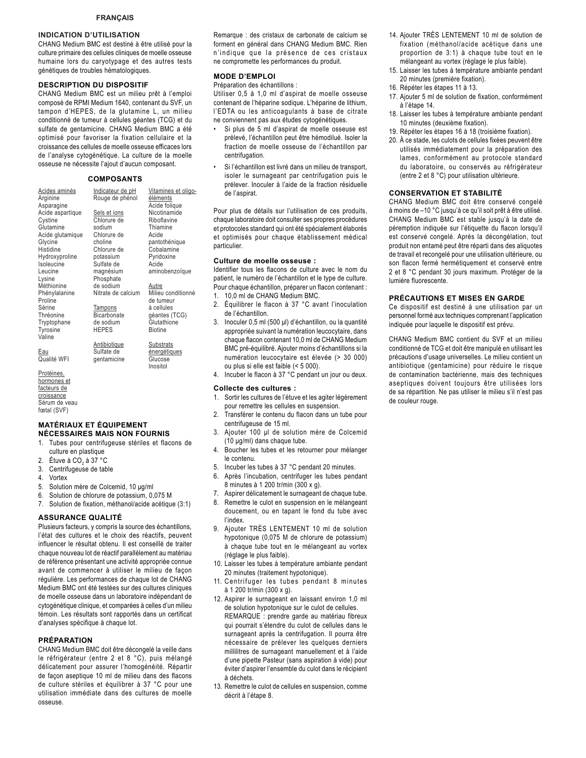### **INDICATION D'UTILISATION**

CHANG Medium BMC est destiné à être utilisé pour la culture primaire des cellules cliniques de moelle osseuse humaine lors du caryotypage et des autres tests génétiques de troubles hématologiques.

#### **DESCRIPTION DU DISPOSITIF**

CHANG Medium BMC est un milieu prêt à l'emploi composé de RPMI Medium 1640, contenant du SVF, un tampon d'HEPES, de la glutamine L, un milieu conditionné de tumeur à cellules géantes (TCG) et du sulfate de gentamicine. CHANG Medium BMC a été optimisé pour favoriser la fixation cellulaire et la croissance des cellules de moelle osseuse efficaces lors de l'analyse cytogénétique. La culture de la moelle osseuse ne nécessite l'ajout d'aucun composant.

### **COMPOSANTS**

| Acides aminés<br>Arginine<br>Asparagine | Indicateur de pH<br>Rouge de phénol | Vitamines et oligo-<br>éléments<br>Acide folique |
|-----------------------------------------|-------------------------------------|--------------------------------------------------|
| Acide aspartique                        | Sels et ions                        | Nicotinamide                                     |
| Cystine                                 | Chlorure de                         | Riboflavine                                      |
| Glutamine                               | sodium                              | Thiamine                                         |
| Acide glutamique                        | Chlorure de<br>choline              | Acide                                            |
| Glycine<br>Histidine                    | Chlorure de                         | pantothénique<br>Cobalamine                      |
| Hydroxyproline                          | potassium                           | Pyridoxine                                       |
| Isoleucine                              | Sulfate de                          | Acide                                            |
| Leucine                                 | magnésium                           | aminobenzoïque                                   |
| Lysine                                  | Phosphate                           |                                                  |
| Méthionine                              | de sodium                           | Autre                                            |
| Phénylalanine<br>Proline                | Nitrate de calcium                  | Milieu conditionné<br>de tumeur                  |
| Sérine                                  | Tampons                             | à cellules                                       |
| Thréonine                               | <b>Bicarbonate</b>                  | géantes (TCG)                                    |
| Tryptophane                             | de sodium                           | Glutathione                                      |
| Tyrosine                                | <b>HEPES</b>                        | <b>Biotine</b>                                   |
| Valine                                  |                                     |                                                  |
|                                         | <b>Antibiotique</b>                 | <b>Substrats</b>                                 |
| Eau                                     | Sulfate de                          | énergétiques                                     |
| Qualité WFI                             | gentamicine                         | Glucose                                          |
|                                         |                                     | Inositol                                         |

Protéines, hormones et facteurs de croissance<br>Sérum de veau fœtal (SVF)

### **MATÉRIAUX ET ÉQUIPEMENT NÉCESSAIRES MAIS NON FOURNIS**

- 1. Tubes pour centrifugeuse stériles et flacons de culture en plastique
- 2. Étuve à CO<sub>2</sub> à 37 °C
- 3. Centrifugeuse de table
- 4. Vortex
- 5. Solution mère de Colcemid, 10 µg/ml
- 6. Solution de chlorure de potassium, 0,075 M
- 7. Solution de fixation, méthanol/acide acétique (3:1)

### **ASSURANCE QUALITÉ**

Plusieurs facteurs, y compris la source des échantillons, l'état des cultures et le choix des réactifs, peuvent influencer le résultat obtenu. Il est conseillé de traiter chaque nouveau lot de réactif parallèlement au matériau de référence présentant une activité appropriée connue avant de commencer à utiliser le milieu de façon régulière. Les performances de chaque lot de CHANG Medium BMC ont été testées sur des cultures cliniques de moelle osseuse dans un laboratoire indépendant de cytogénétique clinique, et comparées à celles d'un milieu témoin. Les résultats sont rapportés dans un certificat d'analyses spécifique à chaque lot.

#### **PRÉPARATION**

CHANG Medium BMC doit être décongelé la veille dans le réfrigérateur (entre 2 et 8 °C), puis mélangé délicatement pour assurer l'homogénéité. Répartir de façon aseptique 10 ml de milieu dans des flacons de culture stériles et équilibrer à 37 °C pour une utilisation immédiate dans des cultures de moelle osseuse.

Remarque : des cristaux de carbonate de calcium se forment en général dans CHANG Medium BMC. Rien n'indique que la présence de ces cristaux ne compromette les performances du produit.

#### **MODE D'EMPLOI**

Préparation des échantillons :

Utiliser 0,5 à 1,0 ml d'aspirat de moelle osseuse contenant de l'héparine sodique. L'héparine de lithium, l'EDTA ou les anticoagulants à base de citrate ne conviennent pas aux études cytogénétiques.

- Si plus de 5 ml d'aspirat de moelle osseuse est prélevé, l'échantillon peut être hémodilué. Isoler la fraction de moelle osseuse de l'échantillon par centrifugation.
- Si l'échantillon est livré dans un milieu de transport, isoler le surnageant par centrifugation puis le prélever. Inoculer à l'aide de la fraction résiduelle de l'aspirat.

Pour plus de détails sur l'utilisation de ces produits, chaque laboratoire doit consulter ses propres procédures et protocoles standard qui ont été spécialement élaborés et optimisés pour chaque établissement médical particulier.

#### **Culture de moelle osseuse :**

Identifier tous les flacons de culture avec le nom du patient, le numéro de l'échantillon et le type de culture. Pour chaque échantillon, préparer un flacon contenant : 1. 10,0 ml de CHANG Medium BMC.

- 
- 2. Équilibrer le flacon à 37 °C avant l'inoculation de l'échantillon.
- 3. Inoculer 0,5 ml (500 µl) d'échantillon, ou la quantité appropriée suivant la numération leucocytaire, dans chaque flacon contenant 10,0 ml de CHANG Medium BMC pré-équilibré. Ajouter moins d'échantillons si la numération leucocytaire est élevée (> 30 000) ou plus si elle est faible (< 5 000).
- 4. Incuber le flacon à 37 °C pendant un jour ou deux.

#### **Collecte des cultures :**

- 1. Sortir les cultures de l'étuve et les agiter légèrement pour remettre les cellules en suspension.
- 2. Transférer le contenu du flacon dans un tube pour centrifugeuse de 15 ml.
- 3. Ajouter 100 µl de solution mère de Colcemid (10 µg/ml) dans chaque tube.
- 4. Boucher les tubes et les retourner pour mélanger le contenu.
- 5. Incuber les tubes à 37 °C pendant 20 minutes.
- 6. Après l'incubation, centrifuger les tubes pendant 8 minutes à 1 200 tr/min (300 x g).
- 7. Aspirer délicatement le surnageant de chaque tube.
- 8. Remettre le culot en suspension en le mélangeant doucement, ou en tapant le fond du tube avec l'index.
- 9. Aiouter TRÈS LENTEMENT 10 ml de solution hypotonique (0,075 M de chlorure de potassium) à chaque tube tout en le mélangeant au vortex (réglage le plus faible).
- 10. Laisser les tubes à température ambiante pendant 20 minutes (traitement hypotonique).
- 11. Centrifuger les tubes pendant 8 minutes à 1 200 tr/min (300 x g).
- 12. Aspirer le surnageant en laissant environ 1,0 ml de solution hypotonique sur le culot de cellules. REMARQUE : prendre garde au matériau fibreux qui pourrait s'étendre du culot de cellules dans le surnageant après la centrifugation. Il pourra être nécessaire de prélever les quelques derniers millilitres de surnageant manuellement et à l'aide d'une pipette Pasteur (sans aspiration à vide) pour éviter d'aspirer l'ensemble du culot dans le récipient à déchets.
- 13. Remettre le culot de cellules en suspension, comme décrit à l'étape 8.
- 14. Ajouter TRÈS LENTEMENT 10 ml de solution de fixation (méthanol/acide acétique dans une proportion de 3:1) à chaque tube tout en le mélangeant au vortex (réglage le plus faible).
- 15. Laisser les tubes à température ambiante pendant 20 minutes (première fixation).
- 16. Répéter les étapes 11 à 13.
- 17. Ajouter 5 ml de solution de fixation, conformément à l'étape 14.
- 18. Laisser les tubes à température ambiante pendant 10 minutes (deuxième fixation).
- 19. Répéter les étapes 16 à 18 (troisième fixation).
- 20. À ce stade, les culots de cellules fixées peuvent être utilisés immédiatement pour la préparation des lames, conformément au protocole standard du laboratoire, ou conservés au réfrigérateur (entre 2 et 8 °C) pour utilisation ultérieure.

#### **CONSERVATION ET STABILITÉ**

CHANG Medium BMC doit être conservé congelé à moins de -10 °C jusqu'à ce qu'il soit prêt à être utilisé. CHANG Medium BMC est stable jusqu'à la date de péremption indiquée sur l'étiquette du flacon lorsqu'il est conservé congelé. Après la décongélation, tout produit non entamé peut être réparti dans des aliquotes de travail et recongelé pour une utilisation ultérieure, ou son flacon fermé hermétiquement et conservé entre 2 et 8 °C pendant 30 jours maximum. Protéger de la lumière fluorescente.

#### **PRÉCAUTIONS ET MISES EN GARDE**

Ce dispositif est destiné à une utilisation par un personnel formé aux techniques comprenant l'application indiquée pour laquelle le dispositif est prévu.

CHANG Medium BMC contient du SVF et un milieu conditionné de TCG et doit être manipulé en utilisant les précautions d'usage universelles. Le milieu contient un antibiotique (gentamicine) pour réduire le risque de contamination bactérienne, mais des techniques aseptiques doivent toujours être utilisées lors de sa répartition. Ne pas utiliser le milieu s'il n'est pas de couleur rouge.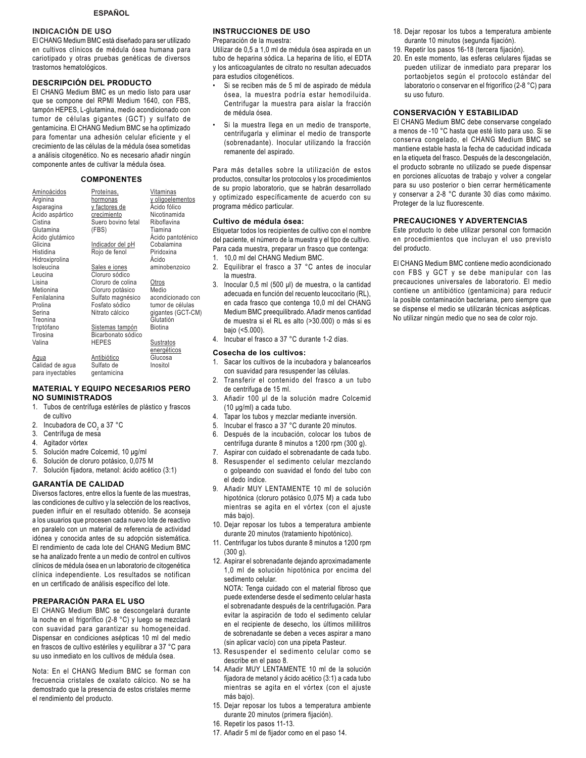### **INDICACIÓN DE USO**

El CHANG Medium BMC está diseñado para ser utilizado en cultivos clínicos de médula ósea humana para cariotipado y otras pruebas genéticas de diversos trastornos hematológicos.

### **DESCRIPCIÓN DEL PRODUCTO**

El CHANG Medium BMC es un medio listo para usar que se compone del RPMI Medium 1640, con FBS, tampón HEPES, L-glutamina, medio acondicionado con tumor de células gigantes (GCT) y sulfato de gentamicina. El CHANG Medium BMC se ha optimizado para fomentar una adhesión celular eficiente y el crecimiento de las células de la médula ósea sometidas a análisis citogenético. No es necesario añadir ningún componente antes de cultivar la médula ósea.

### **COMPONENTES**

| Aminoácidos      | Proteínas,         | Vitaminas         |
|------------------|--------------------|-------------------|
| Arginina         | hormonas           | y oligoelementos  |
| Asparagina       | y factores de      | Ácido fólico      |
| Acido aspártico  | crecimiento        | Nicotinamida      |
| Cistina          | Suero bovino fetal | Riboflavina       |
| Glutamina        | (FBS)              | Tiamina           |
| Acido glutámico  |                    | Ácido pantoténico |
| Glicina          | Indicador del pH   | Cobalamina        |
| Histidina        | Rojo de fenol      | Piridoxina        |
| Hidroxiprolina   |                    | Acido             |
| Isoleucina       | Sales e iones      | aminobenzoico     |
| Leucina          | Cloruro sódico     |                   |
| Lisina           | Cloruro de colina  | Otros             |
| Metionina        | Cloruro potásico   | Medio             |
| Fenilalanina     | Sulfato magnésico  | acondicionado con |
| Prolina          | Fosfato sódico     | tumor de células  |
| Serina           | Nitrato cálcico    | gigantes (GCT-CM) |
| Treonina         |                    | Glutatión         |
| Triptófano       | Sistemas tampón    | Biotina           |
| Tirosina         | Bicarbonato sódico |                   |
| Valina           | HEPES              | Sustratos         |
|                  |                    | energéticos       |
| Agua             | Antibiótico        | Glucosa           |
| Calidad de agua  | Sulfato de         | Inositol          |
| para inyectables | qentamicina        |                   |

#### **MATERIAL Y EQUIPO NECESARIOS PERO NO SUMINISTRADOS**

- 1. Tubos de centrífuga estériles de plástico y frascos de cultivo
- 2. Incubadora de CO $_2$  a 37 °C
- 3. Centrífuga de mesa
- 4. Agitador vórtex

- 5. Solución madre Colcemid, 10 µq/ml
- 6. Solución de cloruro potásico, 0,075 M
- 7. Solución fijadora, metanol: ácido acético (3:1)

### **GARANTÍA DE CALIDAD**

Diversos factores, entre ellos la fuente de las muestras, las condiciones de cultivo y la selección de los reactivos, pueden influir en el resultado obtenido. Se aconseja a los usuarios que procesen cada nuevo lote de reactivo en paralelo con un material de referencia de actividad idónea y conocida antes de su adopción sistemática. El rendimiento de cada lote del CHANG Medium BMC se ha analizado frente a un medio de control en cultivos clínicos de médula ósea en un laboratorio de citogenética clínica independiente. Los resultados se notifican en un certificado de análisis específico del lote.

### **PREPARACIÓN PARA EL USO**

El CHANG Medium BMC se descongelará durante la noche en el frigorífico (2-8 °C) y luego se mezclará con suavidad para garantizar su homogeneidad. Dispensar en condiciones asépticas 10 ml del medio en frascos de cultivo estériles y equilibrar a 37 °C para su uso inmediato en los cultivos de médula ósea.

Nota: En el CHANG Medium BMC se forman con frecuencia cristales de oxalato cálcico. No se ha demostrado que la presencia de estos cristales merme el rendimiento del producto.

### **INSTRUCCIONES DE USO**

Preparación de la muestra:

Utilizar de 0,5 a 1,0 ml de médula ósea aspirada en un tubo de heparina sódica. La heparina de litio, el EDTA y los anticoagulantes de citrato no resultan adecuados para estudios citogenéticos.

- Si se reciben más de 5 ml de aspirado de médula ósea, la muestra podría estar hemodiluida. Centrifugar la muestra para aislar la fracción de médula ósea.
- Si la muestra llega en un medio de transporte, centrifugarla y eliminar el medio de transporte (sobrenadante). Inocular utilizando la fracción remanente del aspirado.

Para más detalles sobre la utilización de estos productos, consultar los protocolos y los procedimientos de su propio laboratorio, que se habrán desarrollado y optimizado específicamente de acuerdo con su programa médico particular.

### **Cultivo de médula ósea:**

Etiquetar todos los recipientes de cultivo con el nombre del paciente, el número de la muestra y el tipo de cultivo. Para cada muestra, preparar un frasco que contenga:

- 1. 10,0 ml del CHANG Medium BMC.
- 2. Equilibrar el frasco a 37 °C antes de inocular la muestra.
- 3. Inocular 0,5 ml (500 µl) de muestra, o la cantidad adecuada en función del recuento leucocitario (RL), en cada frasco que contenga 10,0 ml del CHANG Medium BMC preequilibrado. Añadir menos cantidad de muestra si el RL es alto (>30.000) o más si es bajo (<5.000).
- 4. Incubar el frasco a 37 °C durante 1-2 días.

### **Cosecha de los cultivos:**

- 1. Sacar los cultivos de la incubadora y balancearlos con suavidad para resuspender las células.
- 2. Transferir el contenido del frasco a un tubo de centrifuga de 15 ml.
- 3. Añadir 100 µl de la solución madre Colcemid  $(10 \text{ µg/ml})$  a cada tubo.
- 4. Tapar los tubos y mezclar mediante inversión.
- 5. Incubar el frasco a 37 °C durante 20 minutos.
- 6. Después de la incubación, colocar los tubos de centrífuga durante 8 minutos a 1200 rpm (300 g).
- 7. Aspirar con cuidado el sobrenadante de cada tubo.
- 8. Resuspender el sedimento celular mezclando o golpeando con suavidad el fondo del tubo con el dedo índice.
- 9. Añadir MUY LENTAMENTE 10 ml de solución hipotónica (cloruro potásico 0,075 M) a cada tubo mientras se agita en el vórtex (con el ajuste más bajo).
- 10. Dejar reposar los tubos a temperatura ambiente durante 20 minutos (tratamiento hipotónico).
- 11. Centrifugar los tubos durante 8 minutos a 1200 rpm (300 g).
- 12. Aspirar el sobrenadante dejando aproximadamente 1,0 ml de solución hipotónica por encima del sedimento celular.

 NOTA: Tenga cuidado con el material fibroso que puede extenderse desde el sedimento celular hasta el sobrenadante después de la centrifugación. Para evitar la aspiración de todo el sedimento celular en el recipiente de desecho, los últimos mililitros de sobrenadante se deben a veces aspirar a mano (sin aplicar vacío) con una pipeta Pasteur.

- 13. Resuspender el sedimento celular como se describe en el paso 8.
- 14. Añadir MUY LENTAMENTE 10 ml de la solución fijadora de metanol y ácido acético (3:1) a cada tubo mientras se agita en el vórtex (con el ajuste más bajo).
- 15. Dejar reposar los tubos a temperatura ambiente durante 20 minutos (primera fijación).
- 16. Repetir los pasos 11-13.
- 17. Añadir 5 ml de fijador como en el paso 14.
- 18. Dejar reposar los tubos a temperatura ambiente durante 10 minutos (segunda fijación).
- 19. Repetir los pasos 16-18 (tercera fijación).
- 20. En este momento, las esferas celulares fijadas se pueden utilizar de inmediato para preparar los portaobietos según el protocolo estándar del laboratorio o conservar en el frigorífico (2-8 °C) para su uso futuro.

### **CONSERVACIÓN Y ESTABILIDAD**

El CHANG Medium BMC debe conservarse congelado a menos de -10 °C hasta que esté listo para uso. Si se conserva congelado, el CHANG Medium BMC se mantiene estable hasta la fecha de caducidad indicada en la etiqueta del frasco. Después de la descongelación, el producto sobrante no utilizado se puede dispensar en porciones alícuotas de trabajo y volver a congelar para su uso posterior o bien cerrar herméticamente y conservar a 2-8 °C durante 30 días como máximo. Proteger de la luz fluorescente.

### **PRECAUCIONES Y ADVERTENCIAS**

Este producto lo debe utilizar personal con formación en procedimientos que incluyan el uso previsto del producto.

El CHANG Medium BMC contiene medio acondicionado con FBS y GCT y se debe manipular con las precauciones universales de laboratorio. El medio contiene un antibiótico (gentamicina) para reducir la posible contaminación bacteriana, pero siempre que se dispense el medio se utilizarán técnicas asépticas. No utilizar ningún medio que no sea de color rojo.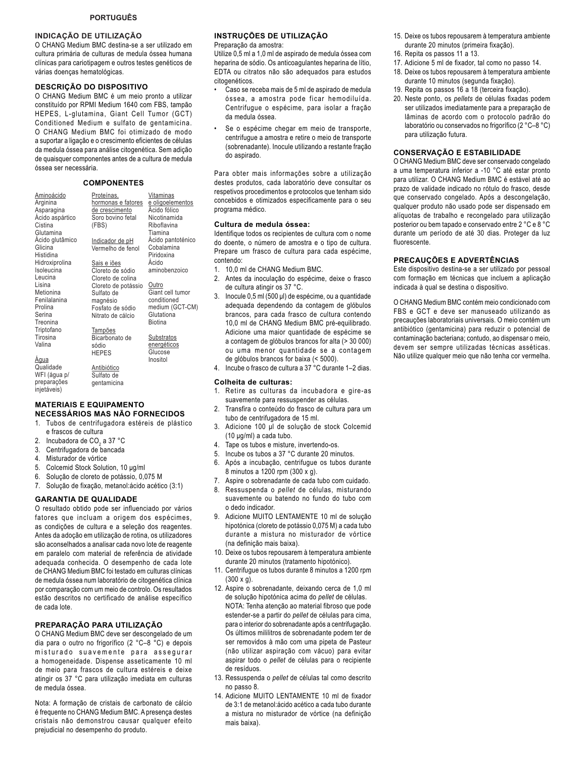### **INDICAÇÃO DE UTILIZAÇÃO**

O CHANG Medium BMC destina-se a ser utilizado em cultura primária de culturas de medula óssea humana clínicas para cariotipagem e outros testes genéticos de várias doenças hematológicas.

### **DESCRIÇÃO DO DISPOSITIVO**

O CHANG Medium BMC é um meio pronto a utilizar constituído por RPMI Medium 1640 com FBS, tampão HEPES, L-glutamina, Giant Cell Tumor (GCT) Conditioned Medium e sulfato de gentamicina. O CHANG Medium BMC foi otimizado de modo a suportar a ligação e o crescimento eficientes de células da medula óssea para análise citogenética. Sem adição de quaisquer componentes antes de a cultura de medula óssea ser necessária.

#### **COMPONENTES**

| Aminoácido<br>Arginina<br>Asparagina<br>Acido aspártico<br>Cistina | Proteínas,<br>hormonas e fatores<br>de crescimento<br>Soro bovino fetal<br>(FBS) | Vitaminas<br>e oligoelementos<br>Acido fólico<br>Nicotinamida<br>Riboflavina |
|--------------------------------------------------------------------|----------------------------------------------------------------------------------|------------------------------------------------------------------------------|
| Glutamina<br>Ácido glutâmico                                       | <u>Indicador de pH</u>                                                           | Tiamina<br>Ácido pantoténico                                                 |
| Glicina<br>Histidina                                               | Vermelho de fenol                                                                | Cobalamina<br>Piridoxina                                                     |
| Hidroxiprolina                                                     | Sais e iões                                                                      | Ácido                                                                        |
| Isoleucina                                                         | Cloreto de sódio                                                                 | aminobenzoico                                                                |
| Leucina                                                            | Cloreto de colina                                                                |                                                                              |
| Lisina                                                             | Cloreto de potássio                                                              | Outro                                                                        |
| Metionina                                                          | Sulfato de                                                                       | Giant cell tumor                                                             |
| Fenilalanina                                                       | magnésio                                                                         | conditioned                                                                  |
| Prolina                                                            | Fosfato de sódio                                                                 | medium (GCT-CM)                                                              |
| Serina<br>Treonina                                                 | Nitrato de cálcio                                                                | Glutationa<br>Biotina                                                        |
| Triptofano                                                         | <b>Tampões</b>                                                                   |                                                                              |
| Tirosina                                                           | Bicarbonato de                                                                   | Substratos                                                                   |
| Valina                                                             | sódio<br><b>HEPES</b>                                                            | energéticos<br>Glucose                                                       |
| <u>Aqua</u>                                                        |                                                                                  | Inositol                                                                     |
| Qualidade<br>WFI (água p/                                          | <b>Antibiótico</b><br>Sulfato de                                                 |                                                                              |
| preparações<br>inietáveis)                                         | gentamicina                                                                      |                                                                              |

### **MATERIAIS E EQUIPAMENTO**

- **NECESSÁRIOS MAS NÃO FORNECIDOS**
- 1. Tubos de centrifugadora estéreis de plástico e frascos de cultura
- 2. Incubadora de CO<sub>2</sub> a 37 °C
- 3. Centrifugadora de bancada
- 4. Misturador de vórtice
- 5. Colcemid Stock Solution, 10 µg/ml
- 6. Solução de cloreto de potássio, 0,075 M
- 7. Solução de fixação, metanol:ácido acético (3:1)

#### **GARANTIA DE QUALIDADE**

O resultado obtido pode ser influenciado por vários fatores que incluam a origem dos espécimes, as condições de cultura e a seleção dos reagentes. Antes da adoção em utilização de rotina, os utilizadores são aconselhados a analisar cada novo lote de reagente em paralelo com material de referência de atividade adequada conhecida. O desempenho de cada lote de CHANG Medium BMC foi testado em culturas clínicas de medula óssea num laboratório de citogenética clínica por comparação com um meio de controlo. Os resultados estão descritos no certificado de análise específico de cada lote.

### **PREPARAÇÃO PARA UTILIZAÇÃO**

O CHANG Medium BMC deve ser descongelado de um dia para o outro no frigorífico (2 °C-8 °C) e depois misturado suavemente para assegurar a homogeneidade. Dispense asseticamente 10 ml de meio para frascos de cultura estéreis e deixe atingir os 37 °C para utilização imediata em culturas de medula óssea.

Nota: A formação de cristais de carbonato de cálcio é frequente no CHANG Medium BMC. A presença destes cristais não demonstrou causar qualquer efeito prejudicial no desempenho do produto.

### **INSTRUÇÕES DE UTILIZAÇÃO**

Preparação da amostra:

Utilize 0,5 ml a 1,0 ml de aspirado de medula óssea com heparina de sódio. Os anticoagulantes heparina de lítio, EDTA ou citratos não são adequados para estudos citogenéticos.

- Caso se receba mais de 5 ml de aspirado de medula óssea, a amostra pode ficar hemodiluída. Centrifugue o espécime, para isolar a fração da medula óssea.
- Se o espécime chegar em meio de transporte, centrifugue a amostra e retire o meio de transporte (sobrenadante). Inocule utilizando a restante fração do aspirado.

Para obter mais informações sobre a utilização destes produtos, cada laboratório deve consultar os respetivos procedimentos e protocolos que tenham sido concebidos e otimizados especificamente para o seu programa médico.

### **Cultura de medula óssea:**

Identifique todos os recipientes de cultura com o nome do doente, o número de amostra e o tipo de cultura. Prepare um frasco de cultura para cada espécime, contendo:

- 1. 10,0 ml de CHANG Medium BMC.
- 2. Antes da inoculação do espécime, deixe o frasco de cultura atingir os 37 °C.
- 3. Inocule 0,5 ml (500 µl) de espécime, ou a quantidade adequada dependendo da contagem de glóbulos brancos, para cada frasco de cultura contendo 10,0 ml de CHANG Medium BMC pré-equilibrado. Adicione uma maior quantidade de espécime se a contagem de glóbulos brancos for alta (> 30 000) ou uma menor quantidade se a contagem de glóbulos brancos for baixa (< 5000).
- 4. Incube o frasco de cultura a 37 °C durante 1–2 dias.

#### **Colheita de culturas:**

- 1. Retire as culturas da incubadora e gire-as suavemente para ressuspender as células.
- 2. Transfira o conteúdo do frasco de cultura para um tubo de centrifugadora de 15 ml.
- 3. Adicione 100 µl de solução de stock Colcemid  $(10 \text{ µg/ml})$  a cada tubo.
- 4. Tape os tubos e misture, invertendo-os.
- 5. Incube os tubos a 37 °C durante 20 minutos.
- 6. Após a incubação, centrifugue os tubos durante 8 minutos a 1200 rpm (300 x g).
- 7. Aspire o sobrenadante de cada tubo com cuidado.
- 8. Ressuspenda o *pellet* de células, misturando suavemente ou batendo no fundo do tubo com o dedo indicador.
- 9. Adicione MUITO LENTAMENTE 10 ml de solução hipotónica (cloreto de potássio 0,075 M) a cada tubo durante a mistura no misturador de vórtice (na definição mais baixa).
- 10. Deixe os tubos repousarem à temperatura ambiente durante 20 minutos (tratamento hipotónico).
- 11. Centrifugue os tubos durante 8 minutos a 1200 rpm (300 x g).
- 12. Aspire o sobrenadante, deixando cerca de 1,0 ml de solução hipotónica acima do *pellet* de células. NOTA: Tenha atenção ao material fibroso que pode estender-se a partir do *pellet* de células para cima, para o interior do sobrenadante após a centrifugação. Os últimos mililitros de sobrenadante podem ter de ser removidos à mão com uma pipeta de Pasteur (não utilizar aspiração com vácuo) para evitar aspirar todo o *pellet* de células para o recipiente de resíduos.
- 13. Ressuspenda o *pellet* de células tal como descrito no passo 8.
- 14. Adicione MUITO LENTAMENTE 10 ml de fixador de 3:1 de metanol:ácido acético a cada tubo durante a mistura no misturador de vórtice (na definição mais baixa).
- 15. Deixe os tubos repousarem à temperatura ambiente durante 20 minutos (primeira fixação).
- 16. Repita os passos 11 a 13.
- 17. Adicione 5 ml de fixador, tal como no passo 14.
- 18. Deixe os tubos repousarem à temperatura ambiente durante 10 minutos (segunda fixação).
- 19. Repita os passos 16 a 18 (terceira fixação).
- 20. Neste ponto, os *pellets* de células fixadas podem ser utilizados imediatamente para a preparação de lâminas de acordo com o protocolo padrão do laboratório ou conservados no frigorífico (2 °C-8 °C) para utilização futura.

### **CONSERVAÇÃO E ESTABILIDADE**

O CHANG Medium BMC deve ser conservado congelado a uma temperatura inferior a -10 °C até estar pronto para utilizar. O CHANG Medium BMC é estável até ao prazo de validade indicado no rótulo do frasco, desde que conservado congelado. Após a descongelação, qualquer produto não usado pode ser dispensado em alíquotas de trabalho e recongelado para utilização posterior ou bem tapado e conservado entre 2 °C e 8 °C durante um período de até 30 dias. Proteger da luz fluorescente.

#### **PRECAUÇÕES E ADVERTÊNCIAS**

Este dispositivo destina-se a ser utilizado por pessoal com formação em técnicas que incluem a aplicação indicada à qual se destina o dispositivo.

O CHANG Medium BMC contém meio condicionado com FBS e GCT e deve ser manuseado utilizando as precauções laboratoriais universais. O meio contém um antibiótico (gentamicina) para reduzir o potencial de contaminação bacteriana; contudo, ao dispensar o meio, devem ser sempre utilizadas técnicas asséticas. Não utilize qualquer meio que não tenha cor vermelha.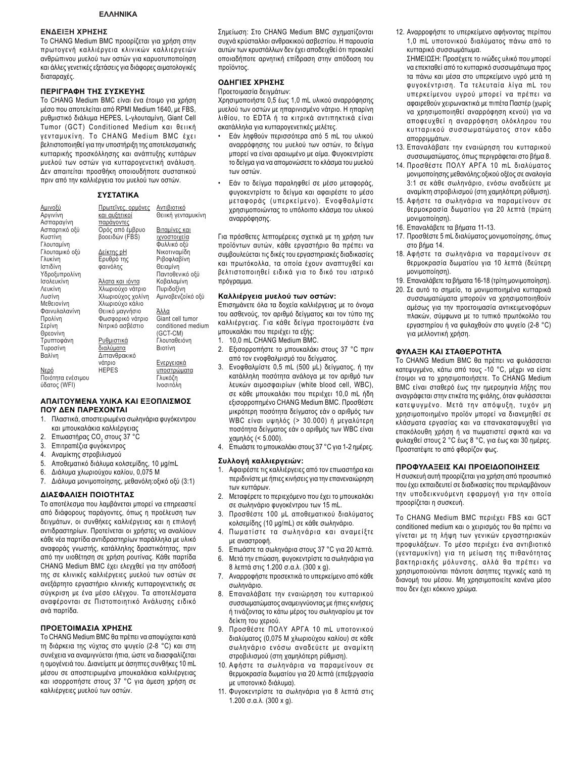### **ΕΝΔΕΙΞΗ ΧΡΗΣΗΣ**

Το CHANG Medium BMC προορίζεται για χρήση στην πρωτογενή καλλιέργεια κλινικών καλλιεργειών ανθρώπινου μυελού των οστών για καρυοτυποποίηση και άλλες γενετικές εξετάσεις για διάφορες αιματολογικές διαταραχές.

### **ΠΕΡΙΓΡΑΦΗ ΤΗΣ ΣΥΣΚΕΥΗΣ**

Το CHANG Medium BMC είναι ένα έτοιμο για χρήση μέσο που αποτελείται από RPMI Medium 1640, με FBS. ρυθμιστικό διάλυμα HEPES, L-γλουταμίνη, Giant Cell Tumor (GCT) Conditioned Medium και θειική γενταμυκίνη. Το CHANG Medium BMC έχει βελτιστοποιηθεί για την υποστήριξη της αποτελεσματικής κυτταρικής προσκόλλησης και ανάπτυξης κυττάρων μυελού των οστών για κυτταρογενετική ανάλυση. Δεν απαιτείται προσθήκη οποιουδήποτε συστατικού πριν από την καλλιέργεια του μυελού των οστών.

### **ΣΥΣΤΑΤΙΚΑ**

| <u>Αμινοξύ</u><br>Αργινίνη<br>Ασπαραγίνη<br>Ασπαρτικό οξύ<br>Κυστίνη<br>Γλουταμίνη<br>Γλουταμικό οξύ<br>Γλυκίνη<br>Ιστιδίνη<br>Υδροξυπρολίνη<br>Ισολευκίνη<br>Λευκίνη<br>Λυσίνη<br>Μεθειονίνη<br>Φαινυλαλανίνη<br>Προλίνη<br>Σερίνη<br>Θρεονίνη<br>Τρυπτοφάνη<br>Τυροσίνη<br>Βαλίνη | Πρωτεΐνες, ορμόνες<br>και αυξητικοί<br><u>παράγοντες</u><br>Ορός από έμβρυο<br>βοοειδών (FBS)<br><u>Δείκτης pH</u><br>Ερυθρό της<br>φαινόλης<br>Άλατα και ιόντα<br>Χλωριούχο νάτριο<br>Χλωριούχος χολίνη<br>Χλωριούχο κάλιο<br>Θειικό μαγνήσιο<br>Φωσφορικό νάτριο<br>Νιτρικό ασβέστιο<br><u>Ρυθμιστικά</u><br><u>διαλύματα</u><br>Διττανθρακικό | Αντιβιοτικό<br>Θειική γενταμυκίνη<br><u>Βιταμίνες και</u><br>ιχνοστοιχεία<br>Φυλλικό οξύ<br>Νικοτιναμίδη<br>Ριβοφλαβίνη<br>Θειαμίνη<br>Παντοθενικό οξύ<br>Κοβαλαμίνη<br>Πυριδοξίνη<br>Αμινοβενζοϊκό οξύ<br>Άλλα<br>Giant cell tumor<br>conditioned medium<br>(GCT-CM)<br>Γλουταθειόνη<br>Βιοτίνη |
|-------------------------------------------------------------------------------------------------------------------------------------------------------------------------------------------------------------------------------------------------------------------------------------|--------------------------------------------------------------------------------------------------------------------------------------------------------------------------------------------------------------------------------------------------------------------------------------------------------------------------------------------------|--------------------------------------------------------------------------------------------------------------------------------------------------------------------------------------------------------------------------------------------------------------------------------------------------|
|                                                                                                                                                                                                                                                                                     |                                                                                                                                                                                                                                                                                                                                                  |                                                                                                                                                                                                                                                                                                  |
| Νερό<br>Ποιότητα ενέσιμου<br>ύδατος (WFI)                                                                                                                                                                                                                                           | νάτριο<br><b>HEPES</b>                                                                                                                                                                                                                                                                                                                           | <u>Ενεργειακά</u><br>υποστρώματα<br>Γλυκόζη<br>Ινοσιτόλη                                                                                                                                                                                                                                         |

#### **ΝΩ** ΑΠΑΙΤΟΥΜΕΝΑ ΥΛΙΚΑ ΚΑΙ ΕΞΟΠΛΙΣΜΟΣ **ΠΟΥ ΔΕΝ ΠΑΡΕΧΟΝΤΑΙ**

- 1. Πλαστικά, αποστειρωμένα σωληνάρια φυγόκεντρου και μπουκαλάκια καλλιέργειας
- 2. Επωαστήρας CO<sub>2</sub> στους 37 °C
- 3. Επιτραπέζια φυγόκεντρος
- 4. Αναμίκτης στροβιλισμού
- 5. Αποθεματικό διάλυμα κολσεμίδης, 10 μg/mL
- 6. Διάλυμα χλωριούχου καλίου, 0,075 Μ
- 7. Διάλυμα μονιμοποίησης, μεθανόλη: οξικό οξύ (3:1)

### $\Delta$ ΙΑΣΦΑΛΙΣΗ ΠΟΙΟΤΗΤΑΣ

Το αποτέλεσμα που λαμβάνεται μπορεί να επηρεαστεί από διάφορους παράγοντες, όπως η προέλευση των δειγμάτων, οι συνθήκες καλλιέργειας και η επιλογή αντιδραστηρίων. Προτείνεται οι χρήστες να αναλύουν κάθε νέα παρτίδα αντιδραστηρίων παράλληλα με υλικό αναφοράς γνωστής, κατάλληλης δραστικότητας, πριν από την υιοθέτηση σε χρήση ρουτίνας. Κάθε παρτίδα CHANG Medium BMC έχει ελεγχθεί για την απόδοσή της σε κλινικές καλλιέργειες μυελού των οστών σε ανεξάρτητο εργαστήριο κλινικής κυτταρογενετικής σε σύγκριση με ένα μέσο ελέγχου. Τα αποτελέσματα αναφέρονται σε Πιστοποιητικό Ανάλυσης ειδικό ανά παρτίδα.

### ΠΡΟΕΤΟΙΜΑΣΙΑ ΧΡΗΣΗΣ

Το CHANG Medium BMC θα πρέπει να αποψύχεται κατά τη διάρκεια της νύχτας στο ψυγείο (2-8 °C) και στη συνέχεια να αναμιγνύεται ήπια, ώστε να διασφαλίζεται η ομογένειά του. Διανείμετε με άσηπτες συνθήκες 10 mL μέσου σε αποστειρωμένα μπουκαλάκια καλλιέργειας και ισορροπήστε στους 37 °C για άμεση χρήση σε καλλιέργειες μυελού των οστών.

Σημείωση: Στο CHANG Medium BMC σχηματίζονται συχνά κρύσταλλοι ανθρακικού ασβεστίου. Η παρουσία αυτών των κρυστάλλων δεν έχει αποδειχθεί ότι προκαλεί οποιαδήποτε αρνητική επίδραση στην απόδοση του προϊόντος.

### **ΟΔΗΓΙΕΣ ΧΡΗΣΗΣ**

Προετοιμασία δεινμάτων:

Χρησιμοποιήστε 0,5 έως 1,0 mL υλικού αναρρόφησης μυελού των οστών με ηπαρινισμένο νάτριο. Η ηπαρίνη λιθίου, το ΕDTA ή τα κιτρικά αντιπηκτικά είναι ακατάλληλα για κυτταρογενετικές μελέτες.

- Εάν ληφθούν περισσότερα από 5 mL του υλικού αναρρόφησης του μυελού των οστών, το δείγμα μπορεί να είναι αραιωμένο με αίμα. Φυγοκεντρίστε το δείγμα για να απομονώσετε το κλάσμα του μυελού **IGV** 001169
- Εάν το δείγμα παραληφθεί σε μέσο μεταφοράς, φυγοκεντρίστε το δείγμα και αφαιρέστε το μέσο μεταφοράς (υπερκείμενο). Ενοφθαλμίστε χρησιμοποιώντας το υπόλοιπο κλάσμα του υλικού αναρρόφησης.

Για πρόσθετες λεπτομέρειες σχετικά με τη χρήση των προϊόντων αυτών, κάθε εργαστήριο θα πρέπει να συμβουλεύεται τις δικές του εργαστηριακές διαδικασίες και πρωτόκολλα, τα οποία έχουν αναπτυχθεί και βελτιστοποιηθεί ειδικά για το δικό του ιατρικό πρόγραμμα.

#### Καλλιέργεια μυελού των οστών:

Επισημάνετε όλα τα δοχεία καλλιέργειας με το όνομα του ασθενούς, τον αριθμό δείγματος και τον τύπο της καλλιέργειας. Για κάθε δείγμα προετοιμάστε ένα μπουκαλάκι που περιέχει τα εξής:

- 1. 10,0 mL CHANG Medium BMC.
- 2. Εξισορροπήστε το μπουκαλάκι στους 37 °C πριν από τον ενοφθαλμισμό του δείγματος.
- 3. Ενοφθαλμίστε 0,5 mL (500 μL) δείγματος, ή την κατάλληλη ποσότητα ανάλογα με τον αριθμό των λευκών αιμοσφαιρίων (white blood cell, WBC), σε κάθε μπουκαλάκι που περιέχει 10,0 mL ήδη εξισορροπημένο CHANG Medium BMC. Προσθέστε μικρότερη ποσότητα δείγματος εάν ο αριθμός των WBC είναι υψηλός (> 30.000) ή μεγαλύτερη ποσότητα δείγματος εάν ο αριθμός των WBC είναι χαμηλός (< 5.000).
- 4. Επωάστε το μπουκαλάκι στους 37 °C για 1-2 ημέρες.

#### Συλλογή καλλιεργειών:

- 1. Αφαιρέστε τις καλλιέργειες από τον επωαστήρα και περιδινίστε με ήπιες κινήσεις για την επανεναιώρηση των κυττάρων.
- 2. Μεταφέρετε το περιεχόμενο που έχει το μπουκαλάκι σε σωληνάριο φυγοκέντρου των 15 mL.
- 3. Προσθέστε 100 μL αποθεματικού διαλύματος κολσεμίδης (10 μg/mL) σε κάθε σωληνάριο.
- 4. Πωματίστε τα σωληνάρια και αναμείξτε με αναστροφή.
- 5. Επωάστε τα σωληνάρια στους 37 °C για 20 λεπτά.
- 6. Μετά την επώαση, φυγοκεντρίστε τα σωληνάρια για 8 λεπτά στις 1.200 σ.α.λ. (300 x g).
- 7. Αναρροφήστε προσεκτικά το υπερκείμενο από κάθε σωληνάριο.
- 8. Επαναλάβατε την εναιώρηση του κυτταρικού συσσωματώματος αναμειγνύοντας με ήπιες κινήσεις ή τινάζοντας το κάτω μέρος του σωληναρίου με τον δείκτη του χεριού.
- 9. Προσθέστε ΠΟΛΥ ΑΡΓΑ 10 mL υποτονικού διαλύματος (0,075 Μ χλωριούχου καλίου) σε κάθε σωληνάριο ενόσω αναδεύετε με αναμίκτη στροβιλισμού (στη χαμηλότερη ρύθμιση).
- 10. Αφήστε τα σωληνάρια να παραμείνουν σε θερμοκρασία δωματίου για 20 λεπτά (επεξεργασία με υποτονικό διάλυμα).
- 11. Φυγοκεντρίστε τα σωληνάρια για 8 λεπτά στις 1.200 σ.α.λ. (300 x g).
- 12. Αναρροφήστε το υπερκείμενο αφήνοντας περίπου 1,0 mL υποτονικού διαλύματος πάνω από το κυτταρικό συσσωμάτωμα.
	- ΣΗΜΕΙΩΣΗ: Προσέχετε το ινώδες υλικό που μπορεί να επεκταθεί από το κυτταρικό συσσωμάτωμα προς τα πάνω και μέσα στο υπερκείμενο υγρό μετά τη φυγοκέντριση. Τα τελευταία λίγα mL του υπερκείμενου υγρού μπορεί να πρέπει να αφαιρεθούν χειρωνακτικά με πιπέτα Παστέρ (χωρίς να χρησιμοποιηθεί αναρρόφηση κενού) για να αποφευχθεί η αναρρόφηση ολόκληρου του κυτταρικού συσσωματώματος στον κάδο απορριμμάτων.
- 13. Επαναλάβατε την εναιώρηση του κυτταρικού συσσωματώματος, όπως περιγράφεται στο βήμα 8.
- 14. Προσθέστε ΠΟΛΥ ΑΡΓΑ 10 mL διαλύματος μονιμοποίησης μεθανόλης: οξικού οξέος σε αναλογία 3:1 σε κάθε σωληνάριο, ενόσω αναδεύετε με αναμίκτη στροβιλισμού (στη χαμηλότερη ρύθμιση).
- 15. Αφήστε τα σωληνάρια να παραμείνουν σε θερμοκρασία δωματίου για 20 λεπτά (πρώτη μονιμοποίηση).
- 16. Επαναλάβετε τα βήματα 11-13.
- 17. Προσθέστε 5 mL διαλύματος μονιμοποίησης, όπως στο βήμα 14.
- 18. Αφήστε τα σωληνάρια να παραμείνουν σε θερμοκρασία δωματίου για 10 λεπτά (δεύτερη μονιμοποίηση).
- 19. Επαναλάβετε τα βήματα 16-18 (τρίτη μονιμοποίηση).
- 20. Σε αυτό το σημείο, τα μονιμοποιημένα κυτταρικά συσσωματώματα μπορούν να χρησιμοποιηθούν αμέσως για την προετοιμασία αντικειμενοφόρων πλακών, σύμφωνα με το τυπικό πρωτόκολλο του εργαστηρίου ή να φυλαχθούν στο ψυγείο (2-8 °C) νια μελλοντική χρήση.

### **ΦΥΛΑΞΗ ΚΑΙ ΣΤΑΘΕΡΟΤΗΤΑ**

Το CHANG Medium BMC θα πρέπει να φυλάσσεται κατεψυγμένο, κάτω από τους -10 °C, μέχρι να είστε έτοιμοι να το χρησιμοποιήσετε. Το CHANG Medium BMC είναι σταθερό έως την ημερομηνία λήξης που αναγράφεται στην ετικέτα της φιάλης, όταν φυλάσσεται κατεψυγμένο. Μετά την απόψυξη, τυχόν μη χρησιμοποιημένο προϊόν μπορεί να διανεμηθεί σε κλάσματα εργασίας και να επανακαταψυχθεί για επακόλουθη χρήση ή να πωματιστεί σφικτά και να φυλαχθεί στους 2 °C έως 8 °C, για έως και 30 ημέρες. Προστατέψτε το από φθορίζον φως.

### ΠΡΟΦΥΛΑΞΕΙΣ ΚΑΙ ΠΡΟΕΙΔΟΠΟΙΗΣΕΙΣ

Η συσκευή αυτή προορίζεται για χρήση από προσωπικό που έχει εκπαιδευτεί σε διαδικασίες που περιλαμβάνουν την υποδεικνυόμενη εφαρμογή για την οποία προορίζεται η συσκευή.

Το CHANG Medium BMC περιέχει FBS και GCT conditioned medium και ο χειρισμός του θα πρέπει να γίνεται με τη λήψη των γενικών εργαστηριακών προφυλάξεων. Το μέσο περιέχει ένα αντιβιοτικό (γενταμυκίνη) για τη μείωση της πιθανότητας βακτηριακής μόλυνσης, αλλά θα πρέπει να χρησιμοποιούνται πάντοτε άσηπτες τεχνικές κατά τη διανομή του μέσου. Μη χρησιμοποιείτε κανένα μέσο που δεν έχει κόκκινο χρώμα.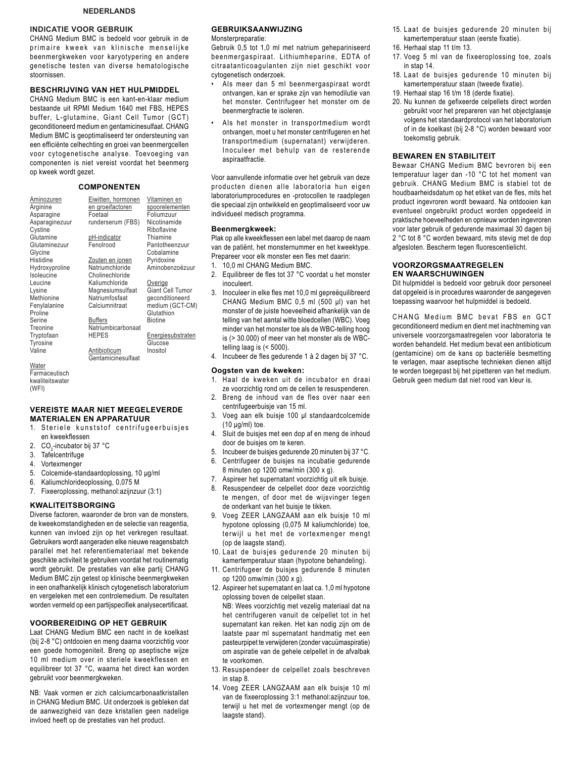### **NEDERLANDS**

### **INDICATIE VOOR GEBRUIK**

CHANG Medium BMC is bedoeld voor gebruik in de primaire kweek van klinische menselijke beenmergkweken voor karyotypering en andere genetische testen van diverse hematologische stoornissen.

### **BESCHRIJVING VAN HET HULPMIDDEL**

CHANG Medium BMC is een kant-en-klaar medium bestaande uit RPMI Medium 1640 met FBS, HEPES buffer, L-glutamine, Giant Cell Tumor (GCT) geconditioneerd medium en gentamicinesulfaat. CHANG Medium BMC is geoptimaliseerd ter ondersteuning van een efficiënte celhechting en groei van beenmergcellen voor cytogenetische analyse. Toevoeging van componenten is niet vereist voordat het beenmerg op kweek wordt gezet.

#### **COMPONENTEN**

| Aminozuren<br>Arginine<br>Asparagine<br>Asparaginezuur<br>Cystine<br>Glutamine<br>Glutaminezuur<br>Glycine | Eiwitten, hormonen<br>en groeifactoren<br>Foetaal<br>runderserum (FBS)<br><u>pH-indicator</u><br>Fenolrood | Vitaminen en<br>spoorelementen<br>Foliumzuur<br>Nicotinamide<br>Riboflavine<br>Thiamine<br>Pantotheenzuur<br>Cobalamine |
|------------------------------------------------------------------------------------------------------------|------------------------------------------------------------------------------------------------------------|-------------------------------------------------------------------------------------------------------------------------|
| Histidine                                                                                                  | Zouten en ionen                                                                                            | Pyridoxine                                                                                                              |
| Hydroxyproline                                                                                             | Natriumchloride                                                                                            | Aminobenzoëzuur                                                                                                         |
| Isoleucine                                                                                                 | Cholinechloride                                                                                            |                                                                                                                         |
| Leucine                                                                                                    | Kaliumchloride                                                                                             | Overige                                                                                                                 |
| Lysine                                                                                                     | Magnesiumsulfaat                                                                                           | Giant Cell Tumor                                                                                                        |
| Methionine                                                                                                 | Natriumfosfaat                                                                                             | geconditioneerd                                                                                                         |
| Fenylalanine<br>Proline                                                                                    | Calciumnitraat                                                                                             | medium (GCT-CM)<br>Glutathion                                                                                           |
| Serine                                                                                                     | <b>Buffers</b>                                                                                             | <b>Biotine</b>                                                                                                          |
| Treonine                                                                                                   | Natriumbicarbonaat                                                                                         |                                                                                                                         |
| Tryptofaan<br>Tyrosine                                                                                     | <b>HEPES</b>                                                                                               | <b>Energiesubstraten</b><br>Glucose                                                                                     |
| Valine                                                                                                     | Antibioticum<br>Gentamicinesulfaat                                                                         | Inositol                                                                                                                |

**Water Farmaceutisch** kwaliteitswater (WFI)

### **VEREISTE MAAR NIET MEEGELEVERDE MATERIALEN EN APPARATUUR**

- 1. Steriele kunststof centrifugeerbuisjes en kweekflessen
- 2. CO<sub>2</sub>-incubator bij 37 °C
- 3. Tafelcentrifuge
- 4. Vortexmenger
- 5. Colcemide-standaardoplossing, 10 µg/ml
- 6. Kaliumchlorideoplossing, 0,075 M
- 7. Fixeeroplossing, methanol: azijnzuur (3:1)

### **KWALITEITSBORGING**

Diverse factoren, waaronder de bron van de monsters, de kweekomstandigheden en de selectie van reagentia, kunnen van invloed zijn op het verkregen resultaat. Gebruikers wordt aangeraden elke nieuwe reagensbatch parallel met het referentiemateriaal met bekende geschikte activiteit te gebruiken voordat het routinematig wordt gebruikt. De prestaties van elke partij CHANG Medium BMC zijn getest op klinische beenmergkweken in een onafhankelijk klinisch cytogenetisch laboratorium en vergeleken met een controlemedium. De resultaten worden vermeld op een partijspecifiek analysecertificaat.

#### **VOORBEREIDING OP HET GEBRUIK**

Laat CHANG Medium BMC een nacht in de koelkast (bij 2-8 °C) ontdooien en meng daarna voorzichtig voor een goede homogeniteit. Breng op aseptische wijze 10 ml medium over in steriele kweekflessen en equilibreer tot 37 °C, waarna het direct kan worden gebruikt voor beenmergkweken.

NB: Vaak vormen er zich calciumcarbonaatkristallen in CHANG Medium BMC. Uit onderzoek is gebleken dat de aanwezigheid van deze kristallen geen nadelige invloed heeft op de prestaties van het product.

### **GEBRUIKSAANWIJZING**

Monsterpreparatie:

Gebruik 0,5 tot 1,0 ml met natrium gehepariniseerd beenmergaspiraat. Lithiumheparine, EDTA of citraatanticoagulanten zijn niet geschikt voor cytogenetisch onderzoek.

- Als meer dan 5 ml beenmergaspiraat wordt ontvangen, kan er sprake zijn van hemodilutie van het monster. Centrifugeer het monster om de beenmergfractie te isoleren.
- Als het monster in transportmedium wordt ontvangen, moet u het monster centrifugeren en het transportmedium (supernatant) verwijderen. Inoculeer met behulp van de resterende aspiraatfractie.

Voor aanvullende informatie over het gebruik van deze producten dienen alle laboratoria hun eigen laboratoriumprocedures en -protocollen te raadplegen die speciaal zijn ontwikkeld en geoptimaliseerd voor uw individueel medisch programma.

#### **Beenmergkweek:**

Plak op alle kweekflessen een label met daarop de naam van de patiënt, het monsternummer en het kweektype. Prepareer voor elk monster een fles met daarin:

- 1. 10,0 ml CHANG Medium BMC.
- 2. Equilibreer de fles tot 37 °C voordat u het monster inoculeert.
- 3. Inoculeer in elke fles met 10,0 ml gepreëquilibreerd CHANG Medium BMC  $0,5$  ml  $(500 \mu l)$  van het monster of de juiste hoeveelheid afhankelijk van de telling van het aantal witte bloedcellen (WBC). Voeg minder van het monster toe als de WBC-telling hoog is (> 30.000) of meer van het monster als de WBCtelling laag is (< 5000).
- 4. Incubeer de fles gedurende 1 à 2 dagen bij 37 °C.

### **Oogsten van de kweken:**

- 1. Haal de kweken uit de incubator en draai ze voorzichtig rond om de cellen te resuspenderen.
- 2. Breng de inhoud van de fles over naar een centrifugeerbuisje van 15 ml.
- 3. Voeg aan elk buisje 100 µl standaardcolcemide  $(10 \mu q/ml)$  toe.
- 4. Sluit de buisjes met een dop af en meng de inhoud door de buisjes om te keren.
- 5. Incubeer de buisjes gedurende 20 minuten bij 37 °C.
- 6. Centrifugeer de buisjes na incubatie gedurende 8 minuten op 1200 omw/min (300 x g).
- 7. Aspireer het supernatant voorzichtig uit elk buisje.
- 8. Resuspendeer de celpellet door deze voorzichtig te mengen, of door met de wijsvinger tegen de onderkant van het buisje te tikken.
- 9. Voeg ZEER LANGZAAM aan elk buisje 10 ml hypotone oplossing (0,075 M kaliumchloride) toe, terwijl u het met de vortexmenger mengt (op de laagste stand).
- 10. Laat de buisjes gedurende 20 minuten bij kamertemperatuur staan (hypotone behandeling).
- 11. Centrifugeer de buisjes gedurende 8 minuten op 1200 omw/min  $(300 \times g)$ .
- 12. Aspireer het supernatant en laat ca. 1,0 ml hypotone oplossing boven de celpellet staan. NB: Wees voorzichtig met vezelig materiaal dat na het centrifugeren vanuit de celpellet tot in het supernatant kan reiken. Het kan nodig zijn om de laatste paar ml supernatant handmatig met een pasteurpipet te verwijderen (zonder vacuümaspiratie) om aspiratie van de gehele celpellet in de afvalbak te voorkomen.
- 13. Resuspendeer de celpellet zoals beschreven in stap 8.
- 14. Voeg ZEER LANGZAAM aan elk buisie 10 ml van de fixeeroplossing 3:1 methanol: azijnzuur toe, terwijl u het met de vortexmenger mengt (op de laagste stand).
- 15. Laat de buisjes gedurende 20 minuten bij kamertemperatuur staan (eerste fixatie).
- 16. Herhaal stap 11 t/m 13.
- 17. Voeg 5 ml van de fixeeroplossing toe, zoals in stap 14.
- 18. Laat de buisjes gedurende 10 minuten bij kamertemperatuur staan (tweede fixatie).
- 19. Herhaal stap 16 t/m 18 (derde fixatie).
- 20. Nu kunnen de gefixeerde celpellets direct worden gebruikt voor het prepareren van het objectglaasje volgens het standaardprotocol van het laboratorium of in de koelkast (bij 2-8 °C) worden bewaard voor toekomstig gebruik.

### **BEWAREN EN STABILITEIT**

Bewaar CHANG Medium BMC bevroren bij een temperatuur lager dan -10 °C tot het moment van gebruik. CHANG Medium BMC is stabiel tot de houdbaarheidsdatum op het etiket van de fles, mits het product ingevroren wordt bewaard. Na ontdooien kan eventueel ongebruikt product worden opgedeeld in praktische hoeveelheden en opnieuw worden ingevroren voor later gebruik of gedurende maximaal 30 dagen bij 2 °C tot 8 °C worden bewaard, mits stevig met de dop afgesloten. Bescherm tegen fluorescentielicht.

#### **VOORZORGSMAATREGELEN EN WAARSCHUWINGEN**

Dit hulpmiddel is bedoeld voor gebruik door personeel dat opgeleid is in procedures waaronder de aangegeven toepassing waarvoor het hulpmiddel is bedoeld.

CHANG Medium BMC bevat FBS en GCT geconditioneerd medium en dient met inachtneming van universele voorzorgsmaatregelen voor laboratoria te worden behandeld. Het medium bevat een antibioticum (gentamicine) om de kans op bacteriële besmetting te verlagen, maar aseptische technieken dienen altijd te worden toegepast bij het pipetteren van het medium. Gebruik geen medium dat niet rood van kleur is.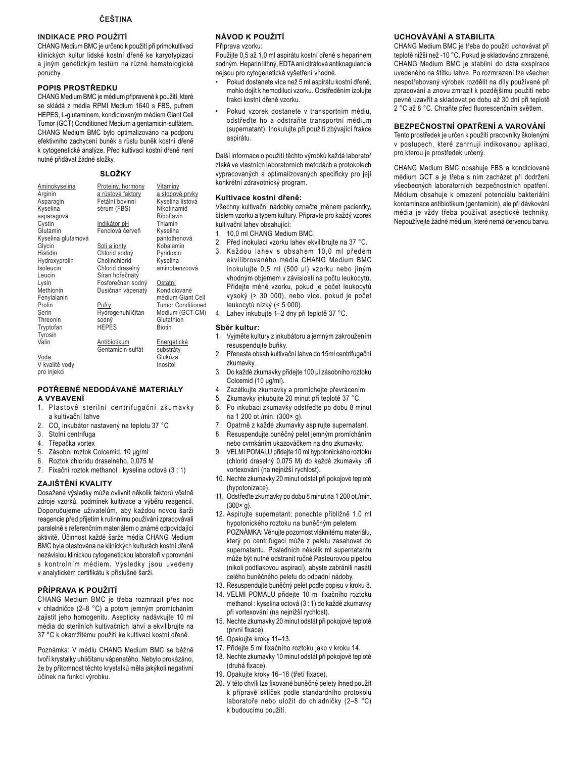### **INDIKACE PRO POUŽITÍ**

CHANG Medium BMC je určeno k použití při primokultivaci klinických kultur lidské kostní dřeně ke karyotypizaci a jiným genetickým testům na různé hematologické poruchy.

### POPIS PROSTŘEDKU

CHANG Medium BMC je médium připravené k použití, které se skládá z média RPMI Medium 1640 s FBS, pufrem HEPES, L-qlutaminem, kondiciovaným médiem Giant Cell Tumor (GCT) Conditioned Medium a gentamicin-sulfatem. CHANG Medium BMC bylo optimalizováno na podporu efektivního zachycení buněk a růstu buněk kostní dřeně k cytogenetické analýze. Před kultivací kostní dřeně není nutné přidávat žádné složky.

### **SLOŽKY**

| Aminokyselina      | Proteiny, hormony   | Vitaminy                 |
|--------------------|---------------------|--------------------------|
| Arginin            | a růstové faktory   | a stopové prvky          |
| Asparagin          | Fetální bovinní     | Kyselina listová         |
| Kyselina           | sérum (FBS)         | Nikotinamid              |
| asparagová         |                     | Riboflavin               |
| Cystin             | <u>Indikátor pH</u> | Thiamin                  |
| Glutamin           | Fenolová červeň     | Kyselina                 |
| Kyselina glutamová |                     | pantothenová             |
| Glycin             | Soli a jonty        | Kobalamin                |
| Histidin           | Chlorid sodný       | Pyridoxin                |
| Hydroxyprolin      | Cholinchlorid       | Kyselina                 |
| Isoleucin          | Chlorid draselný    | aminobenzoová            |
| Leucin             | Síran hořečnatý     |                          |
| Lysin              | Fosforečnan sodný   | Ostatní                  |
| Methionin          | Dusičnan vápenatý   | Kondiciované             |
| Fenylalanin        |                     | médium Giant Cell        |
| Prolin             | Pufry               | <b>Tumor Conditioned</b> |
| Serin              | Hydrogenuhličitan   | Medium (GCT-CM)          |
| Threonin           | sodný               | Glutathion               |
| Tryptofan          | <b>HEPES</b>        | <b>Biotin</b>            |
| Tyrosin            |                     |                          |
| Valin              | Antibiotikum        | Energetické              |
|                    | Gentamicin-sulfát   | substráty                |
| Voda               |                     | Glukóza                  |
| V kvalitě vodv     |                     | Inositol                 |

pro injekci

### POTŘEBNÉ NEDODÁVANÉ MATERIÁLY A VYBAVENÍ

- 1. Plastové sterilní centrifugační zkumavky a kultivační lahve
- 2. CO<sub>2</sub> inkubátor nastavený na teplotu 37 °C
- Stolní centrifuga 3.
- Třepačka vortex 4
- 5. Zásobní roztok Colcemid, 10 µg/ml
- 6 Roztok chloridu draselného, 0,075 M
- 7. Fixační roztok methanol : kyselina octová (3 : 1)

### ZAJIŠTĚNÍ KVALITY

Dosažené výsledky může ovlivnit několik faktorů včetně zdroje vzorků, podmínek kultivace a výběru reagencií. Doporučujeme uživatelům, aby každou novou šarži reagencie před přijetím k rutinnímu používání zpracovávali paralelně s referenčním materiálem o známé odpovídající aktivitě. Účinnost každé šarže média CHANG Medium BMC byla otestována na klinických kulturách kostní dřeně nezávislou klinickou cytogenetickou laboratoří v porovnání s kontrolním médiem. Výsledky jsou uvedeny v analytickém certifikátu k příslušné šarži.

PŘÍPRAVA K POUŽITÍ CHANG Medium BMC je třeba rozmrazit přes noc v chladničce (2-8 °C) a potom jemným promícháním zajistit jeho homogenitu. Asepticky nadávkujte 10 ml média do sterilních kultivačních lahví a ekvilibrujte na 37 °C k okamžitému použití ke kultivaci kostní dřeně.

Poznámka: V médiu CHANG Medium BMC se běžně tvoří krystalky uhličitanu vápenatého. Nebylo prokázáno, že by přítomnost těchto krystalků měla jakýkoli negativní účinek na funkci výrobku.

### NÁVOD K POUŽITÍ

Příprava vzorku:

Použijte 0.5 až 1.0 ml aspirátu kostní dřeně s heparinem sodným. Heparin lithný, EDTA ani citrátová antikoagulancia nejsou pro cytogenetická vyšetření vhodné.

- Pokud dostanete více než 5 ml aspirátu kostní dřeně, mohlo dojít k hemodiluci vzorku. Odstředěním izolujte frakci kostní dřeně vzorku.
- Pokud vzorek dostanete v transportním médiu, odstřeďte ho a odstraňte transportní médium (supernatant). Inokulujte při použití zbývající frakce aspirátu.

Další informace o použití těchto výrobků každá laboratoř získá ve vlastních laboratorních metodách a protokolech vypracovaných a optimalizovaných specificky pro její konkrétní zdravotnický program.

#### Kultivace kostní dřeně:

Všechny kultivační nádobky označte jménem pacientky, číslem vzorku a typem kultury. Připravte pro každý vzorek kultivační lahev obsahující:

- 1. 10.0 ml CHANG Medium BMC.
- 2. Před inokulací vzorku lahev ekvilibrujte na 37 °C.
- 3. Každou lahev s obsahem 10,0 ml předem ekvilibrovaného média CHANG Medium BMC inokulujte 0,5 ml (500 µl) vzorku nebo jiným vhodným objemem v závislosti na počtu leukocytů. Přidejte méně vzorku, pokud je počet leukocytů vysoký (> 30 000), nebo více, pokud je počet leukocytů nízký (< 5 000).
- $\overline{4}$ . Lahev inkubujte 1-2 dny při teplotě 37 °C.

#### Sběr kultur:

- 1. Vyjměte kultury z inkubátoru a jemným zakroužením resuspendujte buňky.
- $2.$ Přeneste obsah kultivační lahve do 15ml centrifugační zkumavky.
- $3.$ Do každé zkumavky přidejte 100 µl zásobního roztoku Colcemid (10 µg/ml).
- Zazátkujte zkumavky a promíchejte převrácením.  $\overline{4}$ .
- Zkumavky inkubujte 20 minut při teplotě 37 °C.
- Po inkubaci zkumavky odstřeďte po dobu 8 minut  $6.$ na 1 200 ot./min. (300× g).
- $7^{\circ}$ Opatrně z každé zkumavky aspirujte supernatant.
- Resuspendujte buněčný pelet jemným promícháním 8.
- nebo cvrnkáním ukazováčkem na dno zkumavky.  $\mathsf{q}$ VELMI POMALU přidejte 10 ml hypotonického roztoku (chlorid draselný 0,075 M) do každé zkumavky při vortexování (na nejnižší rychlost).
- 10. Nechte zkumavky 20 minut odstát při pokojové teplotě (hypotonizace).
- 11. Odstřeďte zkumavky po dobu 8 minut na 1 200 ot./min.  $(300 \times g)$ .
- 12. Aspirujte supernatant; ponechte přibližně 1,0 ml hypotonického roztoku na buněčným peletem. POZNÁMKA: Věnujte pozornost vláknitému materiálu, který po centrifugaci může z peletu zasahovat do supernatantu. Posledních několik ml supernatantu může být nutné odstranit ručně Pasteurovou pipetou (nikoli podtlakovou aspirací), abyste zabránili nasátí celého buněčného peletu do odpadní nádoby.
- 13. Resuspendujte buněčný pelet podle popisu v kroku 8.
- 14. VELMI POMALU přidejte 10 ml fixačního roztoku methanol: kyselina octová (3 : 1) do každé zkumavky při vortexování (na nejnižší rychlost).
- 15. Nechte zkumavky 20 minut odstát při pokojové teplotě (první fixace).
- 16. Opakujte kroky 11-13.
- 17. Přidejte 5 ml fixačního roztoku jako v kroku 14.
- 18. Nechte zkumavky 10 minut odstát při pokojové teplotě (druhá fixace).
- 19. Opakujte kroky 16-18 (třetí fixace).
- 20. V této chvíli lze fixované buněčné pelety ihned použít k přípravě sklíček podle standardního protokolu laboratoře nebo uložit do chladničky (2–8 °C) k budoucímu použití.

### UCHOVÁVÁNÍ A STABILITA

CHANG Medium BMC je třeba do použití uchovávat při teplotě nižší než -10 °C. Pokud je skladováno zmrazené, CHANG Medium BMC je stabilní do data exspirace uvedeného na štítku lahve. Po rozmrazení lze všechen nespotřebovaný výrobek rozdělit na díly používané při zpracování a znovu zmrazit k pozdějšímu použití nebo pevně uzavřít a skladovat po dobu až 30 dní při teplotě 2 °C až 8 °C. Chraňte před fluorescenčním světlem.

### BEZPEČNOSTNÍ OPATŘENÍ A VAROVÁNÍ

Tento prostředek je určen k použití pracovníky školenými v postupech, které zahrnují indikovanou aplikaci, pro kterou je prostředek určený.

CHANG Medium BMC obsahuje FBS a kondiciované médium GCT a je třeba s ním zacházet při dodržení všeobecných laboratorních bezpečnostních opatření. Médium obsahuje k omezení potenciálu bakteriální kontaminace antibiotikum (gentamicin), ale při dávkování média je vždy třeba používat aseptické techniky. Nepoužívejte žádné médium, které nemá červenou barvu.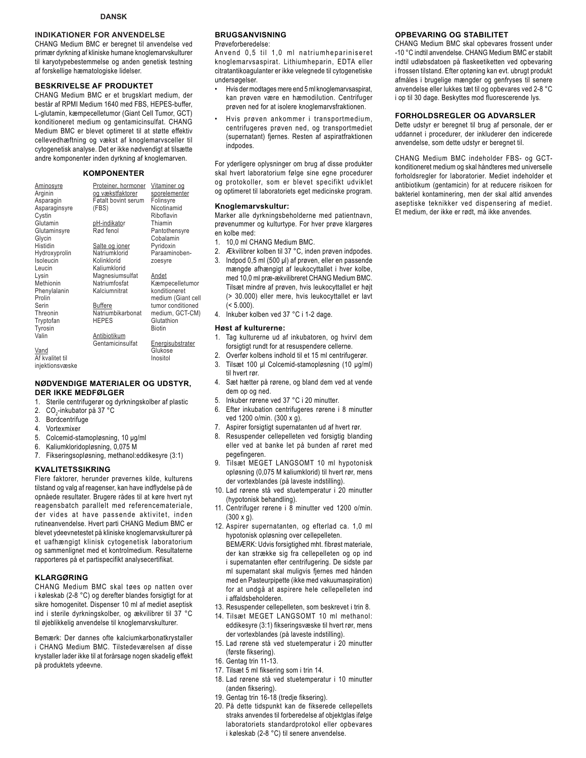### **INDIKATIONER FOR ANVENDELSE**

CHANG Medium BMC er beregnet til anvendelse ved primær dyrkning af kliniske humane knoglemarvskulturer til karyotypebestemmelse og anden genetisk testning af forskellige hæmatologiske lidelser.

#### **BESKRIVELSE AF PRODUKTET**

CHANG Medium BMC er et brugsklart medium, der består af RPMI Medium 1640 med FBS, HEPES-buffer, L-glutamin, kæmpecelletumor (Giant Cell Tumor, GCT) konditioneret medium og gentamicinsulfat. CHANG Medium BMC er blevet optimeret til at støtte effektiv cellevedhæftning og vækst af knoglemarvsceller til cytogenetisk analyse. Det er ikke nødvendigt at tilsætte andre komponenter inden dyrkning af knoglemarven.

### **KOMPONENTER**

| Aminosyre<br>Arginin | Proteiner, hormoner<br>og vækstfaktorer | Vitaminer og<br>sporelementer |
|----------------------|-----------------------------------------|-------------------------------|
| Asparagin            | Føtalt bovint serum                     | Folinsyre                     |
| Asparaginsyre        | (FBS)                                   | Nicotinamid                   |
| Cystin               |                                         | Riboflavin                    |
| Glutamin             | pH-indikator                            | Thiamin                       |
| Glutaminsyre         | Rød fenol                               | Pantothensyre                 |
| Glycin               |                                         | Cobalamin                     |
| Histidin             | Salte og ioner                          | Pyridoxin                     |
| Hydroxyprolin        | Natriumklorid                           | Paraaminoben-                 |
| Isoleucin            | Kolinklorid                             | zoesyre                       |
| Leucin               | Kaliumklorid                            |                               |
| Lysin                | Magnesiumsulfat                         | Andet                         |
| Methionin            | Natriumfosfat                           | Kæmpecelletumor               |
| Phenylalanin         | Kalciumnitrat                           | konditioneret                 |
| Prolin               |                                         | medium (Giant cell            |
| Serin                | Buffere                                 | tumor conditioned             |
| Threonin             | Natriumbikarbonat                       | medium, GCT-CM)               |
| Tryptofan            | <b>HEPES</b>                            | Glutathion                    |
| Tyrosin              |                                         | <b>Biotin</b>                 |
| Valin                | Antibiotikum                            |                               |
|                      | Gentamicinsulfat                        | Energisubstrater              |
| Vand                 |                                         | Glukose                       |
| Af kvalitet til      |                                         | Inositol                      |
| iniektionsvæske      |                                         |                               |

### **NØDVENDIGE MATERIALER OG UDSTYR, DER IKKE MEDFØLGER**

- 1. Sterile centrifugerør og dyrkningskolber af plastic
- 2. CO<sub>2</sub>-inkubator på 37 °C
- 3. Bordcentrifuge
- 4. Vortexmixer
- 5. Colcemid-stamopløsning, 10 µg/ml
- 6. Kaliumkloridopløsning, 0,075 M
- 7. Fikseringsopløsning, methanol:eddikesyre (3:1)

#### **KVALITETSSIKRING**

Flere faktorer, herunder prøvernes kilde, kulturens tilstand og valg af reagenser, kan have indflydelse på de opnåede resultater. Brugere rådes til at køre hvert nyt reagensbatch parallelt med referencemateriale, der vides at have passende aktivitet, inden rutineanvendelse. Hvert parti CHANG Medium BMC er blevet ydeevnetestet på kliniske knoglemarvskulturer på et uafhængigt klinisk cytogenetisk laboratorium og sammenlignet med et kontrolmedium. Resultaterne rapporteres på et partispecifikt analysecertifikat.

#### **KLARGØRING**

CHANG Medium BMC skal tøes op natten over i køleskab (2-8 °C) og derefter blandes forsigtigt for at sikre homogenitet. Dispenser 10 ml af mediet aseptisk ind i sterile dyrkningskolber, og ækvilibrer til 37 °C til øjeblikkelig anvendelse til knoglemarvskulturer.

Bemærk: Der dannes ofte kalciumkarbonatkrystaller i CHANG Medium BMC. Tilstedeværelsen af disse krystaller lader ikke til at forårsage nogen skadelig effekt på produktets ydeevne.

### **BRUGSANVISNING**

Prøveforberedelse:

Anvend 0,5 til 1,0 ml natriumhepariniseret knoglemarvsaspirat. Lithiumheparin, EDTA eller citratantikoagulanter er ikke velegnede til cytogenetiske undersøgelser.

- Hvis der modtages mere end 5 ml knoglemarvsaspirat, kan prøven være en hæmodilution. Centrifuger prøven ned for at isolere knoglemarvsfraktionen.
- Hvis prøven ankommer i transportmedium, centrifugeres prøven ned, og transportmediet (supernatant) fjernes. Resten af aspiratfraktionen indpodes.

For yderligere oplysninger om brug af disse produkter skal hvert laboratorium følge sine egne procedurer og protokoller, som er blevet specifikt udviklet og optimeret til laboratoriets eget medicinske program.

#### **Knoglemarvskultur:**

Marker alle dyrkningsbeholderne med patientnavn, prøvenummer og kulturtype. For hver prøve klargøres en kolbe med:

- 1. 10,0 ml CHANG Medium BMC.
- 2. Ækvilibrer kolben til 37 °C, inden prøven indpodes.
- 3. Indpod 0,5 ml (500 µl) af prøven, eller en passende mængde afhængigt af leukocyttallet i hver kolbe, med 10,0 ml præ-ækvilibreret CHANG Medium BMC. Tilsæt mindre af prøven, hvis leukocyttallet er højt (> 30.000) eller mere, hvis leukocyttallet er lavt  $(< 5.000$ ).
- 4. Inkuber kolben ved 37 °C i 1-2 dage.

#### **Høst af kulturerne:**

- 1. Tag kulturerne ud af inkubatoren, og hvirvl dem forsigtigt rundt for at resuspendere cellerne.
- 2. Overfør kolbens indhold til et 15 ml centrifugerør.
- 3. Tilsæt 100 µl Colcemid-stamopløsning (10 µg/ml) til hvert rør.
- 4. Sæt hætter på rørene, og bland dem ved at vende dem op og ned.
- 5. Inkuber rørene ved 37 °C i 20 minutter.
- 6. Efter inkubation centrifugeres rørene i 8 minutter ved 1200 o/min. (300 x g).
- 7. Aspirer forsigtigt supernatanten ud af hvert rør.
- 8. Resuspender cellepelleten ved forsigtig blanding eller ved at banke let på bunden af røret med pegefingeren.
- 9. Tilsæt MEGET LANGSOMT 10 ml hypotonisk opløsning (0,075 M kaliumklorid) til hvert rør, mens der vortexblandes (på laveste indstilling).
- 10. Lad rørene stå ved stuetemperatur i 20 minutter (hypotonisk behandling).
- 11. Centrifuger rørene i 8 minutter ved 1200 o/min. (300 x g).
- 12. Aspirer supernatanten, og efterlad ca. 1,0 ml hypotonisk opløsning over cellepelleten. BEMÆRK: Udvis forsigtighed mht. fibrøst materiale, der kan strække sig fra cellepelleten og op ind i supernatanten efter centrifugering. De sidste par ml supernatant skal muliqvis fiernes med hånden med en Pasteurpipette (ikke med vakuumaspiration) for at undgå at aspirere hele cellepelleten ind i affaldsbeholderen.
- 13. Resuspender cellepelleten, som beskrevet i trin 8.
- 14. Tilsæt MEGET LANGSOMT 10 ml methanol: eddikesyre (3:1) fikseringsvæske til hvert rør, mens der vortexblandes (på laveste indstilling).
- 15. Lad rørene stå ved stuetemperatur i 20 minutter (første fiksering).
- 16. Gentag trin 11-13.
- 17. Tilsæt 5 ml fiksering som i trin 14.
- 18. Lad rørene stå ved stuetemperatur i 10 minutter (anden fiksering).
- 19. Gentag trin 16-18 (tredje fiksering).
- 20. På dette tidspunkt kan de fikserede cellepellets straks anvendes til forberedelse af objektglas ifølge laboratoriets standardprotokol eller opbevares i køleskab (2-8 °C) til senere anvendelse.

#### **OPBEVARING OG STABILITET**

CHANG Medium BMC skal opbevares frossent under -10 °C indtil anvendelse. CHANG Medium BMC er stabilt indtil udløbsdatoen på flaskeetiketten ved opbevaring i frossen tilstand. Efter optøning kan evt. ubrugt produkt afmåles i brugelige mængder og genfryses til senere anvendelse eller lukkes tæt til og opbevares ved 2-8 °C i op til 30 dage. Beskyttes mod fluorescerende lys.

#### **FORHOLDSREGLER OG ADVARSLER**

Dette udstyr er beregnet til brug af personale, der er uddannet i procedurer, der inkluderer den indicerede anvendelse, som dette udstyr er beregnet til.

CHANG Medium BMC indeholder FBS- og GCTkonditioneret medium og skal håndteres med universelle forholdsregler for laboratorier. Mediet indeholder et antibiotikum (gentamicin) for at reducere risikoen for bakteriel kontaminering, men der skal altid anvendes aseptiske teknikker ved dispensering af mediet. Et medium, der ikke er rødt, må ikke anvendes.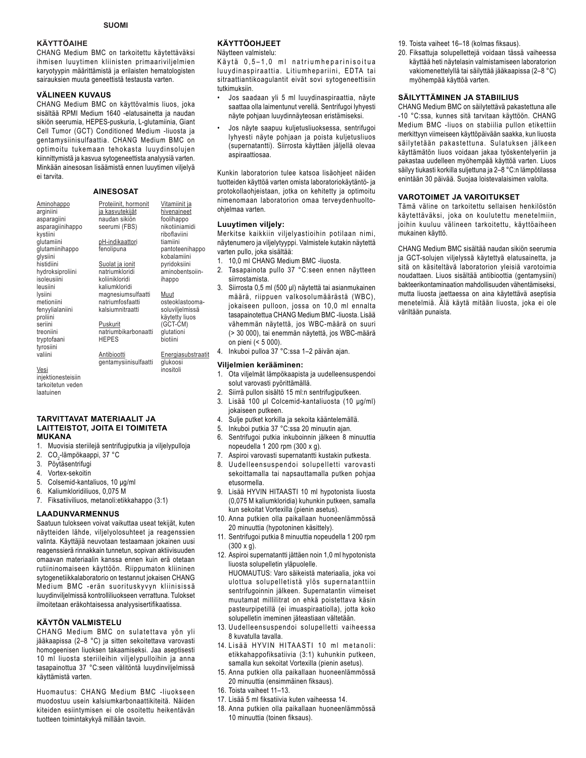### **KÄYTTÖAIHE**

CHANG Medium BMC on tarkoitettu käytettäväksi ihmisen luuytimen kliinisten primaariviljelmien karyotyypin määrittämistä ja erilaisten hematologisten sairauksien muuta geneettistä testausta varten.

### **VÄLINEEN KUVAUS**

CHANG Medium BMC on käyttövalmis liuos, joka sisältää RPMI Medium 1640 -elatusainetta ja naudan sikiön seerumia, HEPES-puskuria, L-glutamiinia, Giant Cell Tumor (GCT) Conditioned Medium -liuosta ja gentamysiinisulfaattia. CHANG Medium BMC on optimoitu tukemaan tehokasta luuydinsolujen kiinnittymistä ja kasvua sytogeneettista analyysiä varten. Minkään ainesosan lisäämistä ennen luuytimen viljelyä ei tarvita.

### **AINESOSAT**

| <u>Aminohappo</u><br>arginiini              | Proteiinit, hormonit<br>ja kasvutekijät<br>naudan sikiön | Vitamiinit ja<br>hivenaineet<br>foolihappo |
|---------------------------------------------|----------------------------------------------------------|--------------------------------------------|
| asparagiini<br>asparagiinihappo<br>kystiini | seerumi (FBS)                                            | nikotiiniamidi<br>riboflaviini             |
| qlutamiini<br>qlutamiinihappo               | pH-indikaattori<br>fenolipuna                            | tiamiini<br>pantoteenihappo                |
| qlysiini<br>histidiini                      | Suolat ja ionit                                          | kobalamiini<br>pyridoksiini                |
| hydroksiproliini<br>isoleusiini             | natriumkloridi<br>koliinikloridi                         | aminobentsoiin-<br>ihappo                  |
| leusiini<br>lysiini                         | kaliumkloridi<br>magnesiumsulfaatti                      | Muut                                       |
| metioniini<br>fenyylialaniini               | natriumfosfaatti<br>kalsiumnitraatti                     | osteoklastooma-<br>soluviljelmissä         |
| proliini<br>seriini                         | Puskurit                                                 | käytetty liuos<br>(GCT-CM)                 |
| treoniini<br>tryptofaani                    | natriumbikarbonaatti<br><b>HEPES</b>                     | glutationi<br>biotiini                     |
| tyrosiini                                   |                                                          |                                            |
| valiini                                     | Antibiootti<br>gentamysiinisulfaatti                     | Energiasubstraa<br>glukoosi                |
| Vesi                                        |                                                          | inositoli                                  |
| iniektionesteisiin                          |                                                          |                                            |

ubstraatit

**Viljelmien kerääminen:** 

1. Ota viljelmät lämpökaapista ja uudelleensuspendoi solut varovasti pyörittämällä.

on pieni (< 5 000).

**KÄYTTÖOHJEET**  Näytteen valmistelu:

aspiraattiosaa.

ohjelmaa varten. **Luuytimen viljely:** 

varten pullo, joka sisältää:

siirrostamista.

tutkimuksiin.

Käytä 0,5-1,0 ml natriumheparinisoitua luuydinaspiraattia. Litiumhepariini, EDTA tai sitraattiantikoagulantit eivät sovi sytogeneettisiin

• Jos saadaan yli 5 ml luuydinaspiraattia, näyte saattaa olla laimentunut verellä. Sentrifugoi lyhyesti näyte pohjaan luuydinnäyteosan eristämiseksi. Jos näyte saapuu kuljetusliuoksessa, sentrifugoi lyhyesti näyte pohjaan ja poista kuljetusliuos (supernatantti). Siirrosta käyttäen jäljellä olevaa

Kunkin laboratorion tulee katsoa lisäohjeet näiden tuotteiden käyttöä varten omista laboratoriokäytäntö- ja protokollaohjeistaan, jotka on kehitetty ja optimoitu nimenomaan laboratorion omaa terveydenhuolto-

Merkitse kaikkiin viljelyastioihin potilaan nimi, näytenumero ja viljelytyyppi. Valmistele kutakin näytettä

2. Tasapainota pullo 37 °C:seen ennen näytteen

Siirrosta 0,5 ml (500 µl) näytettä tai asianmukainen määrä, riippuen valkosolumäärästä (WBC), jokaiseen pulloon, jossa on 10,0 ml ennalta tasapainotettua CHANG Medium BMC -liuosta. Lisää vähemmän näytettä, jos WBC-määrä on suuri (> 30 000), tai enemmän näytettä, jos WBC-määrä

1. 10,0 ml CHANG Medium BMC -liuosta.

2. Siirrä pullon sisältö 15 ml:n sentrifugiputkeen.

4. Inkuboi pulloa 37 °C:ssa 1-2 päivän ajan.

- 3. Lisää 100 µl Colcemid-kantaliuosta (10 µg/ml) jokaiseen putkeen.
- 4. Sulje putket korkilla ja sekoita kääntelemällä.
- 5. Inkuboi putkia 37 °C:ssa 20 minuutin ajan.
- 6. Sentrifugoi putkia inkuboinnin jälkeen 8 minuuttia nopeudella 1 200 rpm (300 x g).
- 7. Aspiroi varovasti supernatantti kustakin putkesta.
- 8. Uudelleensuspendoi solupelletti varovasti sekoittamalla tai napsauttamalla putken pohjaa etusormella.
- 9. Lisää HYVIN HITAASTI 10 ml hypotonista liuosta (0,075 M kaliumkloridia) kuhunkin putkeen, samalla kun sekoitat Vortexilla (pienin asetus).
- 10. Anna putkien olla paikallaan huoneenlämmössä 20 minuuttia (hypotoninen käsittely).
- 11. Sentrifugoi putkia 8 minuuttia nopeudella 1 200 rpm (300 x g).
- 12. Aspiroi supernatantti jättäen noin 1,0 ml hypotonista liuosta solupelletin yläpuolelle. HUOMAUTUS: Varo säikeistä materiaalia, joka voi ulottua solupelletistä ylös supernatanttiin sentrifugoinnin jälkeen. Supernatantin viimeiset muutamat millilitrat on ehkä poistettava käsin pasteurpipetillä (ei imuaspiraatiolla), jotta koko solupelletin imeminen jäteastiaan vältetään.
- 13. Uudelleensuspendoi solupelletti vaiheessa 8 kuvatulla tavalla.
- 14. Lisää HYVIN HITAASTI 10 ml metanoli: etikkahappofiksatiivia (3:1) kuhunkin putkeen, samalla kun sekoitat Vortexilla (pienin asetus).
- 15. Anna putkien olla paikallaan huoneenlämmössä 20 minuuttia (ensimmäinen fiksaus).
- 16. Toista vaiheet 11–13.
- 17. Lisää 5 ml fiksatiivia kuten vaiheessa 14.
- 18. Anna putkien olla paikallaan huoneenlämmössä 10 minuuttia (toinen fiksaus).
- 19. Toista vaiheet 16–18 (kolmas fiksaus).
- 20. Fiksattuja solupellettejä voidaan tässä vaiheessa käyttää heti näytelasin valmistamiseen laboratorion vakiomenettelyllä tai säilyttää jääkaapissa (2-8 °C) myöhempää käyttöä varten.

### **SÄILYTTÄMINEN JA STABIILIUS**

CHANG Medium BMC on säilytettävä pakastettuna alle -10 °C:ssa, kunnes sitä tarvitaan käyttöön. CHANG Medium BMC -liuos on stabiilia pullon etikettiin merkittyyn viimeiseen käyttöpäivään saakka, kun liuosta säilytetään pakastettuna. Sulatuksen jälkeen käyttämätön liuos voidaan jakaa työskentelyeriin ja pakastaa uudelleen myöhempää käyttöä varten. Liuos säilyy tiukasti korkilla suljettuna ja 2-8 °C:n lämpötilassa enintään 30 päivää. Suojaa loistevalaisimen valolta.

### **VAROTOIMET JA VAROITUKSET**

Tämä väline on tarkoitettu sellaisen henkilöstön käytettäväksi, joka on koulutettu menetelmiin, joihin kuuluu välineen tarkoitettu, käyttöaiheen mukainen käyttö.

CHANG Medium BMC sisältää naudan sikiön seerumia ja GCT-solujen viljelyssä käytettyä elatusainetta, ja sitä on käsiteltävä laboratorion yleisiä varotoimia noudattaen. Liuos sisältää antibioottia (gentamysiini) bakteerikontaminaation mahdollisuuden vähentämiseksi, mutta liuosta jaettaessa on aina käytettävä aseptisia menetelmiä. Älä käytä mitään liuosta, joka ei ole väriltään punaista.

### **TARVITTAVAT MATERIAALIT JA LAITTEISTOT, JOITA EI TOIMITETA MUKANA**

- 1. Muovisia steriilejä sentrifugiputkia ja viljelypulloja
- 2. CO<sub>2</sub>-lämpökaappi, 37 °C
- 3. Pöytäsentrifugi

tarkoitetun veden laatuinen

- 4. Vortex-sekoitin
- 5. Colsemid-kantaliuos, 10 µq/ml
- 6. Kaliumkloridiliuos, 0,075 M
- 7. Fiksatiiviliuos, metanoli:etikkahappo (3:1)

#### **LAADUNVARMENNUS**

Saatuun tulokseen voivat vaikuttaa useat tekijät, kuten näytteiden lähde, viljelyolosuhteet ja reagenssien valinta. Käyttäjiä neuvotaan testaamaan jokainen uusi reagenssierä rinnakkain tunnetun, sopivan aktiivisuuden omaavan materiaalin kanssa ennen kuin erä otetaan rutiininomaiseen käyttöön. Riippumaton kliininen sytogenetiikkalaboratorio on testannut jokaisen CHANG Medium BMC -erän suorituskyvyn kliinisissä luuydinviljelmissä kontrolliliuokseen verrattuna. Tulokset ilmoitetaan eräkohtaisessa analyysisertifikaatissa.

### **KÄYTÖN VALMISTELU**

CHANG Medium BMC on sulatettava yön yli jääkaapissa (2-8 °C) ja sitten sekoitettava varovasti homogeenisen liuoksen takaamiseksi. Jaa aseptisesti 10 ml liuosta steriileihin viljelypulloihin ja anna tasapainottua 37 °C:seen välitöntä luuydinviljelmissä käyttämistä varten.

Huomautus: CHANG Medium BMC -liuokseen muodostuu usein kalsiumkarbonaattikiteitä. Näiden kiteiden esiintymisen ei ole osoitettu heikentävän tuotteen toimintakykyä millään tavoin.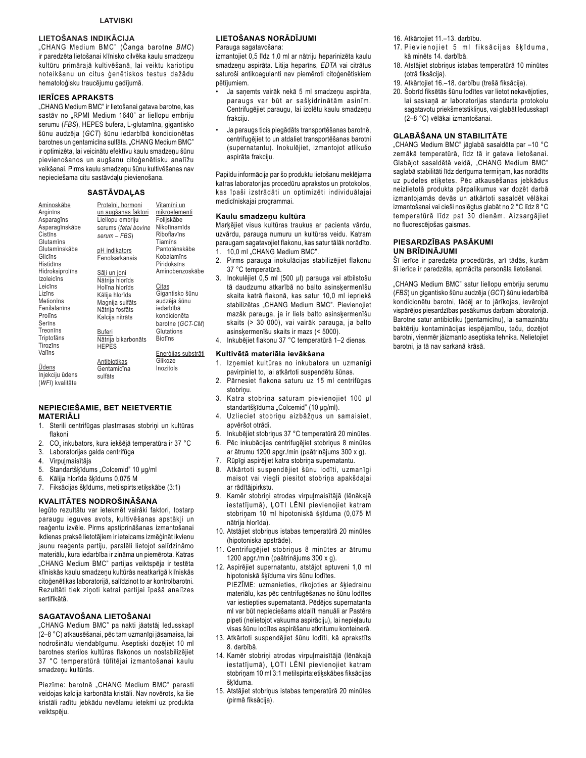### **LIETOŠANAS INDIKĀCIJA**

"CHANG Medium BMC" (Čanga barotne BMC) ir paredzēta lietošanai klīnisko cilvēka kaulu smadzeņu kultūru primārajā kultivēšanā, lai veiktu kariotipu noteikšanu un citus ģenētiskos testus dažādu hematoloģisku traucējumu gadījumā.

#### **IERICES APRAKSTS**

"CHANG Medium BMC" ir lietošanai gatava barotne, kas sastāv no "RPMI Medium 1640" ar liellopu embriju serumu (FBS), HEPES bufera, L-glutamīna, gigantisko šūnu audzēja (GCT) šūnu iedarbībā kondicionētas barotnes un gentamicina sulfāta. "CHANG Medium BMC" ir optimizēta, lai veicinātu efektīvu kaulu smadzeņu šūnu pievienošanos un augšanu citoģenētisku analīžu veikšanai. Pirms kaulu smadzeņu šūnu kultivēšanas nav nepieciešama citu sastāvdaļu pievienošana.

### **SASTĀVDALAS**

| Aminoskābe      | Proteīni, hormoni    | Vitamīni un    |
|-----------------|----------------------|----------------|
| Arginins        | un augšanas faktori  | mikroelementi  |
| Asparagīns      | Liellopu embriju     | Folijskābe     |
| Asparagīnskābe  | serums (fetal bovine | Nikotīnamīds   |
| Cistīns         |                      | Riboflavīns    |
| Glutamīns       | serum - FBS)         | Tiamīns        |
| Glutamīnskābe   |                      | Pantotēnskābe  |
| Glicins         | pH indikators        | Kobalamīns     |
|                 | Fenolsarkanais       |                |
| Histidīns       |                      | Piridoksīns    |
| Hidroksiprolīns | <u>Sāļi un joni</u>  | Aminobenzoska  |
| Izoleicīns      | Nātrija hlorīds      |                |
| Leicīns         | Holīna hlorīds       | Citas          |
| Lizīns          | Kālija hlorīds       | Gigantisko šūn |
| Metionins       | Magnija sulfāts      | audzēja šūnu   |
| Fenilalanīns    | Nātrija fosfāts      | iedarbībā      |
| Prolins         | Kalcija nitrāts      | kondicionēta   |
| Serīns          |                      | barotne (GCT-0 |
| Treonins        |                      |                |
|                 | Buferi               | Glutations     |
| Triptofāns      | Nātrija bikarbonāts  | <b>Biotins</b> |
| Tirozīns        | <b>HEPES</b>         |                |
| Valīns          |                      | Enerģijas subs |
|                 | <b>Antibiotikas</b>  | Glikoze        |
| <u>Ūdens</u>    | Gentamicīna          | Inozitols      |
|                 |                      |                |

<u>Ūdens</u> Injekciju ūdens (WFI) kvalitāte

## is zoskābe šūnu inu CT-CM) substrāti

sulfāts

### NEPIECIEŠAMIE, BET NEIETVERTIE **MATERIALI**

- 1. Sterili centrifūgas plastmasas stobriņi un kultūras flakoni
- 2. CO<sub>2</sub> inkubators, kura iekšējā temperatūra ir 37 °C
- 3. Laboratorijas galda centrifūga
- $4.$ Virpuļmaisītājs
- Standartšķīdums "Colcemid" 10 µg/ml 5.
- 6. Kālija hlorīda šķīdums 0,075 M
- 7. Fiksācijas šķīdums, metilspirts: etiķskābe (3:1)

### KVALITĀTES NODROŠINĀŠANA

legūto rezultātu var ietekmēt vairāki faktori, tostarp paraugu ieguves avots, kultivēšanas apstākļi un reaģentu izvēle. Pirms apstiprināšanas izmantošanai ikdienas praksē lietotājiem ir ieteicams izmēģināt ikvienu jaunu reaģenta partiju, paralēli lietojot salīdzināmo materiālu, kura iedarbība ir zināma un piemērota. Katras "CHANG Medium BMC" partijas veiktspēja ir testēta klīniskās kaulu smadzeņu kultūrās neatkarīgā klīniskās citoģenētikas laboratorijā, salīdzinot to ar kontrolbarotni. Rezultāti tiek ziņoti katrai partijai īpašā analīzes sertifikātā

### SAGATAVOŠANA LIETOŠANAI

"CHANG Medium BMC" pa nakti jāatstāj ledusskapī (2-8 °C) atkausēšanai, pēc tam uzmanīgi jāsamaisa, lai nodrošinātu viendabīgumu. Aseptiski dozējiet 10 ml barotnes sterilos kultūras flakonos un nostabilizējiet 37 °C temperatūrā tūlītējai izmantošanai kaulu smadzeņu kultūrās.

Piezīme: barotnē "CHANG Medium BMC" parasti veidojas kalcija karbonāta kristāli. Nav novērots, ka šie kristāli radītu jebkādu nevēlamu ietekmi uz produkta veiktspēju.

### LIETOŠANAS NORĀDĪJUMI

Parauga sagatavošana:

izmantojiet 0.5 līdz 1.0 ml ar nātriju heparinizēta kaulu smadzenu aspirāta. Litija heparīns, EDTA vai citrātus saturoši antikoagulanti nav piemēroti citoģenētiskiem pētījumiem.

- Ja sanemts vairāk nekā 5 ml smadzenu aspirāta, paraugs var būt ar sašķidrinātām asinīm. Centrifugējiet paraugu, lai izolētu kaulu smadzeņu frakciju.
- Ja paraugs ticis piegādāts transportēšanas barotnē, centrifugējiet to un atdaliet transportēšanas barotni (supernatantu). Inokulējiet, izmantojot atlikušo aspirāta frakciju.

Papildu informācija par šo produktu lietošanu meklējama katras laboratorijas procedūru aprakstos un protokolos, kas īpaši izstrādāti un optimizēti individuālajai medicīniskajai programmai.

#### Kaulu smadzeņu kultūra

Marķējiet visus kultūras traukus ar pacienta vārdu, uzvārdu, parauga numuru un kultūras veidu. Katram paraugam sagatavojiet flakonu, kas satur tālāk norādīto. 1. 10,0 ml "CHANG Medium BMC".

- 
- $2.$ Pirms parauga inokulācijas stabilizējiet flakonu 37 °C temperatūrā.
- Inokulējiet 0,5 ml (500 µl) parauga vai atbilstošu  $\mathbf{3}$ tā daudzumu atkarībā no balto asinsķermenīšu skaita katrā flakonā, kas satur 10,0 ml iepriekš stabilizētas "CHANG Medium BMC". Pievienojiet mazāk parauga, ja ir liels balto asinskermenīšu skaits (> 30 000), vai vairāk parauga, ja balto asinskermenīšu skaits ir mazs (< 5000).
- 4. Inkubējiet flakonu 37 °C temperatūrā 1-2 dienas.

### Kultivētā materiāla ievākšana

- Izņemiet kultūras no inkubatora un uzmanīgi pavirpiniet to, lai atkārtoti suspendētu šūnas.
- $2.$ Pārnesiet flakona saturu uz 15 ml centrifūgas stobrinu.
- $\mathbf{3}$ Katra stobriņa saturam pievienojiet 100 µl standartšķīduma "Colcemid" (10 µg/ml).
- $\overline{4}$ Uzlieciet stobriņu aizbāžņus un samaisiet, anvēršot otrādi
- 5. Inkubējiet stobriņus 37 °C temperatūrā 20 minūtes.
- Pēc inkubācijas centrifugējiet stobriņus 8 minūtes 6. ar ātrumu 1200 apgr./min (paātrinājums 300 x g).
- $\overline{7}$ Rūpīgi aspirējiet katra stobrina supernatantu.
- Atkārtoti suspendējiet šūnu lodīti, uzmanīgi maisot vai viegli piesitot stobriņa apakšdaļai ar rādītājpirkstu.
- 9. Kamēr stobriņi atrodas virpuļmaisītājā (lēnākajā iestatījumā), ĻOTI LĒNI pievienojiet katram stobrinam 10 ml hipotoniskā škīduma (0,075 M nātrija hlorīda).
- 10. Atstājiet stobriņus istabas temperatūrā 20 minūtes (hipotoniska apstrāde).
- 11. Centrifugējiet stobriņus 8 minūtes ar ātrumu 1200 apgr./min (paātrinājums 300 x g).
- 12. Aspirējiet supernatantu, atstājot aptuveni 1,0 ml hipotoniskā šķīduma virs šūnu lodītes. PIEZĪME: uzmanieties, rīkojoties ar šķiedrainu materiālu, kas pēc centrifugēšanas no šūnu lodītes var iestiepties supernatantā. Pēdējos supernatanta ml var būt nepieciešams atdalīt manuāli ar Pastēra pipeti (nelietojot vakuuma aspirāciju), lai nepieļautu visas šūnu lodītes aspirēšanu atkritumu konteinerā.
- 13. Atkārtoti suspendējiet šūnu lodīti, kā aprakstīts 8. darbībā.
- 14. Kamēr stobriņi atrodas virpuļmaisītājā (lēnākajā iestatījumā), ĻOTI LĒNI pievienojiet katram stobriņam 10 ml 3:1 metilspirta: etiķskābes fiksācijas škīduma
- 15. Atstājiet stobriņus istabas temperatūrā 20 minūtes (pirmā fiksācija).
- 16. Atkārtojiet 11.-13. darbību.
- 17. Pievienojiet 5 ml fiksācijas šķīduma, kā minēts 14 darbībā
- 18. Atstājiet stobrinus istabas temperatūrā 10 minūtes (otrā fiksācija).
- 19. Atkārtojiet 16.-18. darbību (trešā fiksācija).
- 20. Šobrīd fiksētās šūnu lodītes var lietot nekavējoties, lai saskaņā ar laboratorijas standarta protokolu sagatavotu priekšmetstiklinus, vai glabāt ledusskapī (2-8 °C) vēlākai izmantošanai.

#### **GLABĀŠANA UN STABILITĀTE**

"CHANG Medium BMC" jāglabā sasaldēta par -10 °C zemākā temperatūrā, līdz tā ir gatava lietošanai. Glabājot sasaldētā veidā, "CHANG Medium BMC" saglabā stabilitāti līdz derīguma termiņam, kas norādīts uz pudeles etiķetes. Pēc atkausēšanas jebkādus neizlietotā produkta pārpalikumus var dozēt darbā izmantojamās devās un atkārtoti sasaldēt vēlākai izmantošanai vai cieši noslēgtus glabāt no 2 °C līdz 8 °C temperatūrā līdz pat 30 dienām. Aizsargājiet no fluorescējošas gaismas.

#### PIESARDZĪBAS PASĀKUMI **IIN RRIDINA IIIMI**

Šī ierīce ir paredzēta procedūrās, arī tādās, kurām šī ierīce ir paredzēta, apmācīta personāla lietošanai.

"CHANG Medium BMC" satur liellopu embriju serumu (FBS) un gigantisko šūnu audzēja (GCT) šūnu iedarbībā kondicionētu barotni, tādēļ ar to jārīkojas, ievērojot vispārējos piesardzības pasākumus darbam laboratorijā. Barotne satur antibiotiku (gentamicīnu), lai samazinātu baktēriju kontaminācijas iespējamību, taču, dozējot barotni, vienmēr jāizmanto aseptiska tehnika. Nelietojiet barotni, ja tā nav sarkanā krāsā.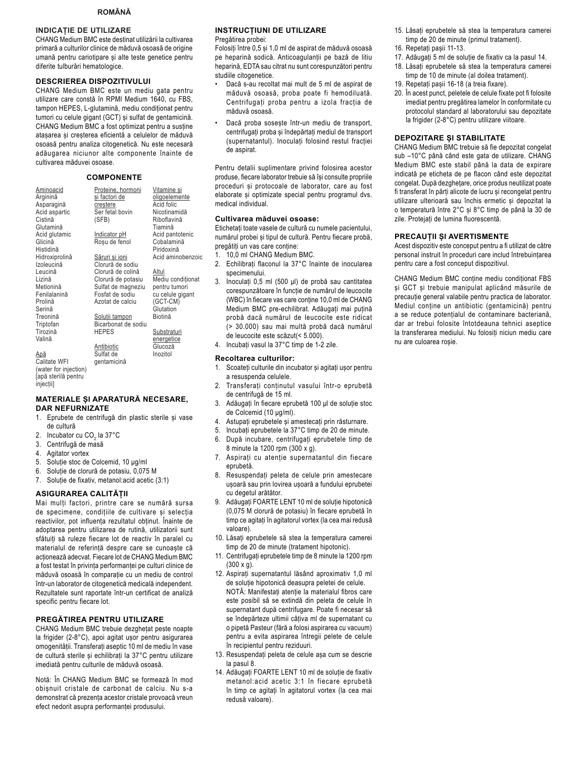### **ROMÂNĂ**

### **INDICATIE DE UTILIZARE**

CHANG Medium BMC este destinat utilizării la cultivarea primară a culturilor clinice de măduvă osoasă de origine umană pentru cariotipare și alte teste genetice pentru diferite tulburări hematologice.

#### **DESCRIEREA DISPOZITIVULUI**

CHANG Medium BMC este un mediu gata pentru utilizare care constă în RPMI Medium 1640, cu FBS, tampon HEPES, L-glutamină, mediu condiționat pentru tumori cu celule gigant (GCT) și sulfat de gentamicină. CHANG Medium BMC a fost optimizat pentru a susține atașarea și creșterea eficientă a celulelor de măduvă osoasă pentru analiza citogenetică. Nu este necesară adăugarea niciunor alte componente înainte de cultivarea măduvei osoase.

### **COMPONENTE**

| Aminoacid             | Proteine, hormoni   | <u>Vitamine și</u> |
|-----------------------|---------------------|--------------------|
| Arginină              | si factori de       | oligoelemente      |
| Asparagină            | crestere            | Acid folic         |
| Acid aspartic         | Ser fetal bovin     | Nicotinamidă       |
| Cistină               | (SFB)               | Riboflavină        |
| Glutamină             |                     | Tiamină            |
| Acid glutamic         | Indicator pH        | Acid pantotenic    |
| Glicină               | Rosu de fenol       | Cobalamină         |
| Histidină             |                     | Piridoxină         |
| Hidroxiprolină        | Săruri si ioni      | Acid aminobenzoic  |
| Izoleucină            | Clorură de sodiu    |                    |
| Leucină               | Clorură de colină   | Altul              |
| Lizină                | Clorură de potasiu  | Mediu condiționat  |
| Metionină             | Sulfat de magneziu  | pentru tumori      |
| Fenilalanină          | Fosfat de sodiu     | cu celule gigant   |
| Prolină               | Azotat de calciu    | (GCT-CM)           |
| Serină                |                     | Glutation          |
| Treonină              | Soluții tampon      | Biotină            |
| Triptofan             | Bicarbonat de sodiu |                    |
| Tirozină              | <b>HEPES</b>        | Substraturi        |
| Valină                |                     | <u>energetice</u>  |
|                       | Antibiotic          | Glucoză            |
| Apă                   | Sulfat de           | Inozitol           |
| Calitate WFI          | gentamicină         |                    |
| (water for injection) |                     |                    |
| Japă sterilă pentru   |                     |                    |

MATERIALE ȘI APARATURĂ NECESARE, **DAR NEFURNIZATE** 

- 1. Eprubete de centrifugă din plastic sterile și vase de cultură
- 2. Incubator cu CO<sub>2</sub> la 37°C
- Centrifugă de masă 3.
- $\overline{4}$ Agitator vortex

injectiil

- 5. Soluție stoc de Colcemid, 10 µg/ml
- 6. Soluție de clorură de potasiu, 0,075 M
- 7. Soluție de fixativ, metanol: acid acetic (3:1)

### ASIGURAREA CALITĂȚII

Mai multi factori, printre care se numără sursa de specimene, condițiile de cultivare și selecția reactivilor, pot influenta rezultatul obtinut. Înainte de adoptarea pentru utilizarea de rutină, utilizatorii sunt sfătuiti să ruleze fiecare lot de reactiv în paralel cu materialul de referință despre care se cunoaște că actionează adecvat. Fiecare lot de CHANG Medium BMC a fost testat în privința performanței pe culturi clinice de măduvă osoasă în comparație cu un mediu de control într-un laborator de citogenetică medicală independent. Rezultatele sunt raportate într-un certificat de analiză specific pentru fiecare lot.

#### PREGĂTIREA PENTRU UTILIZARE

CHANG Medium BMC trebuie dezghetat peste noapte la frigider (2-8°C), apoi agitat usor pentru asigurarea omogenității. Transferați aseptic 10 ml de mediu în vase de cultură sterile și echilibrați la 37°C pentru utilizare imediată pentru culturile de măduvă osoasă.

Notă: În CHANG Medium BMC se formează în mod obișnuit cristale de carbonat de calciu. Nu s-a demonstrat că prezenta acestor cristale provoacă vreun efect nedorit asupra performanței produsului.

### **INSTRUCTIUNI DE UTILIZARE**

Pregătirea probei:

Folosiți între 0,5 și 1,0 ml de aspirat de măduvă osoasă pe heparină sodică. Anticoagulanții pe bază de litiu heparină, EDTA sau citrat nu sunt corespunzători pentru studiile citogenetice.

- Dacă s-au recoltat mai mult de 5 ml de aspirat de măduvă osoasă, proba poate fi hemodiluată. Centrifugați proba pentru a izola fracția de măduvă osoasă.
- Dacă proba sosește într-un mediu de transport, centrifugați proba și îndepărtați mediul de transport (supernatantul). Inoculați folosind restul fracției de aspirat.

Pentru detalii suplimentare privind folosirea acestor produse, fiecare laborator trebuie să își consulte propriile proceduri și protocoale de laborator, care au fost elaborate și optimizate special pentru programul dvs. medical individual.

### Cultivarea măduvei osoase:

Etichetati toate vasele de cultură cu numele pacientului, numărul probei și tipul de cultură. Pentru fiecare probă, pregătiti un vas care contine:

- 1. 10,0 ml CHANG Medium BMC.
- 2. Echilibrați flaconul la 37°C înainte de inocularea specimenului.
- $3<sub>1</sub>$ Inoculați 0,5 ml (500 µl) de probă sau cantitatea corespunzătoare în funcție de numărul de leucocite (WBC) în fiecare vas care conține 10,0 ml de CHANG Medium BMC pre-echilibrat. Adăugați mai puțină probă dacă numărul de leucocite este ridicat (> 30.000) sau mai multă probă dacă numărul de leucocite este scăzut(< 5.000).
- 4. Incubați vasul la 37°C timp de 1-2 zile.

#### Recoltarea culturilor:

- 1. Scoateți culturile din incubator și agitați ușor pentru a resuspenda celulele.
- $2.$ Transferați conținutul vasului într-o eprubetă de centrifugă de 15 ml.
- $3<sub>1</sub>$ Adăugați în fiecare eprubetă 100 µl de soluție stoc de Colcemid (10 µg/ml).
- 4. Astupați eprubetele și amestecați prin răsturnare.
- $5<sup>1</sup>$ Incubați eprubetele la 37°C timp de 20 de minute.
- După incubare, centrifugați eprubetele timp de 6. 8 minute la 1200 rpm (300 x g).
- 7. Aspirați cu atenție supernatantul din fiecare enruhetă
- 8. Resuspendați peleta de celule prin amestecare ușoară sau prin lovirea ușoară a fundului eprubetei cu degetul arătător.
- 9. Adăugați FOARTE LENT 10 ml de soluție hipotonică (0,075 M clorură de potasiu) în fiecare eprubetă în timp ce agitați în agitatorul vortex (la cea mai redusă valoare).
- 10. Lăsați eprubetele să stea la temperatura camerei timp de 20 de minute (tratament hipotonic).
- 11. Centrifugați eprubetele timp de 8 minute la 1200 rpm  $(300 \times g)$ .
- 12. Aspirați supernatantul lăsând aproximativ 1,0 ml de soluție hipotonică deasupra peletei de celule. NOTĂ: Manifestati atentie la materialul fibros care este posibil să se extindă din peleta de celule în supernatant după centrifugare. Poate fi necesar să se îndepărteze ultimii câțiva ml de supernatant cu o pipetă Pasteur (fără a folosi aspirarea cu vacuum) pentru a evita aspirarea întregii pelete de celule în recipientul pentru reziduuri.
- 13. Resuspendati peleta de celule asa cum se descrie la pasul 8.
- 14. Adăugati FOARTE LENT 10 ml de solutie de fixativ metanol: acid acetic 3:1 în fiecare eprubetă în timp ce agitați în agitatorul vortex (la cea mai redusă valoare).
- 15. Lăsați eprubetele să stea la temperatura camerei timp de 20 de minute (primul tratament).
- 16. Repetați pașii 11-13.
- 17. Adăugați 5 ml de soluție de fixativ ca la pasul 14.
- 18. Lăsați eprubetele să stea la temperatura camerei timp de 10 de minute (al doilea tratament).
- 19. Repetați pașii 16-18 (a treia fixare).
- 20. În acest punct, peletele de celule fixate pot fi folosite imediat pentru pregătirea lamelor în conformitate cu protocolul standard al laboratorului sau depozitate la frigider (2-8°C) pentru utilizare viitoare.

#### **DEPOZITARE ȘI STABILITATE**

CHANG Medium BMC trebuie să fie depozitat congelat sub -10°C până când este gata de utilizare. CHANG Medium BMC este stabil până la data de expirare indicată pe eticheta de pe flacon când este depozitat congelat. După dezghețare, orice produs neutilizat poate fi transferat în părți alicote de lucru și recongelat pentru utilizare ulterioară sau închis ermetic și depozitat la o temperatură între 2°C și 8°C timp de până la 30 de zile. Protejați de lumina fluorescentă.

#### PRECAUTII ȘI AVERTISMENTE

Acest dispozitiv este conceput pentru a fi utilizat de către personal instruit în proceduri care includ întrebuintarea pentru care a fost conceput dispozitivul.

CHANG Medium BMC conține mediu condiționat FBS și GCT și trebuie manipulat aplicând măsurile de precauție general valabile pentru practica de laborator. Mediul conține un antibiotic (gentamicină) pentru a se reduce potențialul de contaminare bacteriană, dar ar trebui folosite întotdeauna tehnici aseptice la transferarea mediului. Nu folosiți niciun mediu care nu are culoarea rosie.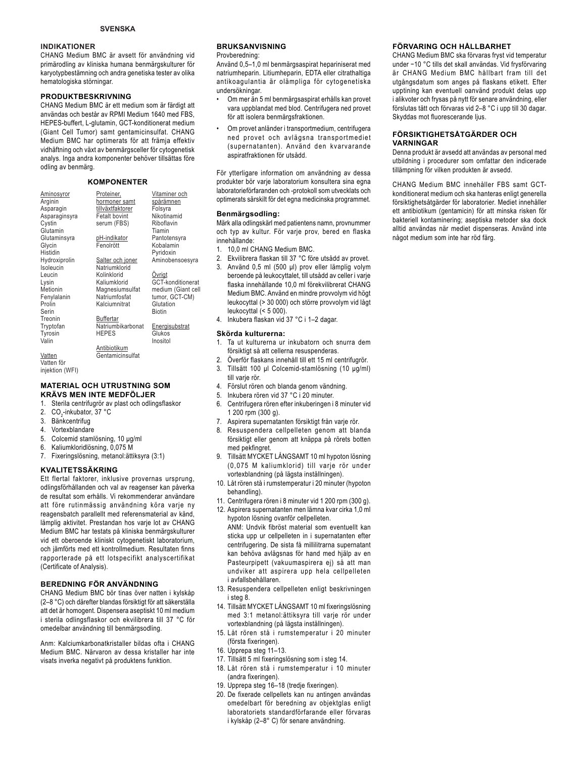### **INDIKATIONER**

CHANG Medium BMC är avsett för användning vid primärodling av kliniska humana benmärgskulturer för karyotypbestämning och andra genetiska tester av olika hematologiska störningar.

### **PRODUKTBESKRIVNING**

CHANG Medium BMC är ett medium som är färdigt att användas och består av RPMI Medium 1640 med FBS, HEPES-buffert, L-glutamin, GCT-konditionerat medium (Giant Cell Tumor) samt gentamicinsulfat. CHANG Medium BMC har optimerats för att främja effektiv vidhäftning och växt av benmärgsceller för cytogenetisk analys. Inga andra komponenter behöver tillsättas före odling av benmärg.

#### **KOMPONENTER**

| <b>Aminosyror</b><br>Arginin<br>Asparagin | Proteiner,<br>hormoner samt<br>tillväxtfaktorer | Vitaminer och<br>spårämnen<br>Folsyra |
|-------------------------------------------|-------------------------------------------------|---------------------------------------|
| Asparaginsyra                             | <b>Fetalt bovint</b>                            | Nikotinamid                           |
| Cystin                                    | serum (FBS)                                     | Riboflavin                            |
| Glutamin                                  |                                                 | Tiamin                                |
| Glutaminsyra                              | <u>pH-indikator</u>                             | Pantotensyra                          |
| Glycin                                    | Fenolrött                                       | Kobalamin                             |
| Histidin                                  |                                                 | Pyridoxin                             |
| Hydroxiprolin                             | Salter och joner                                | Aminobensoesyra                       |
| Isoleucin                                 | Natriumklorid                                   |                                       |
| Leucin                                    | Kolinklorid                                     | Ovrigt                                |
| Lysin                                     | Kaliumklorid                                    | GCT-konditionerat                     |
| Metionin                                  | Magnesiumsulfat                                 | medium (Giant cell                    |
| Fenylalanin                               | Natriumfosfat                                   | tumor, GCT-CM)                        |
| Prolin                                    | Kalciumnitrat                                   | Glutation                             |
| Serin                                     |                                                 | <b>Biotin</b>                         |
| Treonin                                   | Buffertar                                       |                                       |
| Tryptofan                                 | Natriumbikarbonat                               | Energisubstrat                        |
| Tyrosin                                   | <b>HEPES</b>                                    | Glukos                                |
| Valin                                     |                                                 | Inositol                              |
|                                           | Antibiotikum                                    |                                       |
| Vatten                                    | Gentamicinsulfat                                |                                       |
| Vatten för                                |                                                 |                                       |
| intleft                                   |                                                 |                                       |

injektion (WFI)

### **MATERIAL OCH UTRUSTNING SOM KRÄVS MEN INTE MEDFÖLJER**

1. Sterila centrifugrör av plast och odlingsflaskor

- 2. CO<sub>2</sub>-inkubator, 37 °C
- 3. Bänkcentrifug
- 4. Vortexblandare
- 5. Colcemid stamlösning, 10 µg/ml
- 6. Kaliumkloridlösning, 0,075 M
- 7. Fixeringslösning, metanol:ättiksyra (3:1)

### **KVALITETSSÄKRING**

Ett flertal faktorer, inklusive provernas ursprung, odlingsförhållanden och val av reagenser kan påverka de resultat som erhålls. Vi rekommenderar användare att före rutinmässig användning köra varje ny reagensbatch parallellt med referensmaterial av känd, lämplig aktivitet. Prestandan hos varje lot av CHANG Medium BMC har testats på kliniska benmärgskulturer vid ett oberoende kliniskt cytogenetiskt laboratorium, och jämförts med ett kontrollmedium. Resultaten finns rapporterade på ett lotspecifikt analyscertifikat (Certificate of Analysis).

### **BEREDNING FÖR ANVÄNDNING**

CHANG Medium BMC bör tinas över natten i kylskåp (2–8 °C) och därefter blandas försiktigt för att säkerställa att det är homogent. Dispensera aseptiskt 10 ml medium i sterila odlingsflaskor och ekvilibrera till 37 °C för omedelbar användning till benmärgsodling.

Anm: Kalciumkarbonatkristaller bildas ofta i CHANG Medium BMC. Närvaron av dessa kristaller har inte visats inverka negativt på produktens funktion.

### **BRUKSANVISNING**

#### Provberedning:

Använd 0,5–1,0 ml benmärgsaspirat hepariniserat med natriumheparin. Litiumheparin, EDTA eller citrathaltiga antikoagulantia är olämpliga för cytogenetiska undersökningar.

- Om mer än 5 ml benmärgsaspirat erhålls kan provet vara uppblandat med blod. Centrifugera ned provet för att isolera benmärgsfraktionen.
- Om provet anländer i transportmedium, centrifugera ned provet och avlägsna transportmediet (supernatanten). Använd den kvarvarande aspiratfraktionen för utsådd.

För ytterligare information om användning av dessa produkter bör varje laboratorium konsultera sina egna laboratorieförfaranden och -protokoll som utvecklats och optimerats särskilt för det egna medicinska programmet.

#### **Benmärgsodling:**

Märk alla odlingskärl med patientens namn, provnummer och typ av kultur. För varje prov, bered en flaska innehållande:

- 1. 10,0 ml CHANG Medium BMC.
- 2. Ekvilibrera flaskan till 37 °C före utsådd av provet. 3. Använd 0,5 ml (500 µl) prov eller lämplig volym beroende på leukocyttalet, till utsådd av celler i varie flaska innehållande 10,0 ml förekvilibrerat CHANG Medium BMC. Använd en mindre provvolym vid högt leukocyttal (> 30 000) och större provvolym vid lågt leukocyttal (< 5 000).
- 4. Inkubera flaskan vid 37 °C i 1–2 dagar.

#### **Skörda kulturerna:**

- 1. Ta ut kulturerna ur inkubatorn och snurra dem försiktigt så att cellerna resuspenderas.
- 2. Överför flaskans innehåll till ett 15 ml centrifugrör. 3. Tillsätt 100 µl Colcemid-stamlösning (10 µg/ml)
- till varie rör. 4. Förslut rören och blanda genom vändning.
- 5. Inkubera rören vid 37 °C i 20 minuter.
- 6. Centrifugera rören efter inkuberingen i 8 minuter vid 1 200 rpm (300 g).
- 7. Aspirera supernatanten försiktigt från varje rör.
- 8. Resuspendera cellpelleten genom att blanda
- försiktigt eller genom att knäppa på rörets botten med pekfingret.
- 9. Tillsätt MYCKET LÅNGSAMT 10 ml hypoton lösning (0.075 M kaliumklorid) till varie rör under vortexblandning (på lägsta inställningen).
- 10. Låt rören stå i rumstemperatur i 20 minuter (hypoton behandling).
- 11. Centrifugera rören i 8 minuter vid 1 200 rpm (300 g). 12. Aspirera supernatanten men lämna kvar cirka 1,0 ml hypoton lösning ovanför cellpelleten.
- ANM: Undvik fibröst material som eventuellt kan sticka upp ur cellpelleten in i supernatanten efter centrifugering. De sista få millilitrarna supernatant kan behöva avlägsnas för hand med hjälp av en Pasteurpipett (vakuumaspirera ej) så att man undviker att aspirera upp hela cellpelleten i avfallsbehållaren.
- 13. Resuspendera cellpelleten enligt beskrivningen i steg 8.
- 14. Tillsätt MYCKET LÅNGSAMT 10 ml fixeringslösning med 3:1 metanol:ättiksyra till varje rör under vortexblandning (på lägsta inställningen).
- 15. Låt rören stå i rumstemperatur i 20 minuter (första fixeringen).
- 16. Upprepa steg 11–13.
- 17. Tillsätt 5 ml fixeringslösning som i steg 14.
- 18. Låt rören stå i rumstemperatur i 10 minuter (andra fixeringen).
- 19. Upprepa steg 16-18 (tredje fixeringen).
- 20. De fixerade cellpellets kan nu antingen användas omedelbart för beredning av objektglas enligt laboratoriets standardförfarande eller förvaras i kylskåp (2–8° C) för senare användning.

### **FÖRVARING OCH HÅLLBARHET**

CHANG Medium BMC ska förvaras fryst vid temperatur under -10 °C tills det skall användas. Vid frysförvaring är CHANG Medium BMC hållbart fram till det utgångsdatum som anges på flaskans etikett. Efter upptining kan eventuell oanvänd produkt delas upp i alikvoter och frysas på nytt för senare användning, eller förslutas tätt och förvaras vid 2–8 °C i upp till 30 dagar. Skyddas mot fluorescerande ljus.

#### **FÖRSIKTIGHETSÅTGÄRDER OCH VARNINGAR**

Denna produkt är avsedd att användas av personal med utbildning i procedurer som omfattar den indicerade tillämpning för vilken produkten är avsedd.

CHANG Medium BMC innehåller FBS samt GCTkonditionerat medium och ska hanteras enligt generella försiktighetsåtgärder för laboratorier. Mediet innehåller ett antibiotikum (gentamicin) för att minska risken för bakteriell kontaminering; aseptiska metoder ska dock alltid användas när mediet dispenseras. Använd inte något medium som inte har röd färg.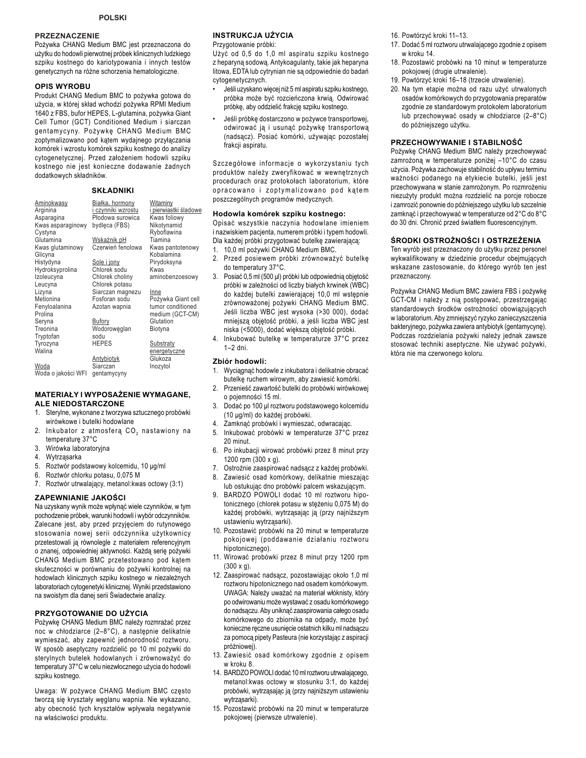### **PRZEZNACZENIE**

Pożywka CHANG Medium BMC jest przeznaczona do użytku do hodowli pierwotnej próbek klinicznych ludzkiego szpiku kostnego do kariotypowania i innych testów genetycznych na różne schorzenia hematologiczne.

#### **OPIS WYROBU**

Produkt CHANG Medium BMC to pożywka gotowa do użycia, w której skład wchodzi pożywka RPMI Medium 1640 z FBS, bufor HEPES, L-glutamina, pożywka Giant Cell Tumor (GCT) Conditioned Medium i siarczan gentamycyny. Pożywkę CHANG Medium BMC zoptymalizowano pod kątem wydajnego przyłączania komórek i wzrostu komórek szpiku kostnego do analizy cytogenetycznej. Przed założeniem hodowli szpiku kostnego nie jest konieczne dodawanie żadnych dodatkowych składników.

### **SKŁADNIKI**

| <u>Aminokwasy</u><br>Arginina | <u>Białka, hormony</u><br>i czynniki wzrostu | Witaminy<br>i pierwiastki śladowe |
|-------------------------------|----------------------------------------------|-----------------------------------|
| Asparagina                    | Płodowa surowica                             | Kwas foliowy                      |
| Kwas asparaginowy             | bydleca (FBS)                                | Nikotynamid                       |
| Cystyna                       |                                              | Ryboflawina                       |
| Glutamina                     | Wskaźnik pH                                  | Tiamina                           |
| Kwas glutaminowy<br>Glicyna   | Czerwień fenolowa                            | Kwas pantotenowy<br>Kobalamina    |
| Histydyna                     | Sole i jony                                  | Pirydoksyna                       |
| Hydroksyprolina               | Chlorek sodu                                 | Kwas                              |
| Izoleucyna                    | Chlorek choliny                              | aminobenzoesowy                   |
| Leucyna                       | Chlorek potasu                               |                                   |
| Lizyna                        | Siarczan magnezu                             | Inne                              |
| Metionina                     | Fosforan sodu                                | Pożywka Giant cell                |
| Fenyloalanina                 | Azotan wapnia                                | tumor conditioned                 |
| Prolina                       |                                              | medium (GCT-CM)                   |
| Seryna                        | Bufory                                       | Glutation                         |
| Treonina                      | Wodoroweglan                                 | Biotyna                           |
| Tryptofan                     | sodu                                         |                                   |
| Tyrozyna                      | <b>HEPES</b>                                 | Substraty                         |
| Walina                        |                                              | energetyczne                      |
|                               | <b>Antybiotyk</b>                            | Glukoza                           |
| Woda                          | Siarczan                                     | Inozytol                          |
| Woda o jakości WFI            | gentamycyny                                  |                                   |

### **MATERIAŁY I WYPOSAŻENIE WYMAGANE.** ALE NIEDOSTARCZONE

- 1. Sterylne, wykonane z tworzywa sztucznego probówki wirówkowe i butelki hodowlane
- 2. Inkubator z atmosferą CO<sub>2</sub> nastawiony na temperature 37°C
- 3. Wirówka laboratoryjna
- 4. Wytrząsarka
- 5. Roztwór podstawowy kolcemidu, 10 µg/ml
- 6. Roztwór chlorku potasu, 0,075 M
- 7. Roztwór utrwalający, metanol: kwas octowy (3:1)

#### ZAPEWNIANIE JAKOŚCI

Na uzyskany wynik może wpłynąć wiele czynników, w tym pochodzenie próbek, warunki hodowli i wybór odczynników. Zalecane jest, aby przed przyjęciem do rutynowego stosowania nowej serii odczynnika użytkownicy przetestowali ją równolegle z materiałem referencyjnym o znanej, odpowiedniej aktywności. Każda serie pożywki CHANG Medium BMC przetestowano pod kątem skuteczności w porównaniu do pożywki kontrolnej na hodowlach klinicznych szpiku kostnego w niezależnych laboratoriach cytogenetyki klinicznej. Wyniki przedstawiono na swoistym dla danej serii Świadectwie analizy.

#### PRZYGOTOWANIE DO UŻYCIA

Pożywkę CHANG Medium BMC należy rozmrażać przez noc w chłodziarce (2-8°C), a następnie delikatnie wymieszać, aby zapewnić jednorodność roztworu. W sposób aseptyczny rozdzielić po 10 ml pożywki do sterylnych butelek hodowlanych i zrównoważyć do temperatury 37°C w celu niezwłocznego użycia do hodowli szpiku kostnego.

Uwaga: W pożywce CHANG Medium BMC często tworzą się kryształy węglanu wapnia. Nie wykazano, aby obecność tych kryształów wpływała negatywnie na właściwości produktu.

### **INSTRUKCJA UŻYCIA**

Przygotowanie próbki:

Użyć od 0,5 do 1,0 ml aspiratu szpiku kostnego z heparyną sodową. Antykoagulanty, takie jak heparyna litowa, EDTA lub cytrynian nie są odpowiednie do badań cytogenetycznych.

- Jeśli uzyskano więcej niż 5 ml aspiratu szpiku kostnego, próbka może być rozcieńczona krwią. Odwirować próbkę, aby oddzielić frakcję szpiku kostnego.
- Jeśli próbkę dostarczono w pożywce transportowej, odwirować ją i usunąć pożywkę transportową (nadsącz). Posiać komórki, używając pozostałej frakcji aspiratu.

Szczegółowe informacje o wykorzystaniu tych produktów należy zweryfikować w wewnętrznych procedurach oraz protokołach laboratorium, które opracowano i zoptymalizowano pod kątem poszczególnych programów medycznych.

### Hodowla komórek szpiku kostnego:

Opisać wszystkie naczynia hodowlane imieniem i nazwiskiem pacjenta, numerem próbki i typem hodowli. Dla każdej próbki przygotować butelkę zawierającą:

- 1. 10,0 ml pożywki CHANG Medium BMC.
- 2. Przed posiewem próbki zrównoważyć butelkę do temperatury 37°C.
- 3. Posiać 0,5 ml (500 µl) próbki lub odpowiednią objętość próbki w zależności od liczby białych krwinek (WBC) do każdej butelki zawierającej 10,0 ml wstępnie zrównoważonej pożywki CHANG Medium BMC. Jeśli liczba WBC jest wysoka (>30 000), dodać mniejszą objętość próbki, a jeśli liczba WBC jest niska (<5000), dodać większą objętość próbki.
- 4. Inkubować butelkę w temperaturze 37°C przez  $1-2$  dni

### Zbiór hodowli:

- 1. Wyciągnąć hodowle z inkubatora i delikatnie obracać butelkę ruchem wirowym, aby zawiesić komórki.
- Przenieść zawartość butelki do probówki wirówkowej o poiemności 15 ml.
- 3. Dodać po 100 µl roztworu podstawowego kolcemidu (10 µg/ml) do każdej probówki.
- 4. Zamknąć probówki i wymieszać, odwracając.
- 5. Inkubować probówki w temperaturze 37°C przez 20 minut.
- Po inkubacji wirować probówki przez 8 minut przy 6 1200 rpm (300 x q).
- 7. Ostrożnie zaaspirować nadsącz z każdej probówki.
- 8. Zawiesić osad komórkowy, delikatnie mieszając lub ostukując dno probówki palcem wskazującym.
- 9. BARDZO POWOLI dodać 10 ml roztworu hipotonicznego (chlorek potasu w stężeniu 0,075 M) do każdej probówki, wytrząsając ją (przy najniższym ustawieniu wytrzasarki).
- 10. Pozostawić probówki na 20 minut w temperaturze pokojowej (poddawanie działaniu roztworu hipotonicznego).
- 11. Wirować probówki przez 8 minut przy 1200 rpm  $(300 \times q)$ .
- 12. Zaaspirować nadsącz, pozostawiając około 1,0 ml roztworu hipotonicznego nad osadem komórkowym. UWAGA: Należy uważać na materiał włóknisty, który po odwirowaniu może wystawać z osadu komórkowego do nadsączu. Aby uniknąć zaaspirowania całego osadu komórkowego do zbiornika na odpady, może być konieczne ręczne usunięcie ostatnich kilku ml nadsączu za pomocą pipety Pasteura (nie korzystając z aspiracji próżniowej).
- 13. Zawiesić osad komórkowy zgodnie z opisem w kroku 8
- 14. BARDZO POWOLI dodać 10 ml roztworu utrwalającego, metanol: kwas octowy w stosunku 3:1, do każdej probówki, wytrząsając ją (przy najniższym ustawieniu wytrzasarki).
- 15. Pozostawić probówki na 20 minut w temperaturze pokojowej (pierwsze utrwalenie).
- 16. Powtórzyć kroki 11-13.
- 17. Dodać 5 ml roztworu utrwalającego zgodnie z opisem w kroku 14.
- 18. Pozostawić probówki na 10 minut w temperaturze pokojowej (drugie utrwalenie).
- 19. Powtórzyć kroki 16-18 (trzecie utrwalenie).
- 20. Na tym etapie można od razu użyć utrwalonych osadów komórkowych do przygotowania preparatów zgodnie ze standardowym protokołem laboratorium lub przechowywać osady w chłodziarce (2-8°C) do późniejszego użytku.

### PRZECHOWYWANIE I STABILNOŚĆ

Pożywkę CHANG Medium BMC należy przechowywać zamrożoną w temperaturze poniżej -10°C do czasu użycia. Pożywka zachowuje stabilność do upływu terminu ważności podanego na etykiecie butelki, jeśli jest przechowywana w stanie zamrożonym. Po rozmrożeniu niezużyty produkt można rozdzielić na porcje robocze i zamrozić ponownie do późniejszego użytku lub szczelnie zamknąć i przechowywać w temperaturze od 2°C do 8°C do 30 dni. Chronić przed światłem fluorescencyjnym.

### ŚRODKI OSTROŻNOŚCI I OSTRZEŻENIA

Ten wyrób jest przeznaczony do użytku przez personel wykwalifikowany w dziedzinie procedur obejmujących wskazane zastosowanie, do którego wyrób ten jest przeznaczony.

Pożywka CHANG Medium BMC zawiera FBS i pożywkę GCT-CM i należy z nią postępować, przestrzegając standardowych środków ostrożności obowiązujących w laboratorium. Aby zmniejszyć ryzyko zanieczyszczenia bakteryjnego, pożywka zawiera antybiotyk (gentamycynę). Podczas rozdzielania pożywki należy jednak zawsze stosować techniki aseptyczne. Nie używać pożywki, która nie ma czerwonego koloru.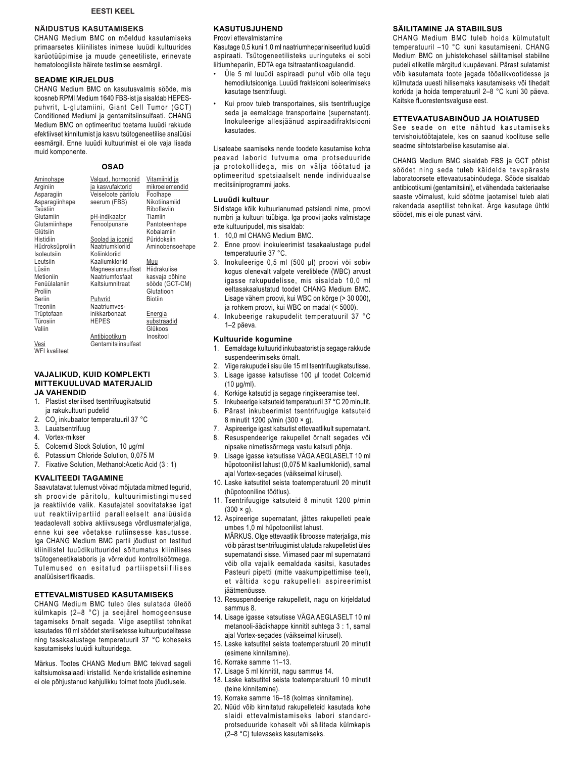### **NÄIDUSTUS KASUTAMISEKS**

CHANG Medium BMC on mõeldud kasutamiseks primaarsetes kliinilistes inimese luuüdi kultuurides karüotüüpimise ja muude geneetiliste, erinevate hematoloogiliste häirete testimise eesmärgil.

#### **SEADME KIRJELDUS**

CHANG Medium BMC on kasutusvalmis sööde, mis koosneb RPMI Medium 1640 FBS-ist ja sisaldab HEPESpuhvrit, L-glutamiini, Giant Cell Tumor (GCT) Conditioned Mediumi ja gentamitsiinsulfaati. CHANG Medium BMC on optimeeritud toetama luuüdi rakkude efektiivset kinnitumist ja kasvu tsütogeneetilise analüüsi eesmärgil. Enne luuüdi kultuurimist ei ole vaja lisada muid komponente.

### **OSAD**

| <b>Aminohape</b> | <u>Valqud, hormoonid</u> | Vitamiinid ja   |
|------------------|--------------------------|-----------------|
| Arginiin         | ja kasvufaktorid         | mikroelemendid  |
| Asparagiin       | Veiseloote päritolu      | Foolhape        |
| Asparagiinhape   | seerum (FBS)             | Nikotiinamiid   |
| Tsüstiin         |                          | Riboflaviin     |
| Glutamiin        | pH-indikaator            | Tiamiin         |
| Glutamiinhape    | Fenoolpunane             | Pantoteenhape   |
| Glütsiin         |                          | Kobalamiin      |
| Histidiin        | Soolad ja ioonid         | Püridoksiin     |
| Hüdroksüproliin  | Naatriumkloriid          | Aminobensoehape |
| Isoleutsiin      | Koliinkloriid            |                 |
| Leutsiin         | Kaaliumkloriid           | Muu             |
| Lüsiin           | Magneesiumsulfaat        | Hiidrakulise    |
| Metioniin        | Naatriumfosfaat          | kasvaja põhine  |
| Fenüülalaniin    | Kaltsiumnitraat          | sööde (GCT-CM)  |
| Proliin          |                          | Glutatioon      |
| Seriin           | Puhvrid                  | <b>Biotiin</b>  |
| Treoniin         | Naatriumves-             |                 |
| Trüptofaan       | inikkarbonaat            | Energia         |
| Türosiin         | <b>HEPES</b>             | substraadid     |
| Valiin           |                          | Glükoos         |
|                  | Antibiootikum            | Inositool       |
| Vesi             | Gentamitsiinsulfaat      |                 |

Vesi WFI kvaliteet

### VAJALIKUD, KUID KOMPLEKTI MITTEKUULUVAD MATERJALID **JA VAHENDID**

- 1. Plastist steriilsed tsentrifuugikatsutid ja rakukultuuri pudelid
- $2.$ CO<sub>2</sub> inkubaator temperatuuril 37 °C
- 3. Lauatsentrifuug
- 4. Vortex-mikser
- 5. Colcemid Stock Solution, 10 µg/ml
- 6. Potassium Chloride Solution, 0,075 M
- 7. Fixative Solution, Methanol: Acetic Acid (3 : 1)

### **KVALITEEDI TAGAMINE**

Saavutatavat tulemust võivad mõjutada mitmed tegurid, sh proovide päritolu, kultuurimistingimused ja reaktiivide valik. Kasutajatel soovitatakse igat uut reaktiivipartiid paralleelselt analüüsida teadaolevalt sobiva aktiivsusega võrdlusmaterjaliga, enne kui see võetakse rutiinsesse kasutusse. Iga CHANG Medium BMC partii jõudlust on testitud kliinilistel luuüdikultuuridel sõltumatus kliinilises tsütogeneetikalaboris ja võrreldud kontrollsöötmega. Tulemused on esitatud partiispetsiifilises analüüsisertifikaadis.

### **ETTEVALMISTUSED KASUTAMISEKS**

CHANG Medium BMC tuleb üles sulatada üleöö külmkapis (2-8 °C) ja seejärel homogeensuse tagamiseks õrnalt segada. Viige aseptilist tehnikat kasutades 10 ml söödet steriilsetesse kultuuripudelitesse ning tasakaalustage temperatuuril 37 °C koheseks kasutamiseks luuüdi kultuuridega.

Märkus. Tootes CHANG Medium BMC tekivad sageli kaltsiumoksalaadi kristallid. Nende kristallide esinemine ei ole põhjustanud kahjulikku toimet toote jõudlusele.

### **KASUTUSJUHEND**

### Proovi ettevalmistamine

Kasutage 0,5 kuni 1,0 ml naatriumhepariniseeritud luuüdi aspiraati. Tsütogeneetilisteks uuringuteks ei sobi liitiumhepariin, EDTA ega tsitraatantikoagulandid.

- Üle 5 ml luuüdi aspiraadi puhul võib olla tegu hemodilutsiooniga. Luuüdi fraktsiooni isoleerimiseks kasutage tsentrifuugi.
- Kui proov tuleb transportaines, siis tsentrifuugige seda ja eemaldage transportaine (supernatant). Inokuleerige allesjäänud aspiraadifraktsiooni kasutades.

Lisateabe saamiseks nende toodete kasutamise kohta peavad laborid tutvuma oma protseduuride ja protokollidega, mis on välja töötatud ja optimeeritud spetsiaalselt nende individuaalse meditsiiniprogrammi jaoks.

### Luuüdi kultuur

Sildistage kõik kultuurianumad patsiendi nime, proovi numbri ja kultuuri tüübiga. Iga proovi jaoks valmistage ette kultuuripudel, mis sisaldab:

- 1. 10,0 ml CHANG Medium BMC.
- 2. Enne proovi inokuleerimist tasakaalustage pudel temperatuurile 37 °C.
- $\mathbf{3}$ Inokuleerige 0,5 ml (500 µl) proovi või sobiv kogus olenevalt valgete vereliblede (WBC) arvust igasse rakupudelisse, mis sisaldab 10,0 ml eeltasakaalustatud toodet CHANG Medium BMC. Lisage vähem proovi, kui WBC on kõrge (> 30 000), ja rohkem proovi, kui WBC on madal (< 5000).
- 4. Inkubeerige rakupudelit temperatuuril 37 °C 1-2 päeva.

### Kultuuride kogumine

- 1. Eemaldage kultuurid inkubaatorist ja segage rakkude suspendeerimiseks õrnalt.
- 2. Viige rakupudeli sisu üle 15 ml tsentrifuugikatsutisse.
- Lisage igasse katsutisse 100 µl toodet Colcemid  $\mathcal{R}$  $(10 \mu g/ml)$ .
- $\overline{4}$ Korkige katsutid ja segage ringikeeramise teel.
- 5. Inkubeerige katsuteid temperatuuril 37 °C 20 minutit.
- 6. Pärast inkubeerimist tsentrifuugige katsuteid 8 minutit 1200 p/min (300 × g).
- $7.$ Aspireerige igast katsutist ettevaatlikult supernatant.
- Resuspendeerige rakupellet õrnalt segades või 8. nipsake nimetissõrmega vastu katsuti põhja.
- 9. Lisage igasse katsutisse VÄGA AEGLASELT 10 ml hüpotoonilist lahust (0,075 M kaaliumkloriid), samal ajal Vortex-segades (väikseimal kiirusel).
- 10. Laske katsutitel seista toatemperatuuril 20 minutit (hüpotooniline töötlus).
- 11. Tsentrifuugige katsuteid 8 minutit 1200 p/min  $(300 \times g)$ .
- 12. Aspireerige supernatant, jättes rakupelleti peale umbes 1,0 ml hüpotoonilist lahust.

MÄRKUS. Olge ettevaatlik fibroosse materjaliga, mis võib pärast tsentrifuugimist ulatuda rakupelletist üles supernatandi sisse. Viimased paar ml supernatanti võib olla vajalik eemaldada käsitsi, kasutades Pasteuri pipetti (mitte vaakumpipettimise teel), et vältida kogu rakupelleti aspireerimist jäätmenõusse.

- 13. Resuspendeerige rakupelletit, nagu on kirjeldatud sammus 8
- 14. Lisage igasse katsutisse VÄGA AEGLASELT 10 ml metanooli-äädikhappe kinnitit suhtega 3 : 1, samal ajal Vortex-segades (väikseimal kiirusel).
- 15. Laske katsutitel seista toatemperatuuril 20 minutit (esimene kinnitamine).
- 16. Korrake samme 11-13.
- 17. Lisage 5 ml kinnitit, nagu sammus 14.
- 18. Laske katsutitel seista toatemperatuuril 10 minutit (teine kinnitamine).
- 19. Korrake samme 16-18 (kolmas kinnitamine).
- 20. Nüüd võib kinnitatud rakupelleteid kasutada kohe slaidi ettevalmistamiseks labori standardprotseduuride kohaselt või säilitada külmkapis (2-8 °C) tulevaseks kasutamiseks.

### **SÄILITAMINE JA STABIILSUS**

CHANG Medium BMC tuleb hoida külmutatult temperatuuril -10 °C kuni kasutamiseni. CHANG Medium BMC on juhistekohasel säilitamisel stabiilne pudeli etiketile märgitud kuupäevani. Pärast sulatamist võib kasutamata toote jagada tööalikvootidesse ja külmutada uuesti hilisemaks kasutamiseks või tihedalt korkida ja hoida temperatuuril 2-8 °C kuni 30 päeva. Kaitske fluorestentsvalguse eest.

#### ETTEVAATUSABINÕUD JA HOIATUSED

See seade on ette nähtud kasutamiseks tervishoiutöötajatele, kes on saanud koolituse selle seadme sihtotstarbelise kasutamise alal.

CHANG Medium BMC sisaldab FBS ja GCT põhist söödet ning seda tuleb käidelda tavapäraste laboratoorsete ettevaatusabinõudega. Sööde sisaldab antibiootikumi (gentamitsiini), et vähendada bakteriaalse saaste võimalust, kuid söötme jaotamisel tuleb alati rakendada aseptilist tehnikat. Ärge kasutage ühtki söödet, mis ei ole punast värvi.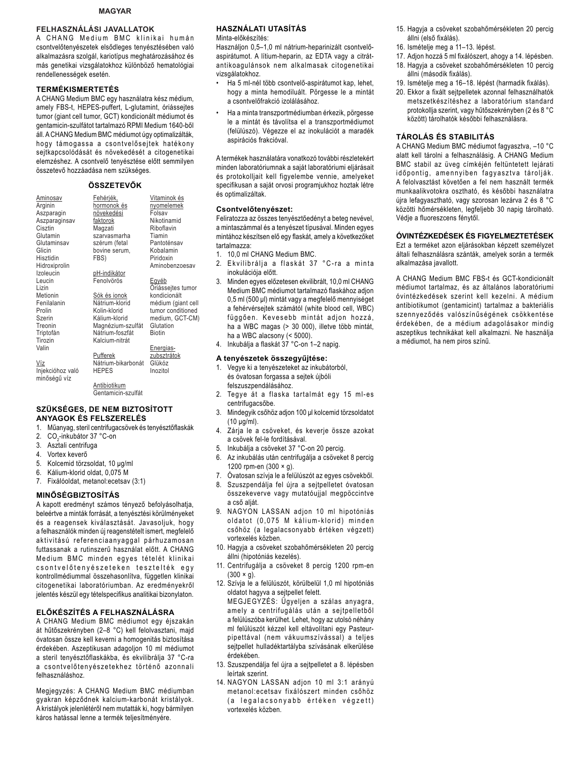### **MAGYAR**

### FELHASZNÁLÁSI JAVALLATOK

A CHANG Medium BMC klinikai humán csontvelőtenyészetek elsődleges tenyésztésében való alkalmazásra szolgál, kariotípus meghatározásához és más genetikai vizsgálatokhoz különböző hematológiai rendellenességek esetén.

### **TERMÉKISMERTETÉS**

A CHANG Medium BMC egy használatra kész médium, amely FBS-t, HEPES-puffert, L-glutamint, óriássejtes tumor (giant cell tumor, GCT) kondicionált médiumot és gentamicin-szulfátot tartalmazó RPMI Medium 1640-ből áll. A CHANG Medium BMC médiumot úgy optimalizálták, hogy támogassa a csontvelősejtek hatékony sejtkapcsolódását és növekedését a citogenetikai elemzéshez. A csontvelő tenyésztése előtt semmilyen összetevő hozzáadása nem szükséges.

### ÖSSZETEVŐK

| Aminosav<br>Arginin<br>Aszparagin | <u>Fehérjék,</u><br>hormonok és<br>növekedési | Vitaminok és<br>nyomelemek<br>Folsav |
|-----------------------------------|-----------------------------------------------|--------------------------------------|
| Aszparaginsav                     | faktorok                                      | Nikotinamid                          |
| Cisztin                           | Magzati                                       | Riboflavin                           |
| Glutamin                          | szarvasmarha                                  | Tiamin                               |
| Glutaminsav                       | szérum (fetal                                 | Pantoténsav                          |
| Glicin                            | bovine serum,                                 | Kobalamin                            |
| Hisztidin                         | FBS)                                          | Piridoxin                            |
| Hidroxiprolin                     |                                               | Aminobenzoesav                       |
| Izoleucin                         | <u>pH-indikátor</u>                           |                                      |
| Leucin                            | Fenolvörös                                    | <u>Egyéb</u>                         |
| Lizin                             |                                               | Oriássejtes tumor                    |
| Metionin                          | Sók és ionok                                  | kondicionált                         |
| Fenilalanin                       | Nátrium-klorid                                | médium (giant cell                   |
| Prolin                            | Kolin-klorid                                  | tumor conditioned                    |
| Szerin                            | Kálium-klorid                                 | medium, GCT-CM)                      |
| Treonin                           | Magnézium-szulfát                             | Glutation                            |
| Triptofán                         | Nátrium-foszfát                               | <b>Biotin</b>                        |
| Tirozin                           | Kalcium-nitrát                                |                                      |
| Valin                             |                                               | Energias-                            |
|                                   | Pufferek                                      | zubsztrátok                          |
| Víz                               | Nátrium-bikarbonát                            | Glükóz                               |
| Injekcióhoz való                  | <b>HEPES</b>                                  | Inozitol                             |

Víz Injel minőségű víz

**Antibiotikum** Gentamicin-szulfát

### SZÜKSÉGES. DE NEM BIZTOSÍTOTT **ANYAGOK ES FELSZERELES**

- 1. Műanyag, steril centrifugacsövek és tenyésztőflaskák
- 2. CO<sub>2</sub>-inkubátor 37 °C-on
- 3 Asztali centrifuga
- 4. Vortex keverő
- 5. Kolcemid törzsoldat, 10 µq/ml
- 6. Kálium-klorid oldat, 0,075 M
- 7. Fixálóoldat, metanol: ecetsav (3:1)

#### **MINŐSÉGBIZTOSÍTÁS**

A kapott eredményt számos tényező befolyásolhatja, beleértve a minták forrását, a tenyésztési körülményeket és a reagensek kiválasztását. Javasoljuk, hogy a felhasználók minden új reagenstételt ismert, megfelelő aktivitású referenciaanyaggal párhuzamosan futtassanak a rutinszerű használat előtt. A CHANG Medium BMC minden egyes tételét klinikai csontvelőtenyészeteken tesztelték egy kontrollmédiummal összehasonlítva, független klinikai citogenetikai laboratóriumban. Az eredményekről jelentés készül egy tételspecifikus analitikai bizonylaton.

### ELŐKÉSZÍTÉS A FELHASZNÁLÁSRA

A CHANG Medium BMC médiumot egy éjszakán át hűtőszekrényben (2-8 °C) kell felolvasztani, majd óvatosan össze kell keverni a homogenitás biztosítása érdekében. Aszeptikusan adagoljon 10 ml médiumot a steril tenyésztőflaskákba, és ekvilibrálja 37 °C-ra a csontvelőtenyészetekhez történő azonnali felhasználáshoz.

Megjegyzés: A CHANG Medium BMC médiumban gyakran képződnek kalcium-karbonát kristályok. A kristályok jelenlétéről nem mutatták ki, hogy bármilyen káros hatással lenne a termék teljesítményére.

### HASZNÁI ATI UTASÍTÁS

Minta-előkészítés:

Használjon 0,5-1,0 ml nátrium-heparinizált csontvelőaspirátumot. A lítium-heparin, az EDTA vagy a citrátantikoagulánsok nem alkalmasak citogenetikai vizsgálatokhoz.

- Ha 5 ml-nél több csontvelő-aspirátumot kap, lehet, hogy a minta hemodiluált. Pörgesse le a mintát a csontvelőfrakció izolálásához.
- Ha a minta transzportmédiumban érkezik, pörgesse le a mintát és távolítsa el a transzportmédiumot (felülúszó). Végezze el az inokulációt a maradék aspirációs frakcióval.

A termékek használatára vonatkozó további részletekért minden laboratóriumnak a saját laboratóriumi eljárásait és protokolljait kell figyelembe vennie, amelyeket specifikusan a saját orvosi programjukhoz hoztak létre és optimalizáltak.

### Csontvelőtenyészet:

Feliratozza az összes tenyésztőedényt a beteg nevével, a mintaszámmal és a tenyészet típusával. Minden egyes mintához készítsen elő egy flaskát, amely a következőket tartalmazza:

- 1. 10,0 ml CHANG Medium BMC.
- 2. Ekvilibrálja a flaskát 37 °C-ra a minta inokulációja előtt.
- Minden egyes előzetesen ekvilibrált, 10,0 ml CHANG  $3<sub>1</sub>$ Medium BMC médiumot tartalmazó flaskához adjon 0,5 ml (500 µl) mintát vagy a megfelelő mennyiséget a fehérvérsejtek számától (white blood cell, WBC) függően. Kevesebb mintát adjon hozzá, ha a WBC magas (> 30 000), illetve több mintát, ha a WBC alacsony (< 5000).
- 4. Inkubálja a flaskát 37 °C-on 1-2 napig.

#### A tenyészetek összegyűjtése:

- 1. Vegye ki a tenyészeteket az inkubátorból, és óvatosan forgassa a sejtek újbóli felszuszpendálásához.
- $\overline{2}$ . Tegye át a flaska tartalmát egy 15 ml-es centrifugacsőbe.
- 3. Mindeqvik csőhöz adjon 100 µl kolcemid törzsoldatot  $(10 \text{ uq/ml})$ .
- $\Lambda$ Zária le a csöveket, és keverje össze azokat a csövek fel-le fordításával.
- Inkubálja a csöveket 37 °C-on 20 percig. 5.
- 6 Az inkubálás után centrifugálja a csöveket 8 percig 1200 rpm-en (300 × g).
- Óvatosan szívja le a felülúszót az egyes csövekből.  $\overline{7}$
- Szuszpendálja fel újra a sejtpelletet óvatosan 8. összekeverve vagy mutatóujjal megpöccintve a cső aliát.
- 9. NAGYON LASSAN adjon 10 ml hipotóniás oldatot (0,075 M kálium-klorid) minden csőhöz (a legalacsonyabb értéken végzett) vortexelés közben.
- 10. Hagyja a csöveket szobahőmérsékleten 20 percig állni (hipotóniás kezelés).
- 11. Centrifugálja a csöveket 8 percig 1200 rpm-en  $(300 \times g)$ .
- 12. Szívja le a felülúszót, körülbelül 1,0 ml hipotóniás oldatot hagyva a sejtpellet felett. MEGJEGYZÉS: Ügyeljen a szálas anyagra, amely a centrifugálás után a sejtpelletből a felülúszóba kerülhet. Lehet, hogy az utolsó néhány ml felülúszót kézzel kell eltávolítani egy Pasteurpipettával (nem vákuumszívással) a teljes sejtpellet hulladéktartályba szívásának elkerülése érdekében.
- 13. Szuszpendálja fel újra a sejtpelletet a 8. lépésben leírtak szerint.
- 14. NAGYON LASSAN adjon 10 ml 3:1 arányú metanol: ecetsav fixálószert minden csőhöz (a legalacsonyabb értéken végzett) vortexelés közben.
- 15. Hagyja a csöveket szobahőmérsékleten 20 percig állni (első fixálás).
- 16. Ismételje meg a 11-13. lépést.
- 17. Adjon hozzá 5 ml fixálószert, ahogy a 14. lépésben.
- 18. Hagyja a csöveket szobahőmérsékleten 10 percig állni (második fixálás).
- 19. Ismételje meg a 16-18. lépést (harmadik fixálás).
- 20. Ekkor a fixált sejtpelletek azonnal felhasználhatók metszetkészítéshez a laboratórium standard protokollja szerint, vagy hűtőszekrényben (2 és 8 °C között) tárolhatók későbbi felhasználásra.

### **TÁROLÁS ÉS STABILITÁS**

A CHANG Medium BMC médiumot fagyasztva, -10 °C alatt kell tárolni a felhasználásig. A CHANG Medium BMC stabil az üveg címkéjén feltüntetett lejárati időpontig, amennyiben fagyasztva tárolják. A felolvasztást követően a fel nem használt termék munkaalikvotokra osztható, és későbbi használatra újra lefagyasztható, vagy szorosan lezárva 2 és 8 °C közötti hőmérsékleten, legfeljebb 30 napig tárolható. Védje a fluoreszcens fénytől.

#### **ÓVINTÉZKEDÉSEK ÉS FIGYELMEZTETÉSEK**

Ezt a terméket azon eljárásokban képzett személyzet általi felhasználásra szánták, amelyek során a termék alkalmazása javallott.

A CHANG Medium BMC FBS-t és GCT-kondicionált médiumot tartalmaz, és az általános laboratóriumi óvintézkedések szerint kell kezelni. A médium antibiotikumot (gentamicint) tartalmaz a bakteriális szennyeződés valószínűségének csökkentése érdekében, de a médium adagolásakor mindig aszeptikus technikákat kell alkalmazni. Ne használja a médiumot, ha nem piros színű.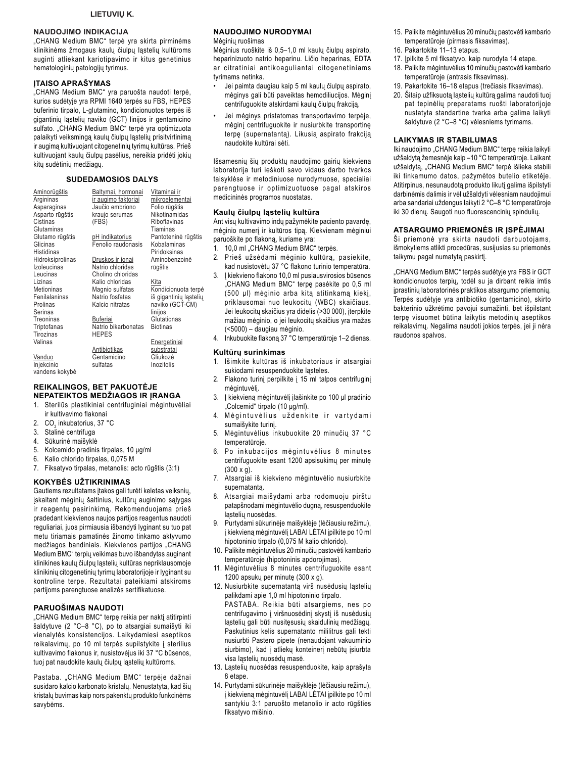### **NAUDOJIMO INDIKACIJA**

"CHANG Medium BMC" terpė yra skirta pirminėms klinikinėms žmogaus kaulų čiulpų ląstelių kultūroms auginti atliekant kariotipavimo ir kitus genetinius hematologinių patologijų tyrimus.

### **JTAISO APRAŠYMAS**

"CHANG Medium BMC" yra paruošta naudoti terpė, kurios sudėtyje yra RPMI 1640 terpės su FBS, HEPES buferinio tirpalo, L-glutamino, kondicionuotos terpės iš gigantinių ląstelių naviko (GCT) linijos ir gentamicino sulfato. "CHANG Medium BMC" terpė yra optimizuota palaikyti veiksmingą kaulų čiulpų ląstelių prisitvirtinimą ir augimą kultivuojant citogenetinių tyrimų kultūras. Prieš kultivuojant kaulų čiulpų pasėlius, nereikia pridėti jokių kitų sudėtinių medžiagų.

### **SUDEDAMOSIOS DALYS**

| <u>Aminorūgštis</u> | Baltymai, hormonai      | <u>Vitaminai ir</u>   |
|---------------------|-------------------------|-----------------------|
| Argininas           | ir augimo faktoriai     | mikroelementai        |
| Asparaginas         | Jaučio embriono         | Folio rūgštis         |
| Asparto rūgštis     | kraujo serumas          | Nikotinamidas         |
| Cistinas            | (FBS)                   | Riboflavinas          |
| Glutaminas          |                         | Tiaminas              |
| Glutamo rūgštis     | pH indikatorius         | Pantoteninė rūgštis   |
| Glicinas            | Fenolio raudonasis      | Kobalaminas           |
| Histidinas          |                         | Piridoksinas          |
| Hidroksiprolinas    | <u>Druskos ir jonai</u> | Aminobenzoinė         |
| Izoleucinas         | Natrio chloridas        | rūgštis               |
| Leucinas            | Cholino chloridas       |                       |
| Lizinas             | Kalio chloridas         | Kita                  |
| <b>Metioninas</b>   | Magnio sulfatas         | Kondicionuota terp    |
| Fenilalaninas       | Natrio fosfatas         | iš gigantinių ląsteli |
| Prolinas            | Kalcio nitratas         | naviko (GCT-CM)       |
| Serinas             |                         | linijos               |
| Treoninas           | <b>Buferiai</b>         | Glutationas           |
| Triptofanas         | Natrio bikarbonatas     | <b>Biotinas</b>       |
| Tirozinas           | <b>HEPES</b>            |                       |
| Valinas             |                         | <u>Energetiniai</u>   |
|                     | Antibiotikas            | substratai            |
| Vanduo              | Gentamicino             | Gliukozė              |
| Injekcinio          | sulfatas                | Inozitolis            |
| vandens kokybė      |                         |                       |

#### REIKALINGOS, BET PAKUOTĖJE NEPATEIKTOS MEDŽIAGOS IR ĮRANGA

- 1. Sterilūs plastikiniai centrifuginiai mėgintuvėliai ir kultivavimo flakonai
- 2. CO<sub>2</sub> inkubatorius, 37 °C
- 3. Stalinė centrifuga
- 4. Sūkurinė maišyklė
- 5. Kolcemido pradinis tirpalas, 10 µg/ml
- 6. Kalio chlorido tirpalas, 0,075 M
- 7. Fiksatyvo tirpalas, metanolis: acto rūgštis (3:1)

#### **KOKYBĖS UŽTIKRINIMAS**

Gautiems rezultatams įtakos gali turėti keletas veiksnių, įskaitant mėginių šaltinius, kultūrų auginimo sąlygas ir reagentų pasirinkimą. Rekomenduojama prieš pradedant kiekvienos naujos partijos reagentus naudoti reguliariai, juos pirmiausia išbandyti lyginant su tuo pat metu tiriamais pamatinės žinomo tinkamo aktyvumo medžiagos bandiniais. Kiekvienos partijos "CHANG Medium BMC" terpių veikimas buvo išbandytas auginant klinikines kaulų čiulpų ląstelių kultūras nepriklausomoje klinikinių citogenetinių tyrimų laboratorijoje ir lyginant su kontroline terpe. Rezultatai pateikiami atskiroms partijoms parengtuose analizės sertifikatuose.

### PARUOŠIMAS NAUDOTI

"CHANG Medium BMC" terpę reikia per naktį atitirpinti šaldytuve (2 °C-8 °C), po to atsargiai sumaišyti iki vienalytės konsistencijos. Laikydamiesi aseptikos reikalavimų, po 10 ml terpės supilstykite į sterilius kultivavimo flakonus ir, nusistovėjus iki 37 °C būsenos, tuoj pat naudokite kaulų čiulpų ląstelių kultūroms.

Pastaba. "CHANG Medium BMC" terpėje dažnai susidaro kalcio karbonato kristalų. Nenustatyta, kad šių kristalų buvimas kaip nors pakenktų produkto funkcinėms savybėms.

### NAUDOJIMO NURODYMAI

Mėginių ruošimas

Mėginius ruoškite iš 0,5–1,0 ml kaulų čiulpų aspirato, heparinizuoto natrio heparinu. Ličio heparinas, EDTA ar citratiniai antikoaguliantai citogenetiniams tyrimams netinka.

- Jei paimta daugiau kaip 5 ml kaulų čiulpų aspirato, mėginys gali būti paveiktas hemodiliucijos. Mėginį centrifuguokite atskirdami kaulų čiulpų frakciją.
- Jei mėginys pristatomas transportavimo terpėje, mėginį centrifuguokite ir nusiurbkite transportinę terpe (supernatanta). Likusią aspirato frakciją naudokite kultūrai sėti.

Išsamesnių šių produktų naudojimo gairių kiekviena laboratorija turi ieškoti savo vidaus darbo tvarkos taisyklėse ir metodiniuose nurodymuose, specialiai parengtuose ir optimizuotuose pagal atskiros medicininės programos nuostatas.

### Kaulų čiulpų ląstelių kultūra

Ant visų kultivavimo indų pažymėkite paciento pavardę, mėginio numerį ir kultūros tipą. Kiekvienam mėginiui paruoškite po flakoną, kuriame yra:

- 1. 10,0 ml "CHANG Medium BMC" terpės.
- 2. Prieš užsėdami mėginio kultūrą, pasiekite, kad nusistovėtų 37 °C flakono turinio temperatūra.
- 3. I kiekvieno flakono 10,0 ml pusiausvirosios būsenos "CHANG Medium BMC" terpę pasėkite po 0,5 ml (500 µl) mėginio arba kita atitinkama kieki. priklausomai nuo leukocitų (WBC) skaičiaus. Jei leukocitų skaičius yra didelis (>30 000), įterpkite mažiau mėginio, o jei leukocitų skaičius yra mažas (<5000) - daugiau mėginio.
- 4. Inkubuokite flakona 37 °C temperatūroje 1-2 dienas.

#### Kultūrų surinkimas

- 1. Išimkite kultūras iš inkubatoriaus ir atsargiai sukiodami resuspenduokite ląsteles.
- 2. Flakono turinį perpilkite į 15 ml talpos centrifuginį mėgintuvėlį.
- 3. I kiekviena mėgintuvėli ilašinkite po 100 µl pradinio "Colcemid" tirpalo (10 µg/ml).
- 4. Mėgintuvėlius uždenkite ir vartydami sumaišykite turinį.
- 5. Mėgintuvėlius inkubuokite 20 minučių 37 °C temperatūroje.
- 6. Po inkubacijos mėgintuvėlius 8 minutes centrifuguokite esant 1200 apsisukimų per minutę  $(300 \times q)$ .
- 7. Atsargiai iš kiekvieno mėgintuvėlio nusiurbkite supernatantą.
- 8. Atsargiai maišydami arba rodomuoju pirštu patapšnodami mėgintuvėlio dugną, resuspenduokite lasteliu nuosėdas.
- 9. Purtydami sūkurinėje maišyklėje (lėčiausiu režimu), į kiekvieną mėgintuvėlį LABAI LĖTAI įpilkite po 10 ml hipotoninio tirpalo (0,075 M kalio chlorido).
- 10. Palikite mėgintuvėlius 20 minučių pastovėti kambario temperatūroje (hipotoninis apdorojimas).
- 11. Mégintuvélius 8 minutes centrifuguokite esant 1200 apsukų per minutę (300 x g).
- 12. Nusiurbkite supernatantą virš nusėdusių ląstelių palikdami apie 1,0 ml hipotoninio tirpalo. PASTABA. Reikia būti atsargiems, nes po centrifugavimo į viršnuosėdinį skystį iš nusėdusių ląstelių gali būti nusitęsusių skaidulinių medžiagų. Paskutinius kelis supernatanto mililitrus gali tekti nusiurbti Pastero pipete (nenaudojant vakuuminio siurbimo), kad i atliekų konteinerį nebūtų įsiurbta visa ląstelių nuosėdų masė.
- 13. Lastelių nuosėdas resuspenduokite, kaip aprašyta 8 etape.
- 14. Purtydami sūkurinėje maišyklėje (lėčiausiu režimu), į kiekvieną mėgintuvėlį LABAI LĖTAI įpilkite po 10 ml santykiu 3:1 paruošto metanolio ir acto rūgšties fiksatyvo mišinio.
- 15. Palikite mėgintuvėlius 20 minučių pastovėti kambario temperatūroje (pirmasis fiksavimas).
- 16. Pakartokite 11-13 etapus.
- 17. Įpilkite 5 ml fiksatyvo, kaip nurodyta 14 etape. 18. Palikite mėgintuvėlius 10 minučių pastovėti kambario temperatūroje (antrasis fiksavimas).
- 19. Pakartokite 16-18 etapus (trečiasis fiksavimas).
- 20. Šitaip užfiksuotą ląstelių kultūrą galima naudoti tuoj pat tepinėlių preparatams ruošti laboratorijoje nustatyta standartine tvarka arba galima laikyti šaldytuve (2 °C-8 °C) vėlesniems tyrimams.

#### **LAIKYMAS IR STABILUMAS**

Iki naudojimo "CHANG Medium BMC" terpę reikia laikyti užšaldytą žemesnėje kaip -10 °C temperatūroje. Laikant užšaldyta, "CHANG Medium BMC" terpė išlieka stabili iki tinkamumo datos, pažymėtos butelio etiketėje. Atitirpinus, nesunaudotą produkto likutį galima išpilstyti darbinėmis dalimis ir vėl užšaldyti vėlesniam naudojimui arba sandariai uždengus laikyti 2 °C-8 °C temperatūroje iki 30 dienų. Saugoti nuo fluorescencinių spindulių.

#### ATSARGUMO PRIEMONĖS IR ĮSPĖJIMAI

Ši priemonė yra skirta naudoti darbuotojams, išmokytiems atlikti procedūras, susijusias su priemonės taikymu pagal numatytą paskirtį.

"CHANG Medium BMC" terpės sudėtyje yra FBS ir GCT kondicionuotos terpių, todėl su ja dirbant reikia imtis įprastinių laboratorinės praktikos atsargumo priemonių. Terpės sudėtyje yra antibiotiko (gentamicino), skirto bakterinio užkrėtimo pavojui sumažinti, bet išpilstant terpę visuomet būtina laikytis metodinių aseptikos reikalavimų. Negalima naudoti jokios terpės, jei ji nėra raudonos spalvos.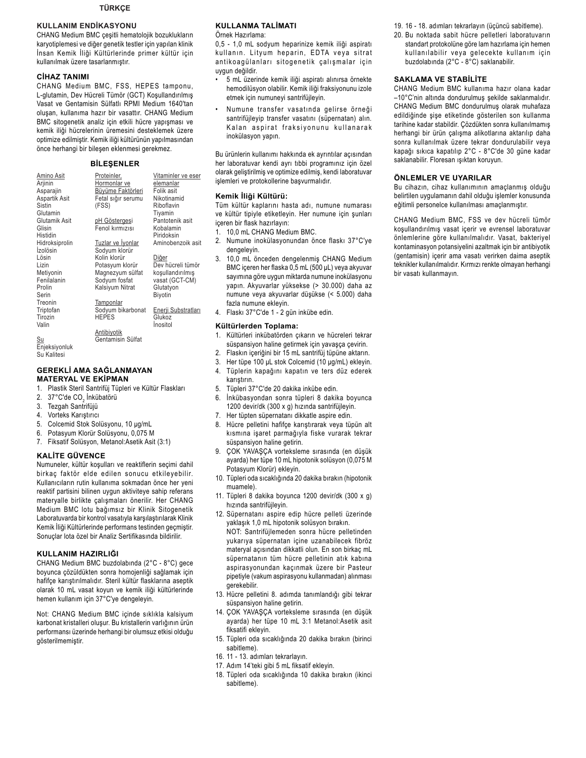#### **TÜRKÇE**

### **KULLANIM ENDİKASYONU**

CHANG Medium BMC çeşitli hematolojik bozuklukların karyotiplemesi ve diğer genetik testler için yapılan klinik İnsan Kemik İliği Kültürlerinde primer kültür için kullanılmak üzere tasarlanmıştır.

### **CİHAZ TANIMI**

CHANG Medium BMC, FSS, HEPES tamponu, L-glutamin, Dev Hücreli Tümör (GCT) Koşullandırılmış Vasat ve Gentamisin Sülfatlı RPMI Medium 1640'tan oluşan, kullanıma hazır bir vasattır. CHANG Medium BMC sitogenetik analiz için etkili hücre yapışması ve kemik iliği hücrelerinin üremesini desteklemek üzere optimize edilmiştir. Kemik iliği kültürünün yapılmasından önce herhangi bir bileşen eklenmesi gerekmez.

### **BİLEŞENLER**

| Proteinler,        | Vitaminler ve eser<br>elemanlar                                                                                                                                                                                                                          |
|--------------------|----------------------------------------------------------------------------------------------------------------------------------------------------------------------------------------------------------------------------------------------------------|
|                    | Folik asit                                                                                                                                                                                                                                               |
| Fetal sığır serumu | Nikotinamid                                                                                                                                                                                                                                              |
| (FSS)              | Riboflavin                                                                                                                                                                                                                                               |
|                    | Tiyamin                                                                                                                                                                                                                                                  |
| pH Göstergesi      | Pantotenik asit                                                                                                                                                                                                                                          |
|                    | Kobalamin                                                                                                                                                                                                                                                |
|                    | Piridoksin                                                                                                                                                                                                                                               |
|                    | Aminobenzoik asit                                                                                                                                                                                                                                        |
|                    |                                                                                                                                                                                                                                                          |
|                    | Diğer                                                                                                                                                                                                                                                    |
| Potasyum klorür    | Dev hücreli tümör                                                                                                                                                                                                                                        |
|                    | kosullandırılmıs                                                                                                                                                                                                                                         |
|                    | vasat (GCT-CM)                                                                                                                                                                                                                                           |
|                    | Glutatyon                                                                                                                                                                                                                                                |
|                    | Biyotin                                                                                                                                                                                                                                                  |
|                    |                                                                                                                                                                                                                                                          |
|                    | Enerji Substratları                                                                                                                                                                                                                                      |
|                    | Glukoz                                                                                                                                                                                                                                                   |
|                    | İnositol                                                                                                                                                                                                                                                 |
|                    |                                                                                                                                                                                                                                                          |
|                    |                                                                                                                                                                                                                                                          |
|                    | Hormonlar ve<br>Büyüme Faktörleri<br>Fenol kırmızısı<br>Tuzlar ve İyonlar<br>Sodyum klorür<br>Kolin klorür<br>Magnezyum sülfat<br>Sodyum fosfat<br>Kalsiyum Nitrat<br>Tamponlar<br>Sodyum bikarbonat<br><b>HEPES</b><br>Antibiyotik<br>Gentamisin Sülfat |

Su Kalifesi

#### **GEREKLİ AMA SAĞLANMAYAN MATERYAL VE EKİPMAN**

- Plastik Steril Santrifüj Tüpleri ve Kültür Flaskları  $1<sub>1</sub>$
- $2.$ 37°C'de CO<sub>2</sub> İnkübatörü
- 3. Tezgah Santrifüjü
- $\overline{4}$ Vorteks Karıştırıcı
- $5<sub>1</sub>$ Colcemid Stok Solüsyonu, 10 µg/mL
- Potasyum Klorür Solüsyonu, 0,075 M 6
- 7. Fiksatif Solüsyon, Metanol: Asetik Asit (3:1)

#### **KALITE GÜVENCE**

Numuneler, kültür koşulları ve reaktiflerin seçimi dahil birkaç faktör elde edilen sonucu etkileyebilir. Kullanıcıların rutin kullanıma sokmadan önce her yeni reaktif partisini bilinen uygun aktiviteye sahip referans materyalle birlikte çalışmaları önerilir. Her CHANG Medium BMC lotu bağımsız bir Klinik Sitogenetik Laboratuvarda bir kontrol vasatıyla karşılaştırılarak Klinik Kemik İliği Kültürlerinde performans testinden geçmiştir. Sonuçlar lota özel bir Analiz Sertifikasında bildirilir.

### KULLANIM HAZIRLIĞI

CHANG Medium BMC buzdolabında (2°C - 8°C) gece boyunca çözüldükten sonra homojenliği sağlamak için hafifçe karıştırılmalıdır. Steril kültür flasklarına aseptik olarak 10 mL vasat koyun ve kemik iliği kültürlerinde hemen kullanım için 37°C'ye dengeleyin.

Not: CHANG Medium BMC içinde sıklıkla kalsiyum karbonat kristalleri oluşur. Bu kristallerin varlığının ürün performansı üzerinde herhangi bir olumsuz etkisi olduğu gösterilmemistir.

### **KULLANMA TALIMATI**

Örnek Hazırlama:

0,5 - 1,0 mL sodyum heparinize kemik iliği aspiratı kullanın. Lityum heparin, EDTA veya sitrat antikoagülanları sitogenetik çalışmalar için uygun değildir.

- 5 mL üzerinde kemik iliği aspiratı alınırsa örnekte hemodilüsyon olabilir. Kemik iliği fraksiyonunu izole etmek için numuneyi santrifüjleyin.
- Numune transfer vasatında gelirse örneği santrifüjleyip transfer vasatını (süpernatan) alın. Kalan aspirat fraksiyonunu kullanarak inokülasyon yapın.

Bu ürünlerin kullanımı hakkında ek ayrıntılar açısından her laboratuvar kendi ayrı tıbbi programınız için özel olarak geliştirilmiş ve optimize edilmiş, kendi laboratuvar işlemleri ve protokollerine başvurmalıdır.

#### Kemik İliği Kültürü:

Tüm kültür kaplarını hasta adı, numune numarası ve kültür tipiyle etiketleyin. Her numune için şunları iceren bir flask hazırlayın:

- 1. 10,0 mL CHANG Medium BMC.
- 2. Numune inokülasyonundan önce flaskı 37°C'ye dengeleyin.
- $\mathbf{3}$ 10,0 mL önceden dengelenmiş CHANG Medium BMC içeren her flaska 0,5 mL (500 µL) veya akyuvar sayımına göre uygun miktarda numune inokülasyonu yapın. Akyuvarlar yüksekse (> 30.000) daha az numune veya akyuvarlar düşükse (< 5.000) daha fazla numune eklevin.
- 4. Flaskı 37°C'de 1 2 gün inkübe edin.

#### Kültürlerden Toplama:

- Kültürleri inkübatörden çıkarın ve hücreleri tekrar  $1.$ süspansiyon haline getirmek için yavaşça çevirin.
- $\mathfrak{D}$ Flaskın içeriğini bir 15 mL santrifüj tüpüne aktarın.
- $\mathbf{3}$ Her tüpe 100 µL stok Colcemid (10 µg/mL) ekleyin.
- $\overline{4}$ Tüplerin kapağını kapatın ve ters düz ederek
	- karistirin
- 5. Tüpleri 37°C'de 20 dakika inkübe edin.
- İnkübasyondan sonra tüpleri 8 dakika boyunca 6. 1200 devir/dk (300 x g) hızında santrifüjleyin.
- $7.$ Her tüpten süpernatanı dikkatle aspire edin.
- 8 Hücre pelletini hafifçe karıştırarak veya tüpün alt kısmına işaret parmağıyla fiske vurarak tekrar süspansiyon haline getirin.
- 9. ÇOK YAVAŞÇA vorteksleme sırasında (en düşük ayarda) her tüpe 10 mL hipotonik solüsyon (0,075 M Potasyum Klorür) ekleyin.
- 10. Tüpleri oda sıcaklığında 20 dakika bırakın (hipotonik muamele).
- 11. Tüpleri 8 dakika boyunca 1200 devir/dk (300 x g) hızında santrifüjleyin.
- 12. Süpernatanı aspire edip hücre pelleti üzerinde yaklaşık 1,0 mL hipotonik solüsyon bırakın.
- NOT: Santrifüjlemeden sonra hücre pelletinden yukarıya süpernatan içine uzanabilecek fibröz materyal açısından dikkatli olun. En son birkaç mL süpernatanın tüm hücre pelletinin atık kabına aspirasyonundan kaçınmak üzere bir Pasteur pipetiyle (vakum aspirasyonu kullanmadan) alınması gerekebilir.
- 13. Hücre pelletini 8. adımda tanımlandığı gibi tekrar süspansiyon haline getirin.
- 14. ÇOK YAVAŞÇA vorteksleme sırasında (en düşük ayarda) her tüpe 10 mL 3:1 Metanol:Asetik asit fiksatifi ekleyin.
- 15. Tüpleri oda sıcaklığında 20 dakika bırakın (birinci sabitleme).
- 16. 11 13. adımları tekrarlayın.
- 17. Adım 14'teki gibi 5 mL fiksatif ekleyin.
- 18. Tüpleri oda sıcaklığında 10 dakika bırakın (ikinci sabitleme).
- 19. 16 18. adımları tekrarlayın (üçüncü sabitleme).
- 20. Bu noktada sabit hücre pelletleri laboratuvarın standart protokolüne göre lam hazırlama için hemen kullanılabilir veya gelecekte kullanım için buzdolabında (2°C - 8°C) saklanabilir.

### **SAKLAMA VE STABİLİTE**

CHANG Medium BMC kullanıma hazır olana kadar -10°C'nin altında dondurulmuş şekilde saklanmalıdır. CHANG Medium BMC dondurulmuş olarak muhafaza edildiğinde şişe etiketinde gösterilen son kullanma tarihine kadar stabildir. Çözdükten sonra kullanılmamış herhangi bir ürün çalışma alikotlarına aktarılıp daha sonra kullanılmak üzere tekrar dondurulabilir veya kapağı sıkıca kapatılıp 2°C - 8°C'de 30 güne kadar saklanabilir. Floresan ışıktan koruyun.

#### ÖNLEMLER VE UYARILAR

Bu cihazın, cihaz kullanımının amaçlanmış olduğu belirtilen uygulamanın dahil olduğu işlemler konusunda eğitimli personelce kullanılması amaçlanmıştır.

CHANG Medium BMC, FSS ve dev hücreli tümör koşullandırılmış vasat içerir ve evrensel laboratuvar önlemlerine göre kullanılmalıdır. Vasat, bakteriyel kontaminasyon potansiyelini azaltmak için bir antibiyotik (gentamisin) içerir ama vasatı verirken daima aseptik teknikler kullanılmalıdır. Kırmızı renkte olmayan herhangi bir vasatı kullanmayın.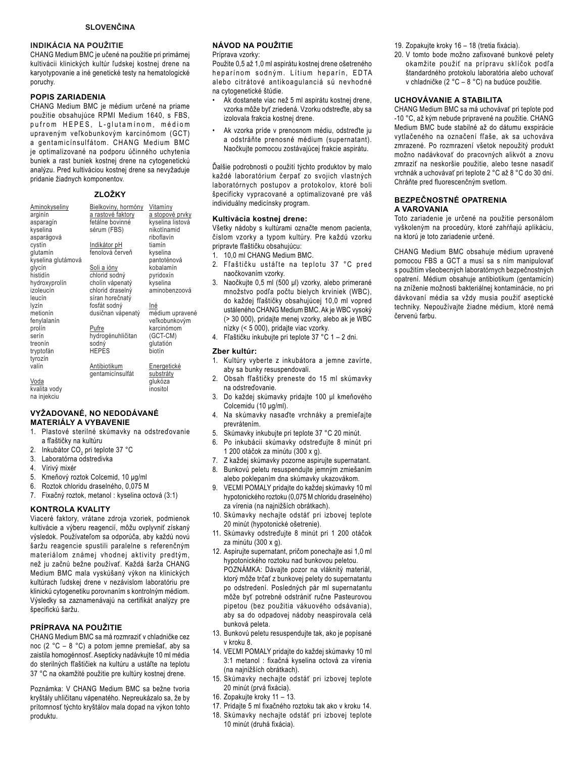### **INDIKÁCIA NA POUŽITIE**

CHANG Medium BMC je učené na použitie pri primárnej kultivácii klinických kultúr ľudskej kostnej drene na karyotypovanie a iné genetické testy na hematologické poruchy.

### **POPIS ZARIADENIA**

CHANG Medium BMC je médium určené na priame použitie obsahujúce RPMI Medium 1640, s FBS, pufrom HEPES, L-glutaminom, médiom upraveným veľkobunkovým karcinómom (GCT) a gentamicínsulfátom. CHANG Medium BMC je optimalizované na podporu účinného uchytenia buniek a rast buniek kostnej drene na cytogenetickú analýzu. Pred kultiváciou kostnej drene sa nevyžaduje pridanie žiadnych komponentov.

### ZLOŽKY

| <b>Aminokyseliny</b><br>arginín<br>asparagín | <u>Bielkoviny, hormóny</u><br>a rastové faktory<br>fetálne bovinné | <u>Vitamíny</u><br>a stopové prvky<br>kyselina listová |
|----------------------------------------------|--------------------------------------------------------------------|--------------------------------------------------------|
| kyselina                                     | sérum (FBS)                                                        | nikotínamid                                            |
| asparágová<br>cystín                         | Indikátor pH                                                       | riboflavín<br>tiamín                                   |
| glutamín                                     | fenolová červeň                                                    | kyselina                                               |
| kyselina glutámová                           |                                                                    | pantoténová                                            |
| glycín                                       | <u>Soli a ióny</u>                                                 | kobalamín                                              |
| histidín                                     | chlorid sodný                                                      | pyridoxín                                              |
| hydroxyprolín                                | cholín vápenatý                                                    | kyselina                                               |
| izoleucín<br>leucín                          | chlorid draselný<br>síran horečnatý                                | aminobenzoová                                          |
| lyzín                                        | fosfát sodný                                                       | Iné                                                    |
| metionín                                     | dusičnan vápenatý                                                  | médium upravené                                        |
| fenylalanín                                  |                                                                    | veľkobunkovým                                          |
| prolín                                       | Pufre                                                              | karcinómom                                             |
| serín                                        | hydrogénuhličitan                                                  | (GCT-CM)                                               |
| treonín                                      | sodný<br><b>HEPES</b>                                              | qlutatión                                              |
| tryptofán<br>tyrozín                         |                                                                    | biotín                                                 |
| valín                                        | Antibiotikum                                                       | <u>Energetické</u>                                     |
|                                              | gentamicínsulfát                                                   | substráty                                              |
| Voda                                         |                                                                    | glukóza                                                |
| kvalita vody                                 |                                                                    | inositol                                               |

na injekciu

#### VYŽADOVANÉ, NO NEDODÁVANÉ **MATERIÁLY A VYBAVENIE**

- 1. Plastové sterilné skúmavky na odstreďovanie a fľaštičky na kultúru
- 2. Inkubátor CO<sub>2</sub> pri teplote 37 °C
- 3. Laboratórna odstredivka
- 4. Vírivý mixér
- 5. Kmeňový roztok Colcemid, 10 µg/ml
- 6. Roztok chloridu draselného, 0.075 M
- 7. Fixačný roztok, metanol: kyselina octová (3:1)

### KONTROLA KVALITY

Viaceré faktory, vrátane zdroja vzoriek, podmienok kultivácie a výberu reagencií, môžu ovplyvniť získaný výsledok. Používateľom sa odporúča, aby každú novú šaržu reagencie spustili paralelne s referenčným materiálom známej vhodnej aktivity predtým, než ju začnú bežne používať. Každá šarža CHANG Medium BMC mala vyskúšaný výkon na klinických kultúrach ľudskej drene v nezávislom laboratóriu pre klinickú cytogenetiku porovnaním s kontrolným médiom. Výsledky sa zaznamenávajú na certifikát analýzy pre špecifickú šaržu.

### PRÍPRAVA NA POUŽITIE

CHANG Medium BMC sa má rozmraziť v chladničke cez noc (2 °C - 8 °C) a potom jemne premiešať, aby sa zaistila homogénnosť. Asepticky nadávkujte 10 ml média do sterilných fľaštičiek na kultúru a ustáľte na teplotu 37 °C na okamžité použitie pre kultúry kostnej drene.

Poznámka: V CHANG Medium BMC sa bežne tvoria kryštály uhličitanu vápenatého. Nepreukázalo sa. že by prítomnosť týchto kryštálov mala dopad na výkon tohto nroduktu

### NÁVOD NA POUŽITIE

### Príprava vzorky:

Použite 0,5 až 1,0 ml aspirátu kostnej drene ošetreného heparínom sodným. Lítium heparín, EDTA alebo citrátové antikoagulanciá sú nevhodné na cytogenetické štúdie.

- Ak dostanete viac než 5 ml aspirátu kostnej drene, vzorka môže byť zriedená. Vzorku odstreďte, aby sa izolovala frakcia kostnej drene.
- Ak vzorka príde v prenosnom médiu, odstreďte ju a odstráňte prenosné médium (supernatant). Naočkujte pomocou zostávajúcej frakcie aspirátu.

Ďalšie podrobnosti o použití týchto produktov by malo každé laboratórium čerpať zo svojich vlastných laboratórnych postupov a protokolov, ktoré boli špecificky vypracované a optimalizované pre váš individuálny medicínsky program.

### Kultivácia kostnej drene:

Všetky nádoby s kultúrami označte menom pacienta, číslom vzorky a typom kultúry. Pre každú vzorku pripravte fľaštičku obsahujúcu:

- 1. 10,0 ml CHANG Medium BMC.
- 2. Fľaštičku ustáľte na teplotu 37 °C pred naočkovaním vzorky.
- 3. Naočkujte 0,5 ml (500 µl) vzorky, alebo primerané množstvo podľa počtu bielych krviniek (WBC), do každej fľaštičky obsahujúcej 10,0 ml vopred ustáleného CHANG Medium BMC. Ak je WBC vysoký (> 30 000), pridajte menej vzorky, alebo ak je WBC nízky (< 5 000), pridajte viac vzorky.
- 4. Fľaštičku inkubujte pri teplote 37 °C 1 2 dni.

### Zber kultúr:

- 1. Kultúry vyberte z inkubátora a jemne zavírte, aby sa bunky resuspendovali.
- 2. Obsah fľaštičky preneste do 15 ml skúmavky na odstreďovanie.
- 3. Do každej skúmavky pridajte 100 µl kmeňového Colcemidu (10 µg/ml).
- 4. Na skúmavky nasaďte vrchnáky a premieľajte prevrátením.
- 5. Skúmavky inkubujte pri teplote 37 °C 20 minút.
- 6. Po inkubácii skúmavky odstreďujte 8 minút pri 1 200 otáčok za minútu (300 x g).
- $7^{\circ}$ Z každej skúmavky pozorne aspirujte supernatant.
- Bunkovú peletu resuspendujte jemným zmiešaním alebo poklepaním dna skúmavky ukazovákom.
- 9. VEĽMI POMALY pridajte do každej skúmavky 10 ml hypotonického roztoku (0,075 M chloridu draselného) za vírenia (na najnižších obrátkach).
- 10. Skúmavky nechajte odstáť pri izbovej teplote 20 minút (hypotonické ošetrenie).
- 11. Skúmavky odstreďujte 8 minút pri 1 200 otáčok za minútu (300 x g).
- 12. Aspirujte supernatant, pričom ponechajte asi 1,0 ml hypotonického roztoku nad bunkovou peletou. POZNÁMKA: Dávajte pozor na vláknitý materiál, ktorý môže trčať z bunkovej pelety do supernatantu po odstredení. Posledných pár ml supernatantu môže byť potrebné odstrániť ručne Pasteurovou pipetou (bez použitia vákuového odsávania), aby sa do odpadovej nádoby neaspirovala celá bunková peleta.
- 13. Bunkovú peletu resuspendujte tak, ako je popísané v kroku 8
- 14. VEĽMI POMALY pridajte do každej skúmavky 10 ml 3:1 metanol : fixačná kyselina octová za vírenia (na najnižších obrátkach).
- 15. Skúmavky nechajte odstáť pri izbovej teplote 20 minút (prvá fixácia).
- 16. Zopakujte kroky 11 13.
- 17. Pridajte 5 ml fixačného roztoku tak ako v kroku 14.
- 18. Skúmavky nechajte odstáť pri izbovej teplote 10 minút (druhá fixácia).
- 19. Zopakujte kroky 16 18 (tretia fixácia).
- 20. V tomto bode možno zafixované bunkové pelety okamžite použiť na prípravu sklíčok podľa štandardného protokolu laboratória alebo uchovať v chladničke (2 °C - 8 °C) na budúce použitie.

### **UCHOVÁVANIE A STABILITA**

CHANG Medium BMC sa má uchovávať pri teplote pod -10 °C, až kým nebude pripravené na použitie. CHANG Medium BMC bude stabilné až do dátumu exspirácie vytlačeného na označení fľaše, ak sa uchováva zmrazené. Po rozmrazení všetok nepoužitý produkt možno nadávkovať do pracovných alikvót a znovu zmraziť na neskoršie použitie, alebo tesne nasadiť vrchnák a uchovávať pri teplote 2 °C až 8 °C do 30 dní. Chráňte pred fluorescenčným svetlom.

### BEZPEČNOSTNÉ OPATRENIA A VAROVANIA

Toto zariadenie je určené na použitie personálom vyškoleným na procedúry, ktoré zahŕňajú aplikáciu, na ktorú je toto zariadenie určené.

CHANG Medium BMC obsahuje médium upravené pomocou FBS a GCT a musí sa s ním manipulovať s použitím všeobecných laboratórnych bezpečnostných opatrení. Médium obsahuje antibiotikum (gentamicín) na zníženie možnosti bakteriálnej kontaminácie, no pri dávkovaní média sa vždy musia použiť aseptické techniky. Nepoužívajte žiadne médium, ktoré nemá červenú farbu.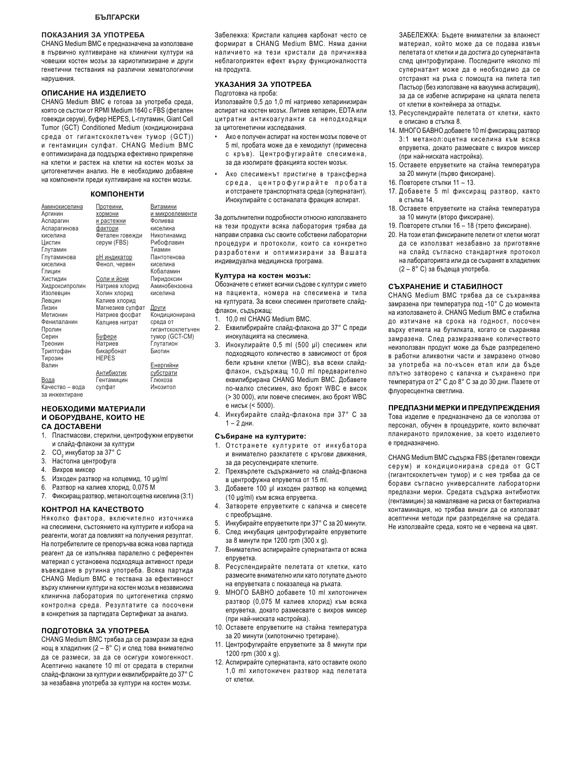#### ПОКАЗАНИЯ ЗА УПОТРЕБА

CHANG Medium BMC е предназначена за използване в първично култивиране на клинични култури на човешки костен мозък за кариотипизиране и други генетични тествания на различни хематологични нарушения.

### ОПИСАНИЕ НА ИЗДЕЛИЕТО

CHANG Medium BMC е готова за употреба среда, която се състои от RPMI Medium 1640 с FBS (фетален говежди серум), буфер HEPES, L-глутамин, Giant Cell Tumor (GCT) Conditioned Medium (кондиционирана среда от гигантскоклетъчен тумор (GCT)) и гентамицин сулфат. CHANG Medium BMC е оптимизирана да поддържа ефективно прикрепяне на клетки и растеж на клетки на костен мозък за цитогенетичен анализ. Не е необходимо добавяне на компоненти преди култивиране на костен мозък.

### КОМПОНЕНТИ

|                     | <u>Витамини</u>                                      |
|---------------------|------------------------------------------------------|
|                     | и микроелементи                                      |
|                     | Фолиева                                              |
|                     | киселина                                             |
| Фетален говежди     | Никотинамид                                          |
| cepyм (FBS)         | Рибофлавин                                           |
|                     | Тиамин                                               |
| <u>рН индикатор</u> | Пантотенова                                          |
| Фенол, червен       | киселина                                             |
|                     | Кобаламин                                            |
| Соли и йони         | Пиридоксин                                           |
| Натриев хлорид      | Аминобензоена                                        |
| Холин хлорид        | киселина                                             |
| Калиев хлорид       |                                                      |
| Магнезиев сулфат    | Други                                                |
| Натриев фосфат      | Кондиционирана                                       |
| Калциев нитрат      | среда от                                             |
|                     | гигантскоклетъчен                                    |
| <u>Буфери</u>       | тумор (GCT-CM)                                       |
| Натриев             | Глутатион                                            |
| бикарбонат          | Биотин                                               |
| <b>HEPES</b>        |                                                      |
|                     | <u>Енергийни</u>                                     |
| Антибиотик          | <u>субстрати</u>                                     |
| Гентамицин          | Глюкоза                                              |
| сулфат              | Инозитол                                             |
|                     | Протеини,<br><u>хормони</u><br>и растежни<br>фактори |

#### НЕОБХОДИМИ МАТЕРИАЛИ **И ОБОРУДВАНЕ, КОИТО НЕ** СА ДОСТАВЕНИ

- 1. Пластмасови, стерилни, центрофужни епруветки и слайд-флакони за култури
- 2. CO<sub>2</sub> инкубатор за 37° C
- 3. Настолна центрофуга
- 4. Вихров миксер

за инжектиране

- 5. Изходен разтвор на колцемид, 10 µg/ml
- 6. Разтвор на калиев хлорид, 0,075 М
- 7. Фиксиращ разтвор, метанол: оцетна киселина (3:1)

#### **ɄɈɇɌɊɈɅɇȺɄȺɑȿɋɌȼɈɌɈ**

Няколко фактора, включително източника на спесимени, състоянието на културите и избора на реагенти, могат да повлияят на получения резултат. На потребителите се препоръчва всяка нова партида реагент да се изпълнява паралелно с референтен материал с установена подходяща активност преди въвеждане в рутинна употреба. Всяка партида CHANG Medium BMC е тествана за ефективност върху клинични култури на костен мозък в независима клинична лаборатория по цитогенетика спрямо контролна среда. Резултатите са посочени в конкретния за партидата Сертификат за анализ.

#### ПОДГОТОВКА ЗА УПОТРЕБА

CHANG Medium BMC трябва да се размрази за една нощ в хладилник (2 – 8°С) и след това внимателно да се размеси, за да се осигури хомогенност. Асептично накапете 10 ml от средата в стерилни слайд-флакони за култури и еквилибрирайте до 37° С за незабавна употреба за култури на костен мозък.

Забележка: Кристали калциев карбонат често се формират в CHANG Medium BMC. Няма данни наличието на тези кристали да причинява неблагоприятен ефект върху функционалността на продукта.

### УКАЗАНИЯ ЗА УПОТРЕБА

Подготовка на проба:

Използвайте 0,5 до 1,0 ml натриево хепаринизиран аспират на костен мозък. Литиев хепарин, EDTA или цитратни антикоагуланти са неподходящи за цитогенетични изследвания.

- Ако е получен аспират на костен мозък повече от 5 ml, пробата може да е хемодилут (примесена с кръв). Центрофугирайте спесимена, за да изолирате фракцията костен мозък.
- Ако спесименът пристигне в трансферна среда, центрофугирайте пробата и отстранете транспортната среда (супернатант). Инокулирайте с останалата фракция аспират.

За допълнителни подробности относно използването на тези продукти всяка лаборатория трябва да направи справка със своите собствени лабораторни процедури и протоколи, които са конкретно разработени и оптимизирани за Вашата индивидуална медицинска програма.

#### Култура на костен мозък:

Обозначете с етикет всички съдове с култури с името на пациента, номера на спесимена и типа на културата. За всеки спесимен пригответе слайдфлакон, съдържащ:

- 1. 10,0 ml CHANG Medium BMC.
- 2. Еквилибрирайте слайд-флакона до 37° С преди инокулацията на спесимена.
- 3. Инокулирайте 0,5 ml (500 µl) спесимен или подходящото количество в зависимост от броя бели кръвни клетки (WBC), във всеки слайдфлакон, съдържащ 10,0 ml предварително еквилибрирана CHANG Medium BMC. Добавете по-малко спесимен, ако броят WBC е висок (> 30 000), или повече спесимен, ако броят WBC е нисък (< 5000).
- 4. Инкубирайте слайд-флакона при 37° С за  $1 - 2$  дни.

#### Събиране на културите:

- 1. Отстранете културите от инкубатора и внимателно разклатете с кръгови движения, за да ресуспендирате клетките.
- 2. Прехвърлете съдържанието на слайд-флакона в центрофужна епруветка от 15 ml.
- 3. Добавете 100 µ изходен разтвор на колцемид (10 µg/ml) към всяка епруветка.
- 4. Затворете епруветките с капачка и смесете с преобръщане.
- 5. Инкубирайте епруветките при 37° С за 20 минути.
- След инкубация центрофугирайте епруветките за 8 минути при 1200 rpm (300 x g).
- 7. Внимателно аспирирайте супернатанта от всяка епруветка.
- 8. Ресуспендирайте пелетата от клетки, като размесите внимателно или като потупате дъното на епруветката с показалеца на ръката.
- 9. МНОГО БАВНО добавете 10 ml хипотоничен разтвор (0,075 М калиев хлорид) към всяка епруветка, докато размесвате с вихров миксер (при най-ниската настройка).
- 10. Оставете епруветките на стайна температура за 20 минути (хипотонично третиране).
- 11. Центрофугирайте епруветките за 8 минути при 1200 rpm (300 x g).
- 12. Аспирирайте супернатанта, като оставите около 1,0 ml хипотоничен разтвор над пелетата от клетки.

ЗАБЕЛЕЖКА: Бъдете внимателни за влакнест материал, който може да се подава извън пелетата от клетки и да достига до супернатанта след центрофугиране. Последните няколко ml супернатант може да е необходимо да се отстранят на ръка с помощта на пипета тип Пастьор (без използване на вакуумна аспирация), за да се избегне аспириране на цялата пелета от клетки в контейнера за отпадък.

- 13. Ресуспендирайте пелетата от клетки, както е описано в стъпка 8.
- 14. МНОГО БАВНО добавете 10 ml фиксиращ разтвор 3:1 метанол: оцетна киселина към всяка епруветка, докато размесвате с вихров миксер (при най-ниската настройка).
- 15. Оставете епруветките на стайна температура за 20 минути (първо фиксиране).
- 16. Повторете стъпки 11 13.
- 17. Добавете 5 ml фиксиращ разтвор, както в стъпка 14.
- 18. Оставете епруветките на стайна температура за 10 минути (второ фиксиране).
- 19. Повторете стъпки 16 18 (трето фиксиране).
- 20. На този етап фиксираните пелети от клетки могат да се използват незабавно за приготвяне на слайд съгласно стандартния протокол на лабораторията или да се съхранят в хладилник (2 - 8° С) за бъдеща употреба.

#### СЪХРАНЕНИЕ И СТАБИЛНОСТ

CHANG Medium BMC трябва да се съхранява замразена при температура под -10° С до момента на използването й. CHANG Medium BMC е стабилна до изтичане на срока на годност. посочен върху етикета на бутилката, когато се съхранява замразена. След размразяване количеството неизползван продукт може да бъде разпределено в работни аликвотни части и замразено отново за употреба на по-късен етап или да бъде плътно затворено с капачка и съхранено при температура от 2° С до 8° С за до 30 дни. Пазете от флуоресцентна светлина.

#### ПРЕДПАЗНИ МЕРКИ И ПРЕДУПРЕЖДЕНИЯ

Това изделие е предназначено да се използва от персонал, обучен в процедурите, които включват планираното приложение, за което изделието е предназначено.

CHANG Medium BMC съдържа FBS (фетален говежди серум) и кондиционирана среда от GCT (гигантскоклетъчен тумор) и с нея трябва да се борави съгласно универсалните лабораторни предпазни мерки. Средата съдържа антибиотик (гентамицин) за намаляване на риска от бактериална контаминация, но трябва винаги да се използват асептични методи при разпределяне на средата. Не използвайте среда, която не е червена на цвят.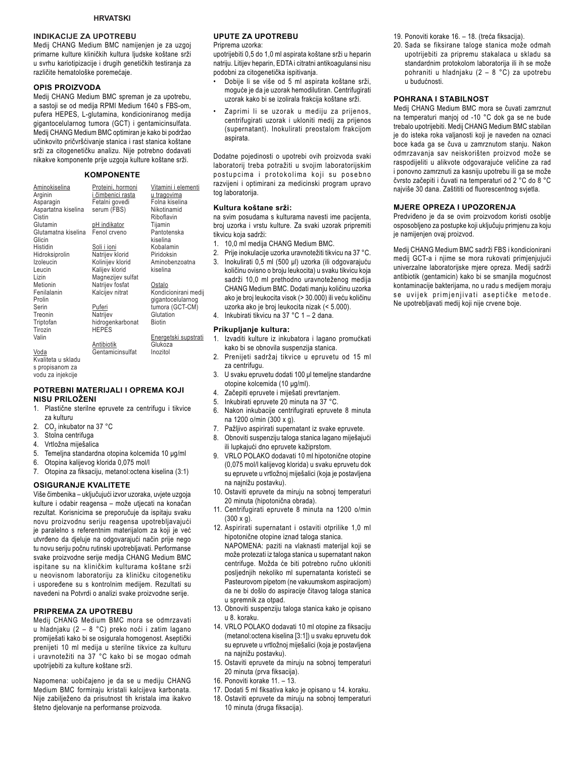### **INDIKACIJE ZA UPOTREBU**

Medij CHANG Medium BMC namijenjen je za uzgoj primarne kulture kliničkih kultura ljudske koštane srži u svrhu kariotipizacije i drugih genetičkih testiranja za različite hematološke poremećaje.

#### OPIS PROIZVODA

Medij CHANG Medium BMC spreman je za upotrebu, a sastoji se od medija RPMI Medium 1640 s FBS-om, pufera HEPES, L-glutamina, kondicioniranog medija gigantocelularnog tumora (GCT) i gentamicinsulfata. Medij CHANG Medium BMC optimiran je kako bi podržao učinkovito pričvršćivanje stanica i rast stanica koštane srži za citogenetičku analizu. Nije potrebno dodavati nikakve komponente prije uzgoja kulture koštane srži.

### **KOMPONENTE**

| Aminokiselina       | Proteini, hormoni   | Vitamini i elementi  |
|---------------------|---------------------|----------------------|
| Arginin             | i čimbenici rasta   | <u>u tragovima</u>   |
| Asparagin           | Fetalni goveđi      | Folna kiselina       |
| Aspartatna kiselina | serum (FBS)         | Nikotinamid          |
| Cistin              |                     | Riboflavin           |
|                     |                     |                      |
| Glutamin            | <u>pH indikator</u> | Tijamin              |
| Glutamatna kiselina | Fenol crveno        | Pantotenska          |
| Glicin              |                     | kiselina             |
| Histidin            | Soli i ioni         | Kobalamin            |
| Hidroksiprolin      | Natrijev klorid     | Piridoksin           |
| Izoleucin           | Kolinijev klorid    | Aminobenzoatna       |
| Leucin              | Kalijev klorid      | kiselina             |
| Lizin               | Magnezijev sulfat   |                      |
| Metionin            | Natrijev fosfat     | Ostalo               |
| Fenilalanin         | Kalcijev nitrat     | Kondicionirani medij |
| Prolin              |                     | gigantocelularnog    |
| Serin               | Puferi              | tumora (GCT-CM)      |
| Treonin             | Natrijev            | Glutation            |
| Triptofan           | hidrogenkarbonat    | <b>Biotin</b>        |
| Tirozin             | <b>HEPES</b>        |                      |
| Valin               |                     |                      |
|                     |                     | Energetski supstrati |
|                     | Antibiotik          | Glukoza              |
| Voda                | Gentamicinsulfat    | Inozitol             |
| Kvaliteta u skladu  |                     |                      |
| s propisanom za     |                     |                      |

### POTREBNI MATERIJALI I OPREMA KOJI NISU PRILOŽENI

- 1. Plastične sterilne epruvete za centrifugu i tikvice za kulturu
- 2. CO<sub>2</sub> inkubator na 37 °C
- 3. Stolna centrifuga

vodu za injekcije

- Vrtložna miješalica 4.
- 5. Temeljna standardna otopina kolcemida 10 µg/ml
- Otopina kalijevog klorida 0,075 mol/l 6.
- 7. Otopina za fiksaciju, metanol: octena kiselina (3:1)

### **OSIGURANJE KVALITETE**

Više čimbenika - uključujući izvor uzoraka, uvjete uzgoja kulture i odabir reagensa - može utjecati na konačan rezultat. Korisnicima se preporučuje da ispitaju svaku novu proizvodnu seriju reagensa upotrebljavajući je paralelno s referentnim materijalom za koji je već utvrđeno da djeluje na odgovarajući način prije nego tu novu seriju počnu rutinski upotrebljavati. Performanse svake proizvodne serije medija CHANG Medium BMC ispitane su na kliničkim kulturama koštane srži u neovisnom laboratoriju za kliničku citogenetiku i uspoređene su s kontrolnim medijem. Rezultati su navedeni na Potvrdi o analizi svake proizvodne serije.

### PRIPREMA ZA UPOTREBU

Medij CHANG Medium BMC mora se odmrzavati u hladnjaku (2 - 8 °C) preko noći i zatim lagano promiješati kako bi se osigurala homogenost. Aseptički prenijeti 10 ml medija u sterilne tikvice za kulturu i uravnotežiti na 37 °C kako bi se mogao odmah upotrijebiti za kulture koštane srži.

Napomena: uobičajeno je da se u mediju CHANG Medium BMC formiraju kristali kalcijeva karbonata. Nije zabilježeno da prisutnost tih kristala ima ikakvo štetno djelovanje na performanse proizvoda.

### **UPUTE ZA UPOTREBU**

#### Prinrema uzorka:

upotrijebiti 0,5 do 1,0 ml aspirata koštane srži u heparin natriju. Litijev heparin, EDTA i citratni antikoagulansi nisu podobni za citogenetička ispitivanja.

- Dobije li se više od 5 ml aspirata koštane srži. moguće je da je uzorak hemodilutiran. Centrifugirati uzorak kako bi se izolirala frakcija koštane srži.
- Zaprimi li se uzorak u mediju za prijenos, centrifugirati uzorak i ukloniti medij za prijenos (supernatant). Inokulirati preostalom frakcijom aspirata.

Dodatne pojedinosti o upotrebi ovih proizvoda svaki laboratorij treba potražiti u svojim laboratorijskim postupcima i protokolima koji su posebno razvijeni i optimirani za medicinski program upravo tog laboratorija.

### Kultura koštane srži:

na svim posudama s kulturama navesti ime pacijenta, broj uzorka i vrstu kulture. Za svaki uzorak pripremiti tikvicu koja sadrži:

- 1. 10,0 ml medija CHANG Medium BMC.
- 2. Prije inokulacije uzorka uravnotežiti tikvicu na 37 °C.
- 3. Inokulirati 0,5 ml (500 µl) uzorka (ili odgovarajuću količinu ovisno o broju leukocita) u svaku tikvicu koja sadrži 10,0 ml prethodno uravnoteženog medija CHANG Medium BMC. Dodati manju količinu uzorka ako je broj leukocita visok (> 30.000) ili veću količinu uzorka ako je broj leukocita nizak (< 5.000).

4. Inkubirati tikvicu na 37 °C 1 - 2 dana.

#### Prikupljanje kultura:

 $3<sub>1</sub>$ 

- 1. Izvaditi kulture iz inkubatora i lagano promućkati kako bi se obnovila suspenzija stanica.
- 2. Prenijeti sadržaj tikvice u epruvetu od 15 ml za centrifugu.
	- U svaku epruvetu dodati 100 µl temeljne standardne otopine kolcemida (10 µg/ml).
- $\overline{4}$ Začepiti epruvete i miješati prevrtanjem.
- 5. Inkubirati epruvete 20 minuta na 37 °C.
- 6. Nakon inkubacije centrifugirati epruvete 8 minuta na 1200 o/min (300 x q).
	-
- 7. Pažljivo aspirirati supernatant iz svake epruvete.
- 8. Obnoviti suspenziju taloga stanica lagano miješajući ili lupkajući dno epruvete kažiprstom.
- 9. VRLO POLAKO dodavati 10 ml hipotonične otopine (0,075 mol/l kalijevog klorida) u svaku epruvetu dok su epruvete u vrtložnoj miješalici (koja je postavljena na najnižu postavku).
- 10. Ostaviti epruvete da miruju na sobnoj temperaturi 20 minuta (hipotonična obrada).
- 11. Centrifugirati epruvete 8 minuta na 1200 o/min  $(300 \times q)$ .
- 12. Aspirirati supernatant i ostaviti otprilike 1,0 ml hipotonične otopine iznad taloga stanica. NAPOMENA: paziti na vlaknasti materijal koji se može protezati iz taloga stanica u supernatant nakon centrifuge. Možda će biti potrebno ručno ukloniti posljednjih nekoliko ml supernatanta koristeći se Pasteurovom pipetom (ne vakuumskom aspiraciiom) da ne bi došlo do aspiracije čitavog taloga stanica u spremnik za otpad.
- 13. Obnoviti suspenziju taloga stanica kako je opisano u 8. koraku.
- 14. VRLO POLAKO dodavati 10 ml otopine za fiksaciju (metanol: octena kiselina [3:1]) u svaku epruvetu dok su epruvete u vrtložnoj miješalici (koja je postavljena na najnižu postavku).
- 15. Ostaviti epruvete da miruju na sobnoj temperaturi 20 minuta (prva fiksacija).
- 16. Ponoviti korake 11. 13.
- 17. Dodati 5 ml fiksativa kako je opisano u 14. koraku.
- 18. Ostaviti epruvete da miruju na sobnoj temperaturi 10 minuta (druga fiksacija).
- 19. Ponoviti korake 16. 18. (treća fiksacija).
- 20. Sada se fiksirane taloge stanica može odmah upotrijebiti za pripremu stakalaca u skladu sa standardnim protokolom laboratorija ili ih se može pohraniti u hladnjaku (2 - 8 °C) za upotrebu u budućnosti.

### POHRANA I STABILNOST

Medij CHANG Medium BMC mora se čuvati zamrznut na temperaturi manjoj od -10 °C dok ga se ne bude trebalo upotrijebiti. Medij CHANG Medium BMC stabilan je do isteka roka valjanosti koji je naveden na oznaci boce kada qa se čuva u zamrznutom stanju. Nakon odmrzavanja sav neiskorišten proizvod može se raspodijeliti u alikvote odgovarajuće veličine za rad i ponovno zamrznuti za kasniju upotrebu ili ga se može čvrsto začepiti i čuvati na temperaturi od 2 °C do 8 °C najviše 30 dana. Zaštititi od fluorescentnog svjetla.

#### **MJERE OPREZA I UPOZORENJA**

Predviđeno je da se ovim proizvodom koristi osoblje osposobljeno za postupke koji uključuju primjenu za koju je namijenjen ovaj proizvod.

Medij CHANG Medium BMC sadrži FBS i kondicionirani medij GCT-a i njime se mora rukovati primjenjujući univerzalne laboratorijske mjere opreza. Medij sadrži antibiotik (gentamicin) kako bi se smanjila mogućnost kontaminacije bakterijama, no u radu s medijem moraju se uvijek primjenjivati aseptičke metode. Ne upotrebljavati medij koji nije crvene boje.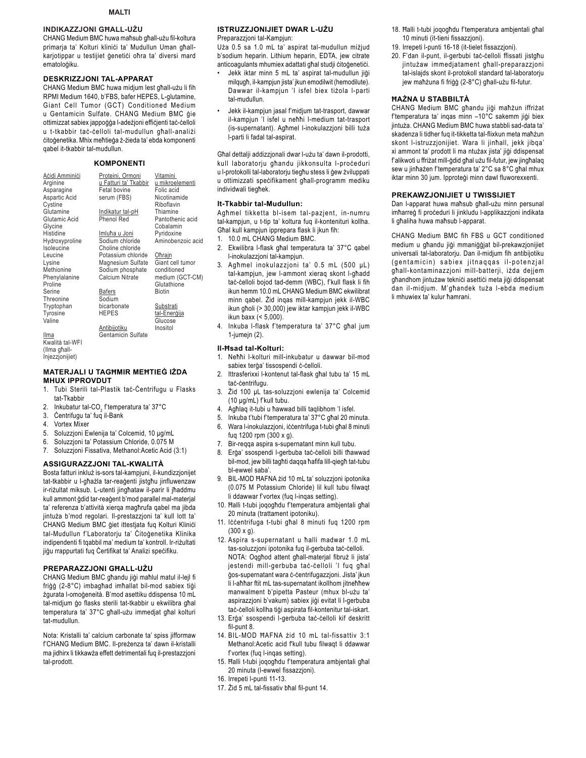### INDIKAZZJONI GHALL-UŻU

CHANG Medium BMC huwa maħsub għall-użu fil-koltura primarja ta' Kolturi klinici ta' Mudullun Uman ghallkarjotippar u testijiet ģenetiči ohra ta' diversi mard ematoloģiku.

### **DESKRIZZJONI TAL-APPARAT**

CHANG Medium BMC huwa midjum lest għall-użu li fih RPMI Medium 1640, b'FBS, bafer HEPES, L-glutamine, Giant Cell Tumor (GCT) Conditioned Medium u Gentamicin Sulfate. CHANG Medium BMC qie ottimizzat sabiex jappogga l-adezjoni efficjenti tac-celloli u t-tkabbir tač-čelloli tal-mudullun għall-analiżi citoģenetika. Mhix mehtieģa ż-żieda ta' ebda komponenti qabel it-tkabbir tal-mudullun.

### **KOMPONENTI**

| Aċidi Amminiċi<br>Arginine | Proteini, Ormoni<br>u Fatturi ta' Tkabbir | Vitamini<br>u mikroelementi |
|----------------------------|-------------------------------------------|-----------------------------|
| Asparagine                 | Fetal bovine                              | Folic acid                  |
| Aspartic Acid              | serum (FBS)                               | Nicotinamide                |
| Cystine                    |                                           | Riboflavin                  |
| Glutamine                  | Indikatur tal-pH                          | Thiamine                    |
| Glutamic Acid              | <b>Phenol Red</b>                         | Pantothenic acid            |
| Glycine                    |                                           | Cobalamin                   |
| Histidine                  | Imluħa u Joni                             | Pyridoxine                  |
| Hydroxyproline             | Sodium chloride                           | Aminobenzoic acid           |
| soleucine                  | Choline chloride                          |                             |
| Leucine                    | Potassium chloride                        | Ohrain                      |
| Lysine                     | Magnesium Sulfate                         | Giant cell tumor            |
| Methionine                 | Sodium phosphate                          | conditioned                 |
| Phenylalanine              | Calcium Nitrate                           | medium (GCT-CM)             |
| Proline                    |                                           | Glutathione                 |
| Serine                     | Bafers                                    | <b>Biotin</b>               |
| Threonine                  | Sodium                                    |                             |
| Tryptophan                 | bicarbonate                               | Substrati                   |
| Tyrosine                   | <b>HEPES</b>                              | tal-Enerģija                |
| Valine                     |                                           | Glucose                     |
|                            | <u>Antibijotiku</u>                       | Inositol                    |
| Ilma                       | <b>Gentamicin Sulfate</b>                 |                             |
| Kwalità tal-WFI            |                                           |                             |
| Ilma oħall-                |                                           |                             |
|                            |                                           |                             |

injezzjonijiet)

#### **MATERJALI U TAGHMIR MEHTIEG IŻDA MHUX IPPROVDUT**

- 1. Tubi Sterili tal-Plastik tač-Čentrifugu u Flasks tat-Tkahhir
- 2. Inkubatur tal-CO<sub>2</sub> f'temperatura ta' 37°C
- Centrifugu ta' fuq il-Bank 3.
- $\overline{4}$ . **Vortex Mixer**
- Soluzzjoni Ewlenija ta' Colcemid, 10 µg/mL  $5^{\circ}$
- Soluzzjoni ta' Potassium Chloride, 0.075 M 6.
- 7. Soluzzioni Fissativa, Methanol: Acetic Acid (3:1)

### ASSIGURAZZJONI TAL-KWALITÀ

Bosta fatturi inkluż is-sors tal-kampjuni, il-kundizzjonijet tat-tkabbir u I-għażla tar-reaġenti jistgħu jinfluwenzaw ir-riżultat miksub. L-utenti jinghataw il-parir li jhaddmu kull ammont ġdid tar-reaġent b'mod parallel mal-materjal ta' referenza b'attività xierqa magħrufa qabel ma jibda jintuża b'mod regolari. Il-prestazzjoni ta' kull lott ta' CHANG Medium BMC ģiet ittestjata fuq Kolturi Klinici tal-Mudullun f'Laboratorju ta' Citogenetika Klinika indipendenti fi tqabbil ma' medium ta' kontroll. Ir-rizultati jigu rrappurtati fug Certifikat ta' Analizi specifiku.

#### PREPARAZZJONI GHALL-UŻU

CHANG Medium BMC għandu jiġi maħlul matul il-lejl fi friğğ (2-8°C) imbaghad imhallat bil-mod sabiex tiği żgurata l-omoģeneità. B'mod asettiku ddispensa 10 mL tal-midjum ģo flasks sterili tat-tkabbir u ekwilibra għal temperatura ta' 37°C ghall-użu immedjat ghal kolturi tat-mudullun.

Nota: Kristalli ta' calcium carbonate ta' spiss jifformaw f'CHANG Medium BMC. Il-preżenza ta' dawn il-kristalli ma jidhirx li tikkawża effett detrimentali fuq il-prestazzjoni tal-prodott.

### **ISTRUZZJONIJIET DWAR L-UŻU**

Preparazzjoni tal-Kampjun:

Uża 0.5 sa 1.0 mL ta' aspirat tal-mudullun miżjud b'sodium heparin. Lithium heparin, EDTA, jew citrate anticoagulants mhumiex adattati ghal studji citogenetici.

- Jekk iktar minn 5 mL ta' aspirat tal-mudullun jiği milqugħ, il-kampjun jista' jkun emodilwit (hemodilute). Dawwar il-kampjun 'l isfel biex tiżola l-parti tal-mudullun
- Jekk il-kampjun jasal f'midjum tat-trasport, dawwar il-kampjun 'l isfel u nehhi l-medium tat-trasport (is-supernatant). Agħmel I-inokulazzjoni billi tuża I-parti li fadal tal-aspirat.

Għal dettalji addizzjonali dwar l-użu ta' dawn il-prodotti, kull laboratorju għandu jikkonsulta l-proceduri u l-protokolli tal-laboratorju tiegħu stess li ġew żviluppati u ottimizzati specifikament għall-programm mediku individwali tieghek.

### It-Tkabbir tal-Mudullun:

Aghmel tikketta bl-isem tal-pazjent, in-numru tal-kampjun, u t-tip ta' koltura fuq il-kontenituri kollha. Għal kull kampjun ipprepara flask li jkun fih:

- 1. 10.0 mL CHANG Medium BMC.
- 2. Ekwilibra I-flask għal temperatura ta' 37°C qabel I-inokulazzjoni tal-kampjun.
- 3. Agħmel inokulazzjoni ta' 0.5 mL (500 µL) tal-kampjun, jew l-ammont xieraq skont l-għadd tac-celloli bojod tad-demm (WBC), f'kull flask li fih ikun hemm 10.0 mL CHANG Medium BMC ekwilibrat minn qabel. Żid inqas mill-kampjun jekk il-WBC ikun għoli (> 30,000) jew iktar kampjun jekk il-WBC ikun baxx (< 5,000).
- 4. Inkuba I-flask f'temperatura ta' 37°C għal jum 1-iumein $(2)$ .

#### II-Hsad tal-Kolturi:

- 1. Nehhi I-kolturi mill-inkubatur u dawwar bil-mod sabiex terga' tissospendi c-celloli.
- $\mathfrak{p}$ Ittrasferixxi I-kontenut tal-flask għal tubu ta' 15 mL tac-centrifugu.
- Żid 100 µL tas-soluzzioni ewlenija ta' Colcemid  $3.$ (10 µg/mL) f'kull tubu.
- $\overline{4}$ . Agħlaq it-tubi u ħawwad billi taqlibhom 'l isfel.
- 5. Inkuba t'tubi f'temperatura ta' 37°C għal 20 minuta. Wara l-inokulazzjoni, iccentrifuga t-tubi għal 8 minuti 6.
- fug 1200 rpm (300 x g).
- $7.$ Bir-regga aspira s-supernatant minn kull tubu.
- Erga' ssospendi I-gerbuba tac-celloli billi thawwad 8 bil-mod, jew billi taghti daqqa hafifa lill-qiegh tat-tubu bl-ewwel saba'
- 9. BIL-MOD HAFNA żid 10 mL ta' soluzzjoni ipotonika (0.075 M Potassium Chloride) lil kull tubu filwaqt li ddawwar f'vortex (fuq l-inqas setting).
- 10. Halli t-tubi joqoghdu f'temperatura ambjentali ghal 20 minuta (trattament ipotoniku).
- 11. lċcentrifuga t-tubi għal 8 minuti fuq 1200 rpm  $(300 \times q)$ .
- 12. Aspira s-supernatant u halli madwar 1.0 mL tas-soluzzjoni ipotonika fuq il-gerbuba tač-čelloli. NOTA: Oqgħod attent għall-materjal fibruż li jista' jestendi mill-gerbuba tač-čelloli 'l fuq ghal ġos-supernatant wara c-centrifugazzjoni. Jista' jkun li l-aħħar ftit mL tas-supernatant ikollhom jitneħħew manwalment b'oipetta Pasteur (mhux bl-użu ta' aspirazzjoni b'vakum) sabiex jiği evitat li l-gerbuba tac-celloli kollha tigi aspirata fil-kontenitur tal-iskart.
- 13. Erga' ssospendi I-gerbuba tac-celloli kif deskritt fil-punt 8.
- 14. BIL-MOD HAFNA żid 10 mL tal-fissattiv 3:1 Methanol:Acetic acid f'kull tubu filwaqt li ddawwar f'vortex (fuq l-inqas setting).
- 15. Halli t-tubi joqoghdu f'temperatura ambjentali ghal 20 minuta (I-ewwel fissazzioni).
- 16. Irrepeti I-punti 11-13.
- 17. Żid 5 mL tal-fissativ bħal fil-punt 14.
- 18. Halli t-tubi joqoghdu f'temperatura ambjentali ghal 10 minuti (it-tieni fissazzjoni).
- 19. Irrepeti I-punti 16-18 (it-tielet fissazzjoni).
- 20. F'dan il-punt, il-gerbubi tac-celloli ffissati jistghu jintużaw immedjatament għall-preparazzjoni tal-islajds skont il-protokoll standard tal-laboratorju jew maħżuna fi friġġ (2-8°C) għall-użu fil-futur.

### **HAŻNA U STABBILTÀ**

CHANG Medium BMC għandu jiġi maħżun iffriżat f'temperatura ta' ingas minn -10°C sakemm jigi biex jintuża. CHANG Medium BMC huwa stabbli sad-data ta' skadenza li tidher fug it-tikketta tal-flixkun meta maħżun skont l-istruzzjonijiet. Wara li jinhall, jekk jibqa' xi ammont ta' prodott li ma ntużax jista' jigi ddispensat f'alikwoti u ffriżat mill-ġdid għal użu fil-futur, jew jingħalaq sew u jinhażen f'temperatura ta' 2°C sa 8°C ghal mhux iktar minn 30 jum. Ipprotegi minn dawl fluworexxenti.

#### PREKAWZJONIJIET U TWISSIJIET

Dan I-apparat huwa mahsub ghall-użu minn persunal imharreģ fi pročeduri li jinkludu l-applikazzjoni indikata li ghaliha huwa mahsub l-apparat.

CHANG Medium BMC fih FBS u GCT conditioned medium u għandu jiġi mmaniġġjat bil-prekawzjonijiet universali tal-laboratorju. Dan il-midjum fih antibijotiku (gentamicin) sabiex jitnaqqas il-potenzjal ghall-kontaminazzjoni mill-batterji, iżda dejjem għandhom jintużaw teknici asettici meta jigi ddispensat dan il-midjum. M'ghandek tuża l-ebda medium li mhuwiex ta' kulur hamrani.